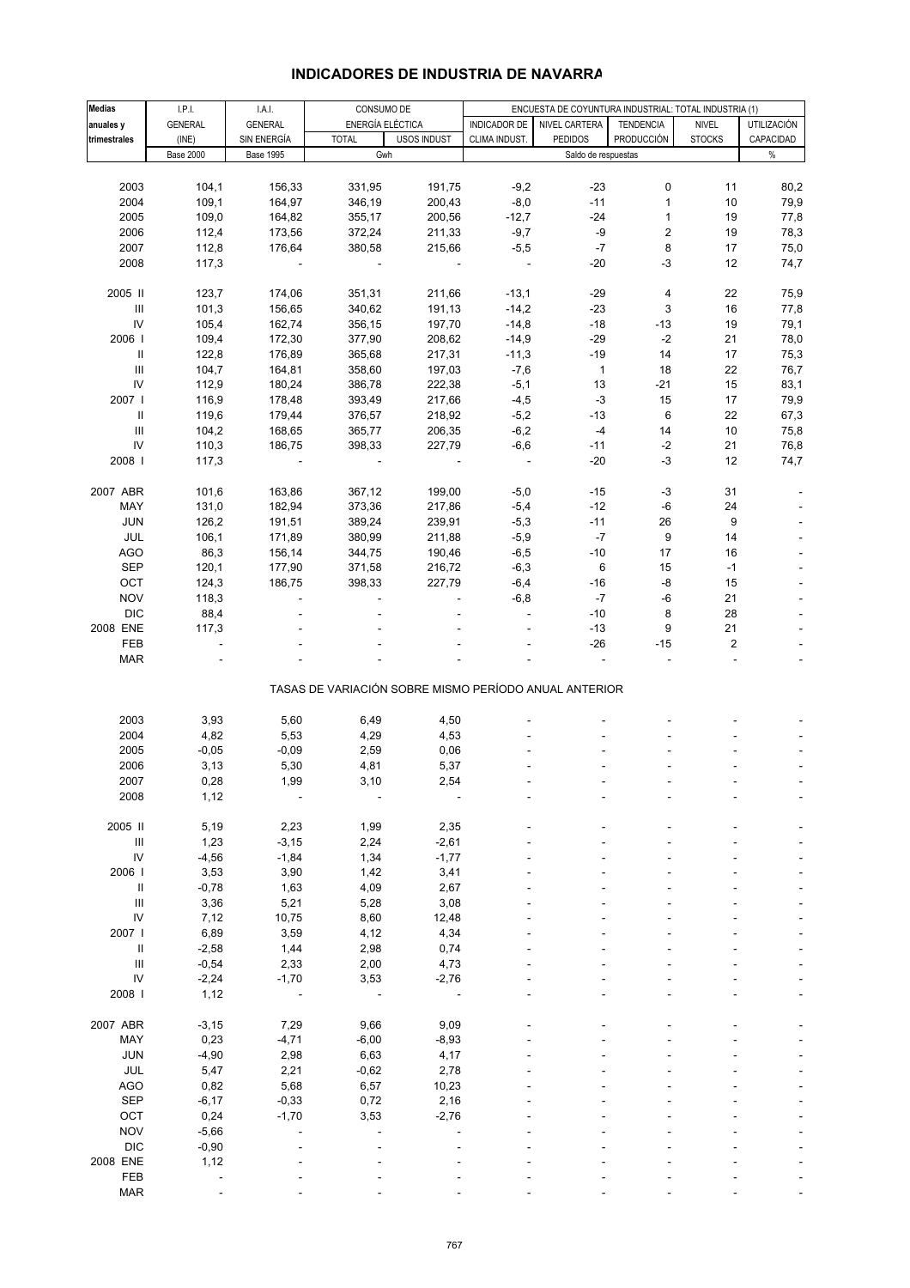| <b>Medias</b>                      | I.P.I.           | I.A.I.           | CONSUMO DE   |                                                       | ENCUESTA DE COYUNTURA INDUSTRIAL: TOTAL INDUSTRIA (1) |                     |                         |               |             |
|------------------------------------|------------------|------------------|--------------|-------------------------------------------------------|-------------------------------------------------------|---------------------|-------------------------|---------------|-------------|
| anuales y                          | <b>GENERAL</b>   | <b>GENERAL</b>   |              | ENERGÍA ELÉCTICA                                      | INDICADOR DE                                          | NIVEL CARTERA       | <b>TENDENCIA</b>        | <b>NIVEL</b>  | UTILIZACIÓN |
| trimestrales                       | (INE)            | SIN ENERGÍA      | <b>TOTAL</b> | USOS INDUST                                           | CLIMA INDUST.                                         | <b>PEDIDOS</b>      | PRODUCCIÓN              | <b>STOCKS</b> | CAPACIDAD   |
|                                    | <b>Base 2000</b> | <b>Base 1995</b> |              | Gwh                                                   |                                                       | Saldo de respuestas |                         |               | $\%$        |
|                                    |                  |                  |              |                                                       |                                                       |                     |                         |               |             |
|                                    |                  |                  |              |                                                       |                                                       |                     |                         |               |             |
| 2003                               | 104,1            | 156,33           | 331,95       | 191,75                                                | $-9,2$                                                | $-23$               | 0                       | 11            | 80,2        |
| 2004                               | 109,1            | 164,97           | 346,19       | 200,43                                                | $-8,0$                                                | $-11$               | 1                       | 10            | 79,9        |
| 2005                               | 109,0            | 164,82           | 355,17       | 200,56                                                | $-12,7$                                               | $-24$               | 1                       | 19            | 77,8        |
| 2006                               | 112,4            | 173,56           | 372,24       | 211,33                                                | $-9,7$                                                | -9                  | $\overline{\mathbf{c}}$ | 19            | 78,3        |
| 2007                               | 112,8            | 176,64           | 380,58       | 215,66                                                | $-5,5$                                                | $-7$                | 8                       | 17            | 75,0        |
| 2008                               | 117,3            |                  |              |                                                       |                                                       | $-20$               | $-3$                    | 12            | 74,7        |
|                                    |                  |                  |              |                                                       |                                                       |                     |                         |               |             |
| 2005 II                            | 123,7            | 174,06           | 351,31       | 211,66                                                | $-13,1$                                               | $-29$               | 4                       | 22            | 75,9        |
| Ш                                  | 101,3            | 156,65           | 340,62       | 191,13                                                | $-14,2$                                               | $-23$               | 3                       | 16            | 77,8        |
| ${\sf IV}$                         | 105,4            | 162,74           | 356,15       | 197,70                                                | $-14,8$                                               | $-18$               | $-13$                   | 19            | 79,1        |
| 2006                               |                  | 172,30           |              |                                                       |                                                       | $-29$               |                         | 21            |             |
|                                    | 109,4            |                  | 377,90       | 208,62                                                | $-14,9$                                               |                     | $-2$                    |               | 78,0        |
| Ш                                  | 122,8            | 176,89           | 365,68       | 217,31                                                | $-11,3$                                               | $-19$               | 14                      | 17            | 75,3        |
| $\ensuremath{\mathsf{III}}\xspace$ | 104,7            | 164,81           | 358,60       | 197,03                                                | $-7,6$                                                | $\mathbf{1}$        | 18                      | 22            | 76,7        |
| IV                                 | 112,9            | 180,24           | 386,78       | 222,38                                                | $-5,1$                                                | 13                  | $-21$                   | 15            | 83,1        |
| 2007                               | 116,9            | 178,48           | 393,49       | 217,66                                                | $-4,5$                                                | $-3$                | 15                      | 17            | 79,9        |
| $\mathsf{I}$                       | 119,6            | 179,44           | 376,57       | 218,92                                                | $-5,2$                                                | $-13$               | 6                       | 22            | 67,3        |
| $\ensuremath{\mathsf{III}}\xspace$ | 104,2            | 168,65           | 365,77       | 206,35                                                | $-6,2$                                                | $-4$                | 14                      | 10            | 75,8        |
| IV                                 | 110,3            | 186,75           | 398,33       | 227,79                                                | $-6,6$                                                | $-11$               | $-2$                    | 21            | 76,8        |
| 2008                               | 117,3            |                  |              |                                                       |                                                       | $-20$               | $-3$                    | 12            | 74,7        |
|                                    |                  |                  |              |                                                       |                                                       |                     |                         |               |             |
|                                    |                  |                  |              |                                                       |                                                       |                     |                         |               |             |
| 2007 ABR                           | 101,6            | 163,86           | 367,12       | 199,00                                                | $-5,0$                                                | $-15$               | $-3$                    | 31            |             |
| MAY                                | 131,0            | 182,94           | 373,36       | 217,86                                                | $-5,4$                                                | $-12$               | $-6$                    | 24            |             |
| <b>JUN</b>                         | 126,2            | 191,51           | 389,24       | 239,91                                                | $-5,3$                                                | $-11$               | 26                      | 9             |             |
| JUL                                | 106,1            | 171,89           | 380,99       | 211,88                                                | $-5,9$                                                | $-7$                | 9                       | 14            |             |
| AGO                                | 86,3             | 156,14           | 344,75       | 190,46                                                | $-6,5$                                                | $-10$               | 17                      | 16            |             |
| <b>SEP</b>                         | 120,1            | 177,90           | 371,58       | 216,72                                                | $-6,3$                                                | 6                   | 15                      | $-1$          |             |
| OCT                                | 124,3            | 186,75           | 398,33       | 227,79                                                | $-6,4$                                                | -16                 | -8                      | 15            |             |
| <b>NOV</b>                         | 118,3            |                  |              |                                                       | $-6,8$                                                | $-7$                | -6                      | 21            |             |
| <b>DIC</b>                         | 88,4             |                  |              |                                                       |                                                       | $-10$               | 8                       | 28            |             |
| 2008 ENE                           | 117,3            |                  |              |                                                       |                                                       | $-13$               | 9                       | 21            |             |
|                                    |                  |                  |              |                                                       |                                                       |                     |                         |               |             |
| FEB                                |                  |                  |              |                                                       |                                                       | $-26$               | $-15$                   | 2             |             |
| <b>MAR</b>                         |                  |                  |              |                                                       |                                                       |                     |                         |               |             |
|                                    |                  |                  |              |                                                       |                                                       |                     |                         |               |             |
|                                    |                  |                  |              | TASAS DE VARIACIÓN SOBRE MISMO PERÍODO ANUAL ANTERIOR |                                                       |                     |                         |               |             |
|                                    |                  |                  |              |                                                       |                                                       |                     |                         |               |             |
| 2003                               | 3,93             | 5,60             | 6,49         | 4,50                                                  |                                                       |                     |                         |               |             |
| 2004                               | 4,82             | 5,53             | 4,29         | 4,53                                                  |                                                       |                     |                         |               |             |
| 2005                               | $-0,05$          | $-0,09$          | 2,59         | 0,06                                                  |                                                       |                     |                         |               |             |
| 2006                               | 3,13             | 5,30             | 4,81         | 5,37                                                  |                                                       |                     |                         |               |             |
| 2007                               | 0.28             | 1,99             | 3,10         | 2,54                                                  |                                                       |                     |                         |               |             |
| 2008                               | 1,12             |                  |              |                                                       |                                                       |                     |                         |               |             |
|                                    |                  |                  |              |                                                       |                                                       |                     |                         |               |             |
| 2005 II                            | 5,19             | 2,23             | 1,99         | 2,35                                                  |                                                       |                     |                         |               |             |
| $\ensuremath{\mathsf{III}}\xspace$ | 1,23             | $-3,15$          | 2,24         | $-2,61$                                               |                                                       |                     |                         |               |             |
| ${\sf IV}$                         | $-4,56$          | $-1,84$          | 1,34         | $-1,77$                                               |                                                       |                     |                         |               |             |
| 2006                               | 3,53             | 3,90             | 1,42         | 3,41                                                  |                                                       |                     |                         |               |             |
|                                    |                  |                  |              |                                                       |                                                       |                     |                         |               |             |
| $\mathsf{I}$                       | $-0,78$          | 1,63             | 4,09         | 2,67                                                  |                                                       |                     |                         |               |             |
| $\ensuremath{\mathsf{III}}\xspace$ | 3,36             | 5,21             | 5,28         | 3,08                                                  |                                                       |                     |                         |               |             |
| ${\sf IV}$                         | 7,12             | 10,75            | 8,60         | 12,48                                                 |                                                       |                     |                         |               |             |
| 2007 l                             | 6,89             | 3,59             | 4,12         | 4,34                                                  |                                                       |                     |                         |               |             |
| Ш                                  | $-2,58$          | 1,44             | 2,98         | 0,74                                                  |                                                       |                     |                         |               |             |
| $\ensuremath{\mathsf{III}}\xspace$ | $-0,54$          | 2,33             | 2,00         | 4,73                                                  |                                                       |                     |                         |               |             |
| ${\sf IV}$                         | $-2,24$          | $-1,70$          | 3,53         | $-2,76$                                               |                                                       |                     |                         |               |             |
| 2008                               | 1,12             |                  |              |                                                       |                                                       |                     |                         |               |             |
|                                    |                  |                  |              |                                                       |                                                       |                     |                         |               |             |
| 2007 ABR                           | $-3, 15$         | 7,29             | 9,66         | 9,09                                                  |                                                       |                     |                         |               |             |
|                                    |                  |                  |              |                                                       |                                                       |                     |                         |               |             |
| MAY                                | 0,23             | $-4,71$          | $-6,00$      | $-8,93$                                               |                                                       |                     |                         |               |             |
| <b>JUN</b>                         | $-4,90$          | 2,98             | 6,63         | 4,17                                                  |                                                       |                     |                         |               |             |
| JUL                                | 5,47             | 2,21             | $-0,62$      | 2,78                                                  |                                                       |                     |                         |               |             |
| <b>AGO</b>                         | 0,82             | 5,68             | 6,57         | 10,23                                                 |                                                       |                     |                         |               |             |
| <b>SEP</b>                         | $-6, 17$         | $-0,33$          | 0,72         | 2,16                                                  |                                                       |                     |                         |               |             |
| OCT                                | 0,24             | $-1,70$          | 3,53         | $-2,76$                                               |                                                       |                     |                         |               |             |
| <b>NOV</b>                         | $-5,66$          |                  |              |                                                       |                                                       |                     |                         |               |             |
| <b>DIC</b>                         | $-0,90$          |                  |              |                                                       |                                                       |                     |                         |               |             |
| 2008 ENE                           | 1,12             |                  |              |                                                       |                                                       |                     |                         |               |             |
| FEB                                |                  |                  |              |                                                       |                                                       |                     |                         |               |             |
|                                    |                  |                  |              |                                                       |                                                       |                     |                         |               |             |

#### **INDICADORES DE INDUSTRIA DE NAVARRA**

MAR - - - - - ----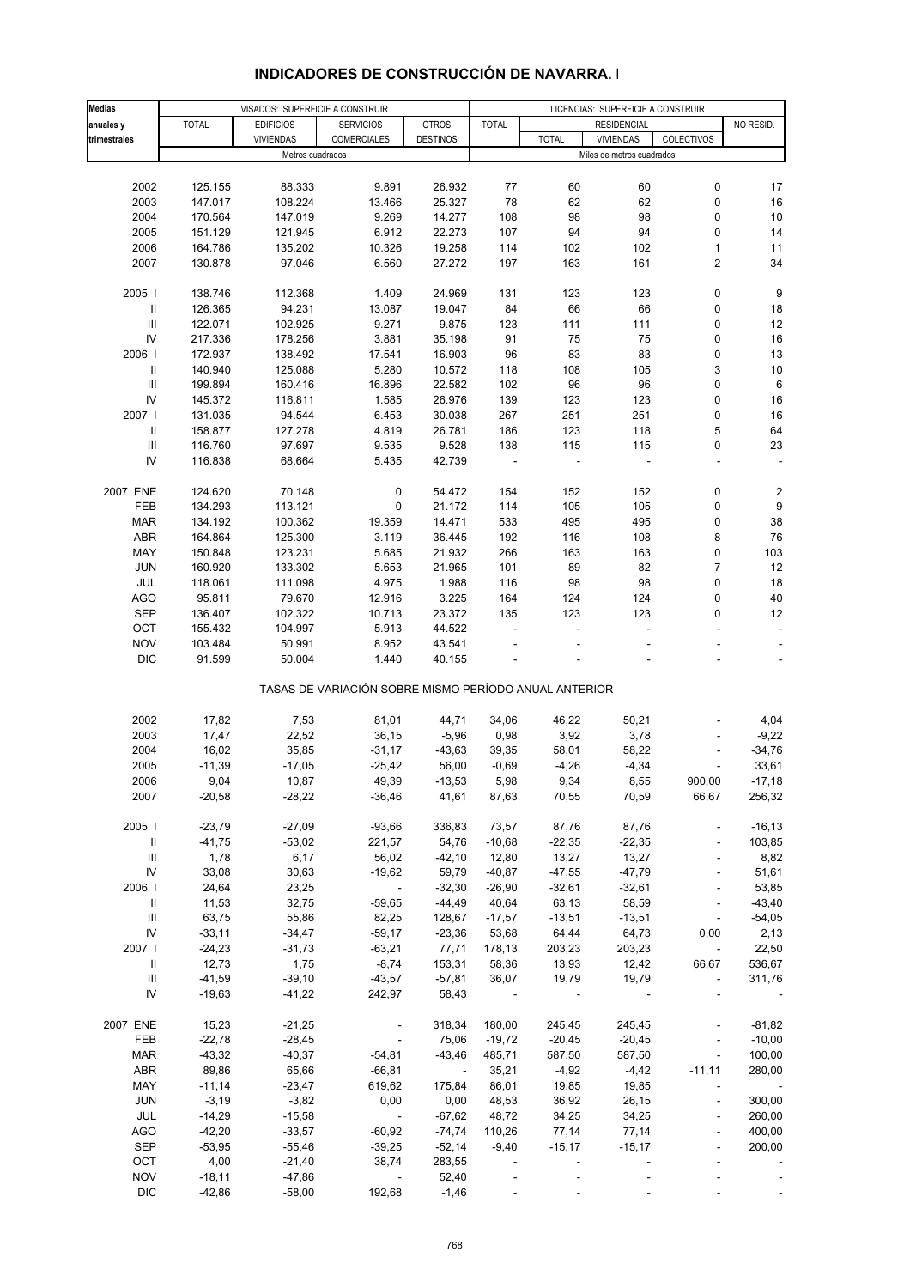|                                    |              |                                 |                                                       |                 | LICENCIAS: SUPERFICIE A CONSTRUIR |              |                           |                          |                         |  |
|------------------------------------|--------------|---------------------------------|-------------------------------------------------------|-----------------|-----------------------------------|--------------|---------------------------|--------------------------|-------------------------|--|
| <b>Medias</b>                      |              | VISADOS: SUPERFICIE A CONSTRUIR |                                                       |                 |                                   |              |                           |                          |                         |  |
| anuales y                          | <b>TOTAL</b> | <b>EDIFICIOS</b>                | <b>SERVICIOS</b>                                      | <b>OTROS</b>    | <b>TOTAL</b>                      |              | <b>RESIDENCIAL</b>        |                          | NO RESID.               |  |
| trimestrales                       |              | <b>VIVIENDAS</b>                | COMERCIALES                                           | <b>DESTINOS</b> |                                   | <b>TOTAL</b> | <b>VIVIENDAS</b>          | COLECTIVOS               |                         |  |
|                                    |              | Metros cuadrados                |                                                       |                 |                                   |              | Miles de metros cuadrados |                          |                         |  |
|                                    |              |                                 |                                                       |                 |                                   |              |                           |                          |                         |  |
| 2002                               | 125.155      | 88.333                          | 9.891                                                 | 26.932          | 77                                | 60           | 60                        | 0                        | 17                      |  |
| 2003                               | 147.017      | 108.224                         | 13.466                                                | 25.327          | 78                                | 62           | 62                        | 0                        | 16                      |  |
| 2004                               | 170.564      | 147.019                         | 9.269                                                 | 14.277          | 108                               | 98           | 98                        | 0                        | 10                      |  |
| 2005                               | 151.129      | 121.945                         | 6.912                                                 | 22.273          | 107                               | 94           | 94                        | 0                        | 14                      |  |
| 2006                               | 164.786      | 135.202                         | 10.326                                                | 19.258          | 114                               | 102          | 102                       | $\mathbf{1}$             | 11                      |  |
| 2007                               | 130.878      | 97.046                          | 6.560                                                 | 27.272          | 197                               | 163          | 161                       | $\overline{\mathbf{c}}$  | 34                      |  |
|                                    |              |                                 |                                                       |                 |                                   |              |                           |                          |                         |  |
| 2005                               | 138.746      | 112.368                         | 1.409                                                 | 24.969          | 131                               | 123          | 123                       | 0                        | 9                       |  |
| $\, \parallel$                     |              | 94.231                          |                                                       |                 | 84                                | 66           |                           | 0                        |                         |  |
|                                    | 126.365      |                                 | 13.087                                                | 19.047          |                                   |              | 66                        |                          | 18                      |  |
| $\ensuremath{\mathsf{III}}\xspace$ | 122.071      | 102.925                         | 9.271                                                 | 9.875           | 123                               | 111          | 111                       | 0                        | 12                      |  |
| IV                                 | 217.336      | 178.256                         | 3.881                                                 | 35.198          | 91                                | 75           | 75                        | 0                        | 16                      |  |
| 2006                               | 172.937      | 138.492                         | 17.541                                                | 16.903          | 96                                | 83           | 83                        | 0                        | 13                      |  |
| $\, \parallel$                     | 140.940      | 125.088                         | 5.280                                                 | 10.572          | 118                               | 108          | 105                       | 3                        | 10                      |  |
| $\ensuremath{\mathsf{III}}\xspace$ | 199.894      | 160.416                         | 16.896                                                | 22.582          | 102                               | 96           | 96                        | 0                        | 6                       |  |
| IV                                 | 145.372      | 116.811                         | 1.585                                                 | 26.976          | 139                               | 123          | 123                       | 0                        | 16                      |  |
| 2007 l                             | 131.035      | 94.544                          | 6.453                                                 | 30.038          | 267                               | 251          | 251                       | 0                        | 16                      |  |
|                                    |              |                                 |                                                       |                 |                                   |              |                           |                          |                         |  |
| $\ensuremath{\mathsf{II}}$         | 158.877      | 127.278                         | 4.819                                                 | 26.781          | 186                               | 123          | 118                       | 5                        | 64                      |  |
| $\ensuremath{\mathsf{III}}\xspace$ | 116.760      | 97.697                          | 9.535                                                 | 9.528           | 138                               | 115          | 115                       | 0                        | 23                      |  |
| IV                                 | 116.838      | 68.664                          | 5.435                                                 | 42.739          |                                   |              |                           |                          |                         |  |
|                                    |              |                                 |                                                       |                 |                                   |              |                           |                          |                         |  |
| 2007 ENE                           | 124.620      | 70.148                          | $\pmb{0}$                                             | 54.472          | 154                               | 152          | 152                       | 0                        | $\overline{\mathbf{c}}$ |  |
| FEB                                | 134.293      | 113.121                         | 0                                                     | 21.172          | 114                               | 105          | 105                       | 0                        | 9                       |  |
| <b>MAR</b>                         | 134.192      | 100.362                         | 19.359                                                | 14.471          | 533                               | 495          | 495                       | 0                        | 38                      |  |
| <b>ABR</b>                         | 164.864      | 125.300                         | 3.119                                                 | 36.445          | 192                               | 116          | 108                       | 8                        | 76                      |  |
|                                    |              |                                 |                                                       |                 |                                   |              |                           |                          |                         |  |
| MAY                                | 150.848      | 123.231                         | 5.685                                                 | 21.932          | 266                               | 163          | 163                       | 0                        | 103                     |  |
| <b>JUN</b>                         | 160.920      | 133.302                         | 5.653                                                 | 21.965          | 101                               | 89           | 82                        | $\overline{7}$           | 12                      |  |
| <b>JUL</b>                         | 118.061      | 111.098                         | 4.975                                                 | 1.988           | 116                               | 98           | 98                        | $\mathsf 0$              | 18                      |  |
| AGO                                | 95.811       | 79.670                          | 12.916                                                | 3.225           | 164                               | 124          | 124                       | 0                        | 40                      |  |
| <b>SEP</b>                         | 136.407      | 102.322                         | 10.713                                                | 23.372          | 135                               | 123          | 123                       | 0                        | 12                      |  |
| OCT                                | 155.432      | 104.997                         | 5.913                                                 | 44.522          | $\overline{a}$                    |              | $\overline{\phantom{a}}$  |                          | $\blacksquare$          |  |
| <b>NOV</b>                         | 103.484      | 50.991                          | 8.952                                                 | 43.541          |                                   |              |                           |                          |                         |  |
| <b>DIC</b>                         | 91.599       | 50.004                          | 1.440                                                 | 40.155          |                                   |              |                           |                          |                         |  |
|                                    |              |                                 |                                                       |                 |                                   |              |                           |                          |                         |  |
|                                    |              |                                 | TASAS DE VARIACIÓN SOBRE MISMO PERÍODO ANUAL ANTERIOR |                 |                                   |              |                           |                          |                         |  |
|                                    |              |                                 |                                                       |                 |                                   |              |                           |                          |                         |  |
| 2002                               | 17,82        | 7,53                            | 81,01                                                 | 44,71           | 34,06                             | 46,22        | 50,21                     |                          | 4,04                    |  |
| 2003                               | 17,47        | 22,52                           | 36,15                                                 | $-5,96$         | 0,98                              | 3,92         | 3,78                      |                          | $-9,22$                 |  |
| 2004                               | 16,02        | 35,85                           | $-31,17$                                              | $-43,63$        | 39,35                             | 58,01        | 58,22                     |                          | $-34,76$                |  |
| 2005                               | $-11,39$     | $-17,05$                        | $-25,42$                                              | 56,00           | $-0,69$                           | $-4,26$      | $-4,34$                   | ÷,                       | 33,61                   |  |
| 2006                               | 9,04         | 10,87                           | 49,39                                                 | $-13,53$        | 5,98                              | 9,34         | 8,55                      | 900,00                   | $-17,18$                |  |
| 2007                               | $-20,58$     | $-28,22$                        | $-36,46$                                              | 41,61           | 87,63                             | 70,55        | 70,59                     | 66,67                    | 256,32                  |  |
|                                    |              |                                 |                                                       |                 |                                   |              |                           |                          |                         |  |
|                                    |              |                                 |                                                       |                 |                                   |              |                           |                          |                         |  |
| 2005                               | $-23,79$     | $-27,09$                        | $-93,66$                                              | 336,83          | 73,57                             | 87,76        | 87,76                     |                          | $-16, 13$               |  |
| Ш                                  | $-41,75$     | $-53,02$                        | 221,57                                                | 54,76           | $-10,68$                          | $-22,35$     | $-22,35$                  |                          | 103,85                  |  |
| $\ensuremath{\mathsf{III}}\xspace$ | 1,78         | 6,17                            | 56,02                                                 | $-42,10$        | 12,80                             | 13,27        | 13,27                     |                          | 8,82                    |  |
| ${\sf IV}$                         | 33,08        | 30,63                           | $-19,62$                                              | 59,79           | $-40,87$                          | $-47,55$     | $-47,79$                  |                          | 51,61                   |  |
| 2006                               | 24,64        | 23,25                           | $\sim$                                                | $-32,30$        | $-26,90$                          | $-32,61$     | $-32,61$                  | $\blacksquare$           | 53,85                   |  |
| Ш                                  | 11,53        | 32,75                           | $-59,65$                                              | $-44,49$        | 40,64                             | 63,13        | 58,59                     | $\blacksquare$           | $-43,40$                |  |
| $\ensuremath{\mathsf{III}}\xspace$ | 63,75        | 55,86                           | 82,25                                                 | 128,67          | $-17,57$                          | $-13,51$     | $-13,51$                  |                          | $-54,05$                |  |
| ${\sf IV}$                         | $-33,11$     | $-34,47$                        | $-59,17$                                              | $-23,36$        | 53,68                             | 64,44        | 64,73                     | 0,00                     | 2,13                    |  |
| 2007 l                             | $-24,23$     | $-31,73$                        | $-63,21$                                              | 77,71           | 178,13                            | 203,23       | 203,23                    |                          | 22,50                   |  |
|                                    |              |                                 |                                                       |                 |                                   |              |                           | $\overline{\phantom{a}}$ |                         |  |
| Ш                                  | 12,73        | 1,75                            | $-8,74$                                               | 153,31          | 58,36                             | 13,93        | 12,42                     | 66,67                    | 536,67                  |  |
| $\ensuremath{\mathsf{III}}\xspace$ | $-41,59$     | $-39,10$                        | $-43,57$                                              | $-57,81$        | 36,07                             | 19,79        | 19,79                     |                          | 311,76                  |  |
| IV                                 | $-19,63$     | $-41,22$                        | 242,97                                                | 58,43           |                                   |              |                           |                          |                         |  |
| 2007 ENE                           | 15,23        | $-21,25$                        |                                                       | 318,34          | 180,00                            | 245,45       | 245,45                    |                          | $-81,82$                |  |
|                                    |              |                                 |                                                       |                 |                                   |              |                           |                          |                         |  |
| FEB                                | $-22,78$     | $-28,45$                        |                                                       | 75,06           | $-19,72$                          | $-20,45$     | $-20,45$                  |                          | $-10,00$                |  |
| <b>MAR</b>                         | $-43,32$     | $-40,37$                        | $-54,81$                                              | $-43,46$        | 485,71                            | 587,50       | 587,50                    |                          | 100,00                  |  |
| <b>ABR</b>                         | 89,86        | 65,66                           | $-66, 81$                                             | $\sim$          | 35,21                             | $-4,92$      | $-4,42$                   | $-11,11$                 | 280,00                  |  |
| MAY                                | $-11,14$     | $-23,47$                        | 619,62                                                | 175,84          | 86,01                             | 19,85        | 19,85                     |                          |                         |  |
| <b>JUN</b>                         | $-3,19$      | $-3,82$                         | 0,00                                                  | 0,00            | 48,53                             | 36,92        | 26,15                     |                          | 300,00                  |  |
| JUL                                | $-14,29$     | $-15,58$                        | $\sim$                                                | $-67,62$        | 48,72                             | 34,25        | 34,25                     |                          | 260,00                  |  |
| AGO                                | $-42,20$     | $-33,57$                        | $-60,92$                                              | $-74,74$        | 110,26                            | 77,14        | 77,14                     | $\overline{a}$           | 400,00                  |  |
|                                    |              |                                 |                                                       |                 |                                   |              |                           |                          |                         |  |
| <b>SEP</b>                         | $-53,95$     | $-55,46$                        | $-39,25$                                              | $-52,14$        | $-9,40$                           | $-15,17$     | $-15,17$                  |                          | 200,00                  |  |
| OCT                                | 4,00         | $-21,40$                        | 38,74                                                 | 283,55          | $\overline{\phantom{a}}$          |              |                           |                          |                         |  |
| <b>NOV</b>                         | $-18,11$     | $-47,86$                        |                                                       | 52,40           |                                   |              |                           |                          |                         |  |
| <b>DIC</b>                         | $-42,86$     | $-58,00$                        | 192,68                                                | $-1,46$         |                                   |              |                           |                          |                         |  |

### **INDICADORES DE CONSTRUCCIÓN DE NAVARRA. I**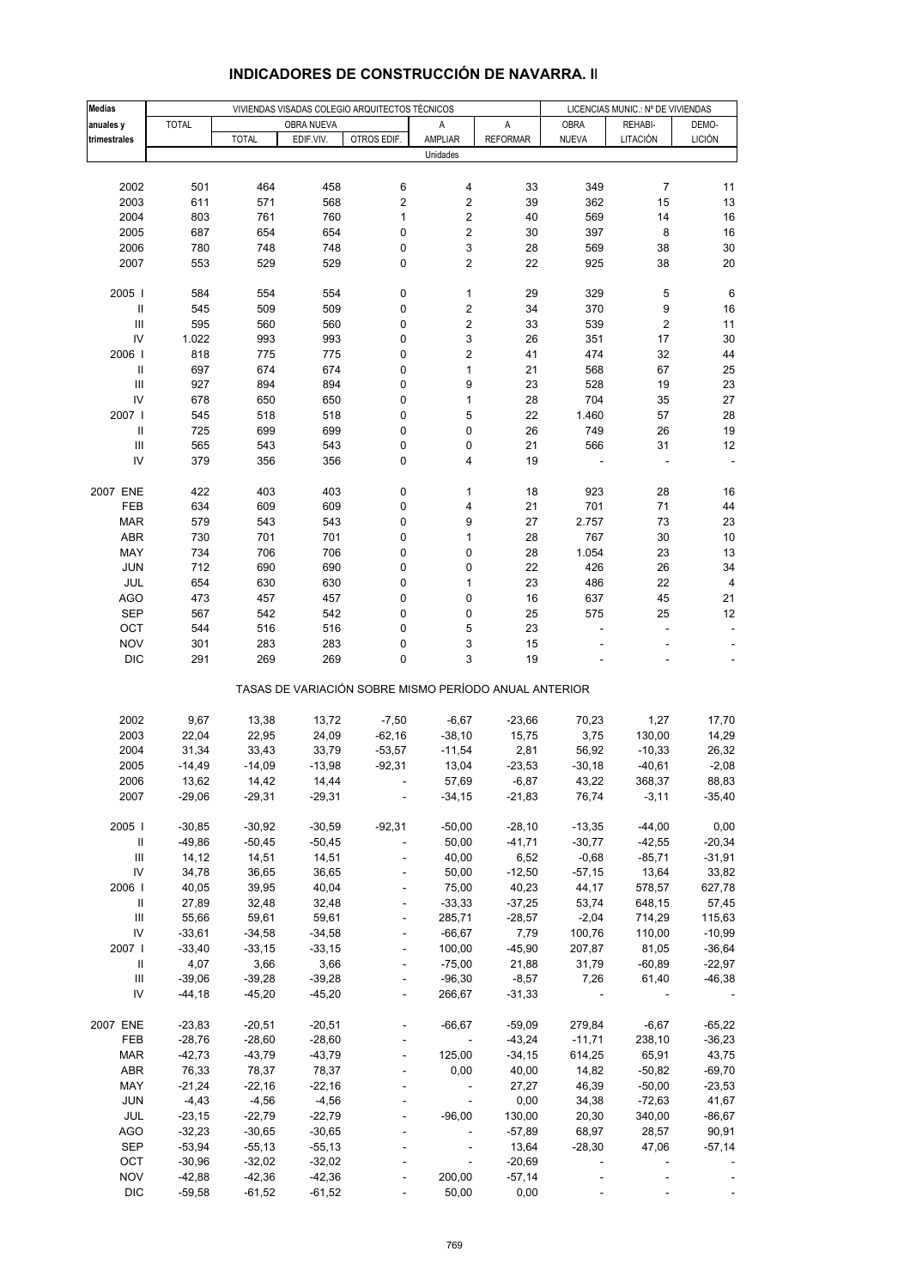| <b>Medias</b>                      |              | VIVIENDAS VISADAS COLEGIO ARQUITECTOS TÉCNICOS |            |                          |                                                       |                 |                          | LICENCIAS MUNIC.: Nº DE VIVIENDAS |               |  |  |
|------------------------------------|--------------|------------------------------------------------|------------|--------------------------|-------------------------------------------------------|-----------------|--------------------------|-----------------------------------|---------------|--|--|
| anuales y                          | <b>TOTAL</b> |                                                | OBRA NUEVA |                          | Α                                                     | A               | <b>OBRA</b>              | REHABI-                           | DEMO-         |  |  |
| trimestrales                       |              | <b>TOTAL</b>                                   | EDIF.VIV.  | OTROS EDIF.              | AMPLIAR                                               | <b>REFORMAR</b> | <b>NUEVA</b>             | LITACIÓN                          | <b>LICIÓN</b> |  |  |
|                                    |              |                                                |            |                          | Unidades                                              |                 |                          |                                   |               |  |  |
|                                    |              |                                                |            |                          |                                                       |                 |                          |                                   |               |  |  |
| 2002                               | 501          | 464                                            | 458        | 6                        | 4                                                     | 33              | 349                      | $\overline{7}$                    | 11            |  |  |
| 2003                               | 611          | 571                                            | 568        | 2                        | $\overline{\mathbf{c}}$                               | 39              | 362                      | 15                                | 13            |  |  |
| 2004                               | 803          | 761                                            | 760        | 1                        | 2                                                     | 40              | 569                      | 14                                | 16            |  |  |
| 2005                               | 687          | 654                                            | 654        | 0                        | 2                                                     | 30              | 397                      | 8                                 | 16            |  |  |
| 2006                               | 780          | 748                                            | 748        | 0                        | 3                                                     | 28              | 569                      | 38                                | 30            |  |  |
| 2007                               | 553          | 529                                            | 529        | 0                        | 2                                                     | 22              | 925                      | 38                                | 20            |  |  |
|                                    |              |                                                |            |                          |                                                       |                 |                          |                                   |               |  |  |
| 2005                               | 584          | 554                                            | 554        | 0                        | 1                                                     | 29              | 329                      | 5                                 | 6             |  |  |
| $\sf II$                           | 545          | 509                                            | 509        | 0                        | 2                                                     | 34              | 370                      | 9                                 | 16            |  |  |
| $\mathsf{III}\,$                   | 595          | 560                                            | 560        | 0                        | 2                                                     | 33              | 539                      | 2                                 | 11            |  |  |
| IV                                 | 1.022        | 993                                            | 993        | 0                        | 3                                                     | 26              | 351                      | 17                                | 30            |  |  |
| 2006                               | 818          | 775                                            | 775        | 0                        | 2                                                     | 41              | 474                      | 32                                | 44            |  |  |
| Ш                                  | 697          | 674                                            | 674        | 0                        | $\mathbf{1}$                                          | 21              | 568                      | 67                                | 25            |  |  |
| $\ensuremath{\mathsf{III}}\xspace$ | 927          | 894                                            | 894        | 0                        | 9                                                     | 23              | 528                      | 19                                | 23            |  |  |
| IV                                 | 678          | 650                                            | 650        | 0                        | $\mathbf{1}$                                          | 28              | 704                      | 35                                | 27            |  |  |
| 2007 l                             | 545          | 518                                            | 518        | 0                        | 5                                                     | 22              | 1.460                    | 57                                | 28            |  |  |
| $\, \parallel$                     | 725          | 699                                            | 699        | 0                        | 0                                                     | 26              | 749                      | 26                                | 19            |  |  |
| $\mathsf{III}\,$                   | 565          | 543                                            | 543        | 0                        | 0                                                     | 21              | 566                      | 31                                | 12            |  |  |
| IV                                 | 379          | 356                                            | 356        | 0                        | 4                                                     | 19              |                          |                                   |               |  |  |
|                                    |              |                                                |            |                          |                                                       |                 |                          |                                   |               |  |  |
| 2007 ENE                           | 422          | 403                                            | 403        | 0                        | 1                                                     | 18              | 923                      | 28                                | 16            |  |  |
| FEB                                | 634          | 609                                            | 609        | 0                        | 4                                                     | 21              | 701                      | 71                                | 44            |  |  |
| <b>MAR</b>                         | 579          | 543                                            | 543        | 0                        | 9                                                     | 27              | 2.757                    | 73                                | 23            |  |  |
| ABR                                | 730          | 701                                            | 701        | 0                        | 1                                                     | 28              | 767                      | 30                                | 10            |  |  |
| MAY                                | 734          | 706                                            | 706        | 0                        | 0                                                     | 28              | 1.054                    | 23                                | 13            |  |  |
| <b>JUN</b>                         | 712          | 690                                            | 690        | 0                        | 0                                                     | 22              | 426                      | 26                                | 34            |  |  |
| JUL                                | 654          | 630                                            | 630        | 0                        | 1                                                     | 23              | 486                      | 22                                | 4             |  |  |
| AGO                                | 473          | 457                                            | 457        | 0                        | 0                                                     | 16              | 637                      | 45                                | 21            |  |  |
| <b>SEP</b>                         | 567          | 542                                            | 542        | 0                        | 0                                                     | 25              | 575                      | 25                                | 12            |  |  |
| OCT                                | 544          | 516                                            | 516        | 0                        | 5                                                     | 23              |                          | ÷                                 |               |  |  |
| <b>NOV</b>                         | 301          | 283                                            | 283        | 0                        | 3                                                     | 15              |                          |                                   |               |  |  |
| <b>DIC</b>                         | 291          | 269                                            | 269        | 0                        | 3                                                     | 19              |                          |                                   |               |  |  |
|                                    |              |                                                |            |                          | TASAS DE VARIACIÓN SOBRE MISMO PERÍODO ANUAL ANTERIOR |                 |                          |                                   |               |  |  |
|                                    |              |                                                |            |                          |                                                       |                 |                          |                                   |               |  |  |
| 2002                               | 9,67         | 13,38                                          | 13,72      | $-7,50$                  | $-6,67$                                               | $-23,66$        | 70,23                    | 1,27                              | 17,70         |  |  |
| 2003                               | 22,04        | 22,95                                          | 24,09      | $-62,16$                 | $-38,10$                                              | 15,75           | 3,75                     | 130,00                            | 14,29         |  |  |
| 2004                               | 31,34        | 33,43                                          | 33,79      | $-53,57$                 | $-11,54$                                              | 2,81            | 56,92                    | $-10,33$                          | 26,32         |  |  |
| 2005                               | $-14,49$     | $-14,09$                                       | $-13,98$   | $-92,31$                 | 13,04                                                 | $-23,53$        | $-30,18$                 | $-40,61$                          | $-2,08$       |  |  |
| 2006                               | 13,62        | 14,42                                          | 14,44      |                          | 57,69                                                 | $-6,87$         | 43,22                    | 368,37                            | 88,83         |  |  |
| 2007                               | $-29,06$     | $-29,31$                                       | $-29,31$   | $\overline{\phantom{a}}$ | $-34,15$                                              | $-21,83$        | 76,74                    | $-3,11$                           | $-35,40$      |  |  |
|                                    |              |                                                |            |                          |                                                       |                 |                          |                                   |               |  |  |
| 2005                               | $-30,85$     | $-30,92$                                       | $-30,59$   | $-92,31$                 | $-50,00$                                              | $-28,10$        | $-13,35$                 | $-44,00$                          | 0,00          |  |  |
| Ш                                  | $-49,86$     | $-50,45$                                       | $-50,45$   | ÷                        | 50,00                                                 | $-41,71$        | $-30,77$                 | $-42,55$                          | $-20,34$      |  |  |
| Ш                                  | 14,12        | 14,51                                          | 14,51      | ÷,                       | 40,00                                                 | 6,52            | $-0,68$                  | $-85,71$                          | $-31,91$      |  |  |
| IV                                 | 34,78        | 36,65                                          | 36,65      | $\blacksquare$           | 50,00                                                 | $-12,50$        | $-57,15$                 | 13,64                             | 33,82         |  |  |
| 2006                               | 40,05        | 39,95                                          | 40,04      | $\overline{\phantom{a}}$ | 75,00                                                 | 40,23           | 44,17                    | 578,57                            | 627,78        |  |  |
| Ш                                  | 27,89        | 32,48                                          | 32,48      | ÷,                       | $-33,33$                                              | $-37,25$        | 53,74                    | 648,15                            | 57,45         |  |  |
| $\ensuremath{\mathsf{III}}\xspace$ | 55,66        | 59,61                                          | 59,61      | ÷,                       | 285,71                                                | $-28,57$        | $-2,04$                  | 714,29                            | 115,63        |  |  |
| IV                                 | $-33,61$     | $-34,58$                                       | $-34,58$   |                          | $-66,67$                                              | 7,79            | 100,76                   | 110,00                            | $-10,99$      |  |  |
| 2007                               | $-33,40$     | $-33,15$                                       | $-33,15$   | $\blacksquare$           | 100,00                                                | $-45,90$        | 207,87                   | 81,05                             | $-36,64$      |  |  |
| Ш                                  | 4,07         | 3,66                                           | 3,66       | $\frac{1}{2}$            | $-75,00$                                              | 21,88           | 31,79                    | $-60,89$                          | $-22,97$      |  |  |
| Ш                                  | $-39,06$     | $-39,28$                                       | $-39,28$   |                          | $-96,30$                                              | $-8,57$         | 7,26                     | 61,40                             | $-46,38$      |  |  |
| IV                                 | $-44,18$     | $-45,20$                                       | $-45,20$   | $\blacksquare$           | 266,67                                                | $-31,33$        | $\overline{\phantom{a}}$ |                                   |               |  |  |
|                                    |              |                                                |            |                          |                                                       |                 |                          |                                   |               |  |  |
| 2007 ENE                           | $-23,83$     | $-20,51$                                       | $-20,51$   |                          | $-66,67$                                              | $-59,09$        | 279,84                   | $-6,67$                           | $-65,22$      |  |  |
| FEB                                | $-28,76$     | $-28,60$                                       | $-28,60$   |                          | $\sim$ $-$                                            | $-43,24$        | $-11,71$                 | 238,10                            | $-36,23$      |  |  |
| <b>MAR</b>                         | $-42,73$     | $-43,79$                                       | $-43,79$   | $\blacksquare$           | 125,00                                                | $-34,15$        | 614,25                   | 65,91                             | 43,75         |  |  |
| ABR                                | 76,33        | 78,37                                          | 78,37      |                          | 0,00                                                  | 40,00           | 14,82                    | $-50,82$                          | $-69,70$      |  |  |
| MAY                                | $-21,24$     | $-22,16$                                       | $-22,16$   |                          | $\overline{\phantom{a}}$                              | 27,27           | 46,39                    | $-50,00$                          | $-23,53$      |  |  |
| <b>JUN</b>                         | $-4,43$      | $-4,56$                                        | $-4,56$    |                          | $\overline{\phantom{a}}$                              | 0,00            | 34,38                    | $-72,63$                          | 41,67         |  |  |
| JUL                                | $-23,15$     | $-22,79$                                       | $-22,79$   |                          | $-96,00$                                              | 130,00          | 20,30                    | 340,00                            | $-86,67$      |  |  |
| AGO                                | $-32,23$     | $-30,65$                                       | $-30,65$   |                          | $\overline{\phantom{a}}$                              | $-57,89$        | 68,97                    | 28,57                             | 90,91         |  |  |
| <b>SEP</b>                         | $-53,94$     | $-55,13$                                       | $-55,13$   |                          | $\blacksquare$                                        | 13,64           | $-28,30$                 | 47,06                             | $-57,14$      |  |  |
| OCT                                | $-30,96$     | $-32,02$                                       | $-32,02$   |                          | $\Box$                                                | $-20,69$        | $\overline{\phantom{a}}$ |                                   |               |  |  |
| <b>NOV</b>                         | $-42,88$     | $-42,36$                                       | $-42,36$   |                          | 200,00                                                | $-57,14$        |                          |                                   |               |  |  |
| <b>DIC</b>                         | $-59,58$     | $-61,52$                                       | $-61,52$   | $\Box$                   | 50,00                                                 | 0,00            |                          |                                   |               |  |  |

## **INDICADORES DE CONSTRUCCIÓN DE NAVARRA. II**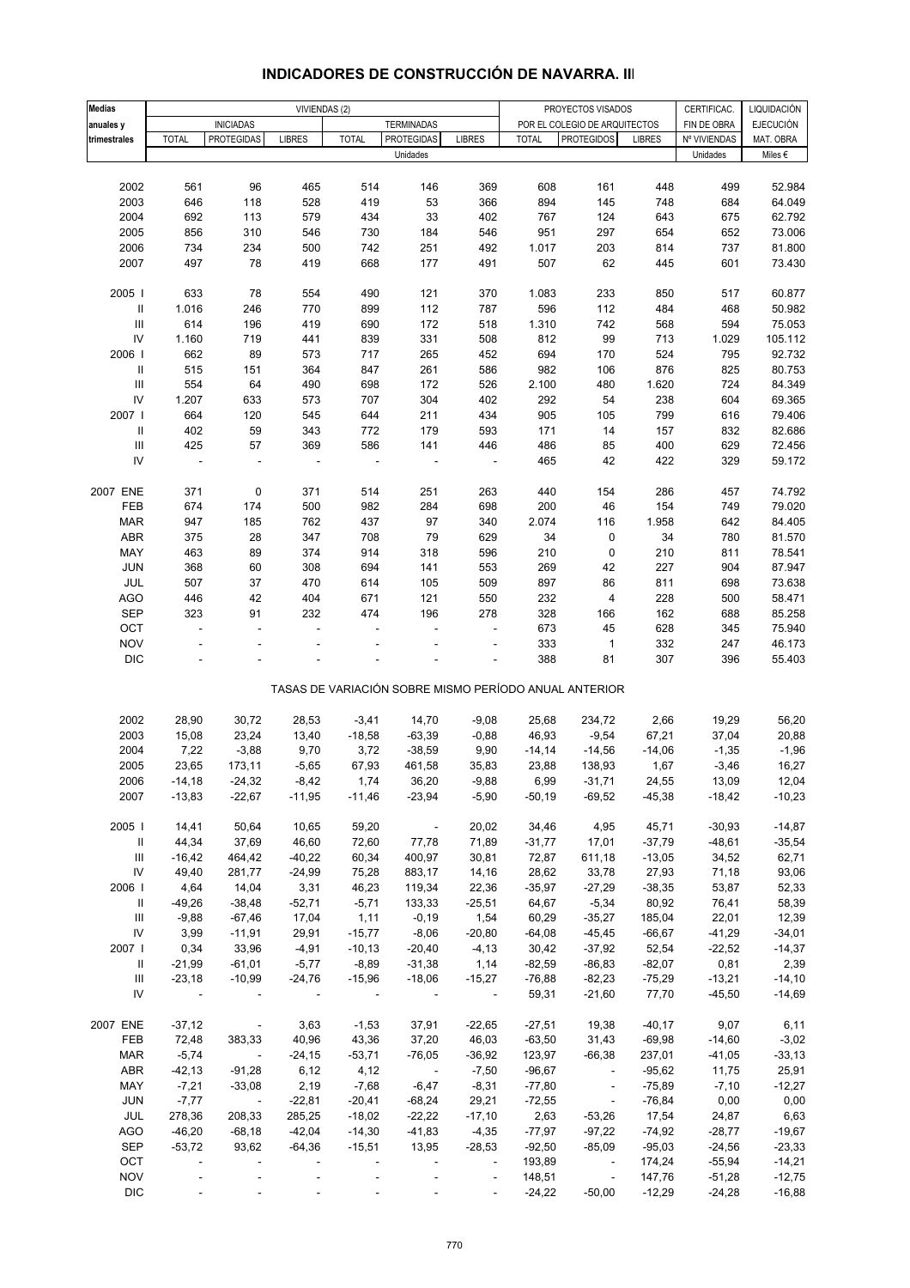| <b>Medias</b>                      |                          | VIVIENDAS (2)            |                          |              |                       |                          | PROYECTOS VISADOS<br>CERTIFICAC. |                                                       |               |              |                                 |
|------------------------------------|--------------------------|--------------------------|--------------------------|--------------|-----------------------|--------------------------|----------------------------------|-------------------------------------------------------|---------------|--------------|---------------------------------|
| anuales y                          |                          | <b>INICIADAS</b>         |                          |              | <b>TERMINADAS</b>     |                          |                                  | POR EL COLEGIO DE ARQUITECTOS                         |               | FIN DE OBRA  | LIQUIDACIÓN<br><b>EJECUCIÓN</b> |
| trimestrales                       | <b>TOTAL</b>             | <b>PROTEGIDAS</b>        | <b>LIBRES</b>            | <b>TOTAL</b> | <b>PROTEGIDAS</b>     | <b>LIBRES</b>            | <b>TOTAL</b>                     | <b>PROTEGIDOS</b>                                     | <b>LIBRES</b> | Nº VIVIENDAS | MAT. OBRA                       |
|                                    |                          |                          |                          |              | Unidades              |                          |                                  |                                                       |               | Unidades     | Miles $\epsilon$                |
|                                    |                          |                          |                          |              |                       |                          |                                  |                                                       |               |              |                                 |
| 2002                               | 561                      | 96                       | 465                      | 514          | 146                   | 369                      | 608                              | 161                                                   | 448           | 499          | 52.984                          |
| 2003                               | 646                      | 118                      | 528                      | 419          | 53                    | 366                      | 894                              | 145                                                   | 748           | 684          | 64.049                          |
| 2004                               | 692                      | 113                      | 579                      | 434          | 33                    | 402                      | 767                              | 124                                                   | 643           | 675          | 62.792                          |
| 2005                               | 856                      | 310                      | 546                      | 730          | 184                   | 546                      | 951                              | 297                                                   | 654           | 652          | 73.006                          |
| 2006                               | 734                      | 234                      | 500                      | 742          | 251                   | 492                      | 1.017                            | 203                                                   | 814           | 737          | 81.800                          |
| 2007                               | 497                      | 78                       | 419                      | 668          | 177                   | 491                      | 507                              | 62                                                    | 445           | 601          | 73.430                          |
|                                    |                          |                          |                          |              |                       |                          |                                  |                                                       |               |              |                                 |
| 2005 l                             | 633                      | 78                       | 554                      | 490          | 121                   | 370                      | 1.083                            | 233                                                   | 850           | 517          | 60.877                          |
| Ш                                  | 1.016                    | 246                      | 770                      | 899          | 112                   | 787                      | 596                              | 112                                                   | 484           | 468          | 50.982                          |
| $\ensuremath{\mathsf{III}}\xspace$ | 614                      | 196                      | 419                      | 690          | 172                   | 518                      | 1.310                            | 742                                                   | 568           | 594          | 75.053                          |
| ${\sf IV}$                         | 1.160                    | 719                      | 441                      | 839          | 331                   | 508                      | 812                              | 99                                                    | 713           | 1.029        | 105.112                         |
| 2006                               | 662                      | 89                       | 573                      | 717          | 265                   | 452                      | 694                              | 170                                                   | 524           | 795          | 92.732                          |
| $\mathsf{I}$                       | 515                      | 151                      | 364                      | 847          | 261                   | 586                      | 982                              | 106                                                   | 876           | 825          | 80.753                          |
| $\ensuremath{\mathsf{III}}\xspace$ | 554                      | 64                       | 490                      | 698          | 172                   | 526                      | 2.100                            | 480                                                   | 1.620         | 724          | 84.349                          |
| IV                                 | 1.207                    | 633                      | 573                      | 707          | 304                   | 402                      | 292                              | 54                                                    | 238           | 604          | 69.365                          |
| 2007                               | 664                      | 120                      | 545                      | 644          | 211                   | 434                      | 905                              | 105                                                   | 799           | 616          | 79.406                          |
| $\sf II$                           | 402                      |                          | 343                      | 772          | 179                   | 593                      |                                  | 14                                                    | 157           |              | 82.686                          |
|                                    |                          | 59                       |                          |              |                       |                          | 171                              |                                                       |               | 832          |                                 |
| $\ensuremath{\mathsf{III}}\xspace$ | 425                      | 57                       | 369                      | 586          | 141                   | 446                      | 486                              | 85                                                    | 400           | 629          | 72.456                          |
| IV                                 | ÷,                       | ÷,                       |                          |              |                       |                          | 465                              | 42                                                    | 422           | 329          | 59.172                          |
|                                    |                          |                          |                          |              |                       |                          |                                  |                                                       |               |              |                                 |
| 2007 ENE                           | 371                      | 0                        | 371                      | 514          | 251                   | 263                      | 440                              | 154                                                   | 286           | 457          | 74.792                          |
| FEB                                | 674                      | 174                      | 500                      | 982          | 284                   | 698                      | 200                              | 46                                                    | 154           | 749          | 79.020                          |
| <b>MAR</b>                         | 947                      | 185                      | 762                      | 437          | 97                    | 340                      | 2.074                            | 116                                                   | 1.958         | 642          | 84.405                          |
| ABR                                | 375                      | 28                       | 347                      | 708          | 79                    | 629                      | 34                               | 0                                                     | 34            | 780          | 81.570                          |
| MAY                                | 463                      | 89                       | 374                      | 914          | 318                   | 596                      | 210                              | $\pmb{0}$                                             | 210           | 811          | 78.541                          |
| <b>JUN</b>                         | 368                      | 60                       | 308                      | 694          | 141                   | 553                      | 269                              | 42                                                    | 227           | 904          | 87.947                          |
| <b>JUL</b>                         | 507                      | 37                       | 470                      | 614          | 105                   | 509                      | 897                              | 86                                                    | 811           | 698          | 73.638                          |
| <b>AGO</b>                         | 446                      | 42                       | 404                      | 671          | 121                   | 550                      | 232                              | 4                                                     | 228           | 500          | 58.471                          |
| <b>SEP</b>                         | 323                      | 91                       | 232                      | 474          | 196                   | 278                      | 328                              | 166                                                   | 162           | 688          | 85.258                          |
| OCT                                | $\overline{\phantom{a}}$ | ä,                       | ä,                       |              | ÷,                    | ÷,                       | 673                              | 45                                                    | 628           | 345          | 75.940                          |
| <b>NOV</b>                         |                          |                          |                          |              |                       |                          | 333                              | $\mathbf{1}$                                          | 332           | 247          | 46.173                          |
| $\mathsf{DIC}$                     |                          |                          |                          |              |                       |                          | 388                              | 81                                                    | 307           | 396          | 55.403                          |
|                                    |                          |                          |                          |              |                       |                          |                                  | TASAS DE VARIACIÓN SOBRE MISMO PERÍODO ANUAL ANTERIOR |               |              |                                 |
|                                    |                          |                          |                          |              |                       |                          |                                  |                                                       |               |              |                                 |
| 2002                               | 28,90                    | 30,72                    | 28,53                    | $-3,41$      | 14,70                 | $-9,08$                  | 25,68                            | 234,72                                                | 2,66          | 19,29        | 56,20                           |
| 2003                               | 15,08                    | 23,24                    | 13,40                    | $-18,58$     | $-63,39$              | $-0,88$                  | 46,93                            | $-9,54$                                               | 67,21         | 37,04        | 20,88                           |
| 2004                               | 7,22                     | $-3,88$                  | 9,70                     | 3,72         | $-38,59$              | 9,90                     | $-14,14$                         | $-14,56$                                              | $-14,06$      | $-1,35$      | $-1,96$                         |
| 2005                               | 23,65                    | 173,11                   | $-5,65$                  | 67,93        | 461,58                | 35,83                    | 23,88                            | 138,93                                                | 1,67          | $-3,46$      | 16,27                           |
| 2006                               | -14,18                   | -24,32                   | -8,42                    | 1,74         | 36,20                 | -9,88                    | 6,99                             | -31,71                                                | 24,55         | 13,09        | 12,04                           |
| 2007                               | $-13,83$                 | $-22,67$                 | $-11,95$                 | $-11,46$     | $-23,94$              | $-5,90$                  | $-50,19$                         | $-69,52$                                              | $-45,38$      | $-18,42$     | $-10,23$                        |
|                                    |                          |                          |                          |              |                       |                          |                                  |                                                       |               |              |                                 |
| 2005                               | 14,41                    | 50,64                    | 10,65                    | 59,20        | $\sim 100$ m $^{-1}$  | 20,02                    | 34,46                            | 4,95                                                  | 45,71         | $-30,93$     | $-14,87$                        |
| $\mathbb{I}$                       | 44,34                    | 37,69                    | 46,60                    | 72,60        | 77,78                 | 71,89                    | $-31,77$                         | 17,01                                                 | $-37,79$      | $-48,61$     | $-35,54$                        |
| Ш                                  | $-16,42$                 | 464,42                   | $-40,22$                 | 60,34        | 400,97                | 30,81                    | 72,87                            | 611,18                                                | $-13,05$      | 34,52        | 62,71                           |
| IV                                 | 49,40                    | 281,77                   | $-24,99$                 | 75,28        | 883,17                | 14,16                    | 28,62                            | 33,78                                                 | 27,93         | 71,18        | 93,06                           |
| 2006                               | 4,64                     | 14,04                    | 3,31                     | 46,23        | 119,34                | 22,36                    | $-35,97$                         | $-27,29$                                              | $-38,35$      | 53,87        | 52,33                           |
| Ш                                  | $-49,26$                 | $-38,48$                 | $-52,71$                 | $-5,71$      | 133,33                | $-25,51$                 | 64,67                            | $-5,34$                                               | 80,92         | 76,41        | 58,39                           |
| Ш                                  | $-9,88$                  | $-67,46$                 | 17,04                    | 1,11         | $-0,19$               | 1,54                     | 60,29                            | $-35,27$                                              | 185,04        | 22,01        | 12,39                           |
| IV                                 | 3,99                     | $-11,91$                 | 29,91                    | $-15,77$     | $-8,06$               | $-20,80$                 | $-64,08$                         | $-45,45$                                              | $-66,67$      | $-41,29$     | $-34,01$                        |
| 2007                               | 0,34                     | 33,96                    | $-4,91$                  | $-10,13$     | $-20,40$              | $-4, 13$                 | 30,42                            | $-37,92$                                              | 52,54         | $-22,52$     | $-14,37$                        |
| Ш                                  | $-21,99$                 | $-61,01$                 | $-5,77$                  | $-8,89$      | $-31,38$              | 1,14                     | $-82,59$                         | $-86,83$                                              | $-82,07$      | 0,81         | 2,39                            |
| Ш                                  | $-23,18$                 | $-10,99$                 | $-24,76$                 | $-15,96$     | $-18,06$              | $-15,27$                 | $-76,88$                         | $-82,23$                                              | $-75,29$      | $-13,21$     | $-14,10$                        |
| IV                                 | $\sim$ $\sim$            | $\blacksquare$           | $\sim$ 10 $\pm$          | $\sim 10$    | $\sim 100$            | $\sim 10$                | 59,31                            | $-21,60$                                              | 77,70         | $-45,50$     | $-14,69$                        |
|                                    |                          |                          |                          |              |                       |                          |                                  |                                                       |               |              |                                 |
| 2007 ENE                           | $-37,12$                 | $\sim 100$ km s $^{-1}$  | 3,63                     | $-1,53$      | 37,91                 | $-22,65$                 | $-27,51$                         | 19,38                                                 | $-40,17$      | 9,07         | 6,11                            |
| FEB                                | 72,48                    | 383,33                   | 40,96                    | 43,36        | 37,20                 | 46,03                    | $-63,50$                         | 31,43                                                 | $-69,98$      | $-14,60$     | $-3,02$                         |
| <b>MAR</b>                         | $-5,74$                  | $\sim 100$ km $^{-1}$    | $-24,15$                 | $-53,71$     | $-76,05$              | $-36,92$                 | 123,97                           | $-66,38$                                              | 237,01        | $-41,05$     | $-33,13$                        |
| ABR                                | $-42, 13$                | $-91,28$                 | 6,12                     | 4,12         | $\sim 100$ km $^{-1}$ | $-7,50$                  | $-96,67$                         | $\sim$                                                | $-95,62$      | 11,75        | 25,91                           |
| MAY                                | $-7,21$                  | $-33,08$                 | 2,19                     | $-7,68$      | $-6,47$               | $-8,31$                  | $-77,80$                         | $\sim$ $-$                                            | $-75,89$      | $-7,10$      | $-12,27$                        |
| JUN                                | $-7,77$                  | $\sim 100$ km $^{-1}$    | $-22,81$                 | $-20,41$     | $-68,24$              | 29,21                    | $-72,55$                         | $\blacksquare$                                        | $-76,84$      | 0,00         | 0,00                            |
| JUL                                | 278,36                   | 208,33                   | 285,25                   | $-18,02$     | $-22,22$              | $-17,10$                 | 2,63                             | $-53,26$                                              | 17,54         | 24,87        | 6,63                            |
| AGO                                | $-46,20$                 | $-68,18$                 | $-42,04$                 | $-14,30$     | $-41,83$              | $-4,35$                  | $-77,97$                         | $-97,22$                                              | $-74,92$      | $-28,77$     | $-19,67$                        |
| <b>SEP</b>                         |                          |                          |                          |              |                       |                          |                                  |                                                       |               |              |                                 |
| OCT                                | $-53,72$                 | 93,62                    | $-64,36$                 | $-15,51$     | 13,95                 | $-28,53$                 | $-92,50$                         | $-85,09$                                              | $-95,03$      | $-24,56$     | $-23,33$                        |
| <b>NOV</b>                         | $\overline{\phantom{a}}$ | $\overline{\phantom{a}}$ | $\overline{\phantom{a}}$ |              |                       | $\overline{\phantom{a}}$ | 193,89                           | $\sim 100$ km $^{-1}$                                 | 174,24        | $-55,94$     | $-14,21$                        |
|                                    | $\overline{\phantom{a}}$ | $\overline{\phantom{a}}$ | $\overline{\phantom{a}}$ |              | $\blacksquare$        | $\blacksquare$           | 148,51                           | $\overline{\phantom{a}}$                              | 147,76        | $-51,28$     | $-12,75$                        |
| $\mathsf{DIC}$                     |                          |                          |                          |              |                       | $\blacksquare$           | $-24,22$                         | $-50,00$                                              | $-12,29$      | $-24,28$     | $-16,88$                        |

# **INDICADORES DE CONSTRUCCIÓN DE NAVARRA. III**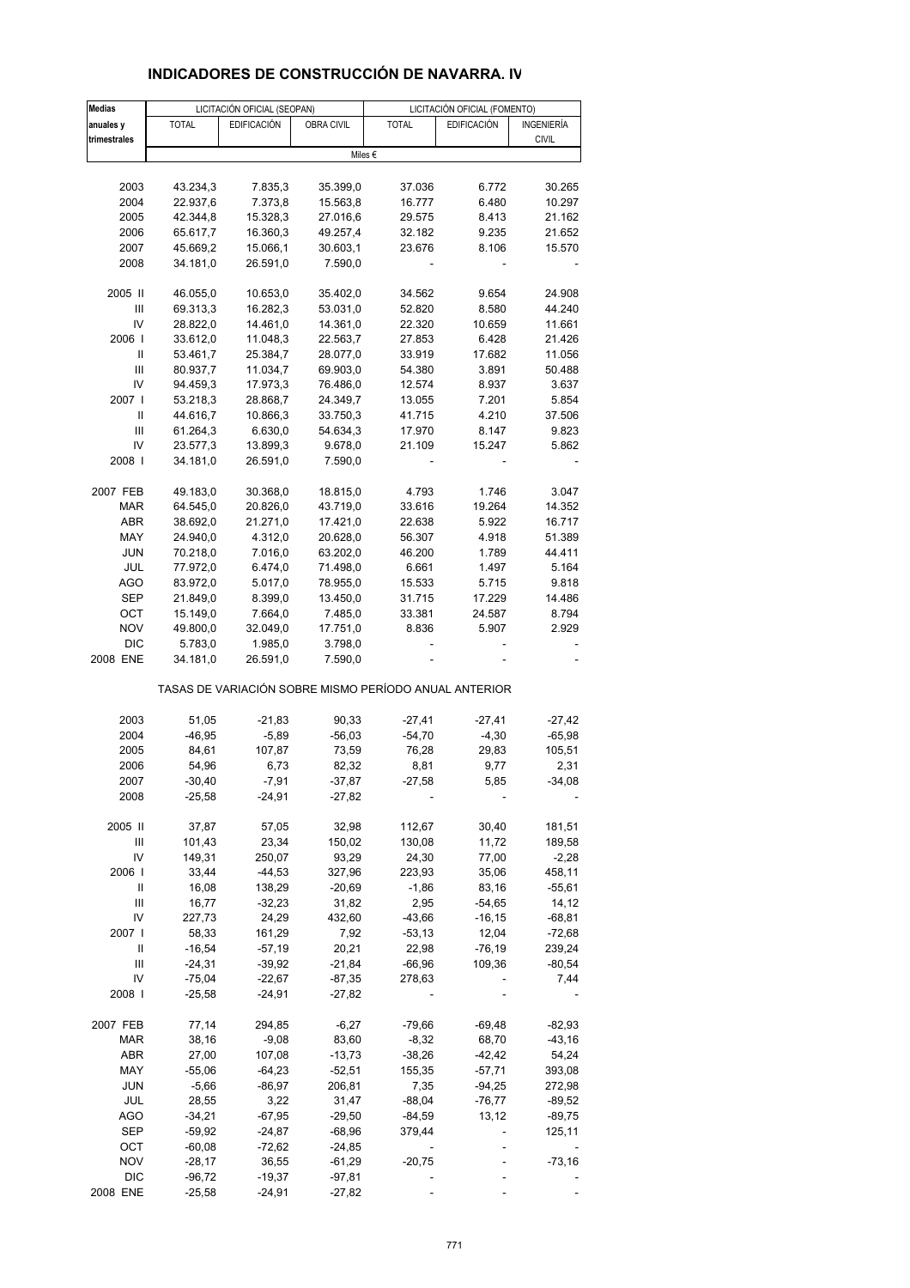| <b>Medias</b> |              | LICITACIÓN OFICIAL (SEOPAN) |            |                                                       | LICITACIÓN OFICIAL (FOMENTO) |              |
|---------------|--------------|-----------------------------|------------|-------------------------------------------------------|------------------------------|--------------|
| anuales y     | <b>TOTAL</b> | <b>EDIFICACIÓN</b>          | OBRA CIVIL | <b>TOTAL</b>                                          | <b>EDIFICACIÓN</b>           | INGENIERÍA   |
| trimestrales  |              |                             |            |                                                       |                              | <b>CIVIL</b> |
|               |              |                             |            | Miles €                                               |                              |              |
|               |              |                             |            |                                                       |                              |              |
| 2003          | 43.234,3     | 7.835,3                     | 35.399,0   | 37.036                                                | 6.772                        | 30.265       |
| 2004          | 22.937,6     | 7.373,8                     |            | 16.777                                                | 6.480                        | 10.297       |
|               |              |                             | 15.563,8   |                                                       |                              |              |
| 2005          | 42.344,8     | 15.328,3                    | 27.016,6   | 29.575                                                | 8.413                        | 21.162       |
| 2006          | 65.617,7     | 16.360,3                    | 49.257,4   | 32.182                                                | 9.235                        | 21.652       |
| 2007          | 45.669,2     | 15.066,1                    | 30.603,1   | 23.676                                                | 8.106                        | 15.570       |
| 2008          | 34.181,0     | 26.591,0                    | 7.590,0    |                                                       |                              |              |
|               |              |                             |            |                                                       |                              |              |
| 2005 II       | 46.055,0     | 10.653,0                    | 35.402,0   | 34.562                                                | 9.654                        | 24.908       |
| Ш             | 69.313,3     | 16.282,3                    | 53.031,0   | 52.820                                                | 8.580                        | 44.240       |
| IV            | 28.822,0     | 14.461,0                    | 14.361,0   | 22.320                                                | 10.659                       | 11.661       |
| 2006          | 33.612,0     | 11.048,3                    | 22.563,7   | 27.853                                                | 6.428                        | 21.426       |
| Ш             | 53.461,7     | 25.384,7                    | 28.077,0   | 33.919                                                | 17.682                       | 11.056       |
| Ш             | 80.937,7     | 11.034,7                    | 69.903,0   | 54.380                                                | 3.891                        | 50.488       |
| IV            | 94.459,3     | 17.973,3                    | 76.486,0   | 12.574                                                | 8.937                        | 3.637        |
| 2007          | 53.218,3     | 28.868,7                    | 24.349,7   | 13.055                                                | 7.201                        | 5.854        |
| Ш             | 44.616,7     | 10.866,3                    | 33.750,3   | 41.715                                                | 4.210                        | 37.506       |
| Ш             |              | 6.630,0                     |            |                                                       | 8.147                        |              |
|               | 61.264,3     |                             | 54.634,3   | 17.970                                                |                              | 9.823        |
| IV            | 23.577,3     | 13.899,3                    | 9.678,0    | 21.109                                                | 15.247                       | 5.862        |
| 2008          | 34.181,0     | 26.591,0                    | 7.590,0    |                                                       |                              |              |
|               |              |                             |            |                                                       |                              |              |
| 2007 FEB      | 49.183,0     | 30.368,0                    | 18.815,0   | 4.793                                                 | 1.746                        | 3.047        |
| <b>MAR</b>    | 64.545,0     | 20.826,0                    | 43.719,0   | 33.616                                                | 19.264                       | 14.352       |
| ABR           | 38.692,0     | 21.271,0                    | 17.421,0   | 22.638                                                | 5.922                        | 16.717       |
| MAY           | 24.940,0     | 4.312,0                     | 20.628,0   | 56.307                                                | 4.918                        | 51.389       |
| <b>JUN</b>    | 70.218,0     | 7.016,0                     | 63.202,0   | 46.200                                                | 1.789                        | 44.411       |
| JUL           | 77.972,0     | 6.474,0                     | 71.498,0   | 6.661                                                 | 1.497                        | 5.164        |
| AGO           | 83.972,0     | 5.017,0                     | 78.955,0   | 15.533                                                | 5.715                        | 9.818        |
| SEP           | 21.849,0     | 8.399,0                     | 13.450,0   | 31.715                                                | 17.229                       | 14.486       |
| OCT           | 15.149,0     | 7.664,0                     | 7.485,0    | 33.381                                                | 24.587                       | 8.794        |
| <b>NOV</b>    | 49.800,0     | 32.049,0                    | 17.751,0   | 8.836                                                 | 5.907                        | 2.929        |
| <b>DIC</b>    | 5.783,0      | 1.985,0                     | 3.798,0    |                                                       |                              |              |
| 2008 ENE      | 34.181,0     | 26.591,0                    | 7.590,0    |                                                       |                              |              |
|               |              |                             |            | TASAS DE VARIACIÓN SOBRE MISMO PERÍODO ANUAL ANTERIOR |                              |              |
|               |              |                             |            |                                                       |                              |              |
| 2003          | 51,05        | $-21,83$                    | 90,33      | $-27,41$                                              | $-27,41$                     | $-27,42$     |
| 2004          | $-46,95$     | $-5,89$                     | $-56,03$   | $-54,70$                                              | $-4,30$                      | $-65,98$     |
| 2005          | 84,61        | 107,87                      | 73,59      | 76,28                                                 | 29,83                        | 105,51       |
| 2006          | 54,96        | 6,73                        | 82,32      | 8,81                                                  | 9,77                         | 2,31         |
| 2007          | $-30,40$     | $-7,91$                     | $-37,87$   | $-27,58$                                              | 5,85                         | $-34,08$     |
| 2008          | $-25,58$     | -24,91                      | -27,82     |                                                       |                              |              |
|               |              |                             |            |                                                       |                              |              |
| 2005 II       | 37,87        | 57,05                       | 32,98      | 112,67                                                | 30,40                        | 181,51       |
| Ш             | 101,43       | 23,34                       | 150,02     | 130,08                                                | 11,72                        | 189,58       |
| IV            | 149,31       | 250,07                      | 93,29      | 24,30                                                 | 77,00                        | $-2,28$      |
| 2006          | 33,44        | -44,53                      | 327,96     | 223,93                                                | 35,06                        | 458,11       |
| Ш             | 16,08        | 138,29                      | $-20,69$   | $-1,86$                                               | 83,16                        | $-55,61$     |
| Ш             | 16,77        | $-32,23$                    | 31,82      | 2,95                                                  | $-54,65$                     | 14,12        |
| IV            | 227,73       | 24,29                       | 432,60     | $-43,66$                                              | $-16, 15$                    | $-68,81$     |
| 2007 l        | 58,33        | 161,29                      | 7,92       | $-53,13$                                              | 12,04                        | $-72,68$     |
|               | $-16,54$     |                             |            | 22,98                                                 |                              |              |
| Ш             |              | $-57,19$                    | 20,21      |                                                       | $-76,19$                     | 239,24       |
| Ш             | $-24,31$     | $-39,92$                    | $-21,84$   | $-66,96$                                              | 109,36                       | $-80,54$     |
| IV            | $-75,04$     | -22,67                      | $-87,35$   | 278,63                                                |                              | 7,44         |
| 2008          | $-25,58$     | $-24,91$                    | $-27,82$   |                                                       |                              |              |
| 2007 FEB      | 77,14        | 294,85                      | $-6,27$    | $-79,66$                                              | $-69,48$                     | $-82,93$     |
| MAR           | 38,16        | $-9,08$                     | 83,60      | $-8,32$                                               | 68,70                        | $-43,16$     |
| ABR           | 27,00        | 107,08                      | $-13,73$   | $-38,26$                                              | $-42,42$                     | 54,24        |
| MAY           | $-55,06$     | $-64,23$                    | $-52,51$   | 155,35                                                | -57,71                       | 393,08       |
|               |              |                             |            |                                                       |                              |              |
| <b>JUN</b>    | $-5,66$      | -86,97                      | 206,81     | 7,35                                                  | $-94,25$                     | 272,98       |
| JUL           | 28,55        | 3,22                        | 31,47      | $-88,04$                                              | $-76,77$                     | $-89,52$     |
| AGO           | -34,21       | $-67,95$                    | $-29,50$   | $-84,59$                                              | 13,12                        | $-89,75$     |
| SEP           | -59,92       | $-24,87$                    | $-68,96$   | 379,44                                                |                              | 125,11       |
| ост           | $-60,08$     | $-72,62$                    | $-24,85$   |                                                       |                              |              |
| <b>NOV</b>    | $-28,17$     | 36,55                       | -61,29     | $-20,75$                                              |                              | $-73,16$     |
| <b>DIC</b>    | $-96,72$     | $-19,37$                    | $-97,81$   |                                                       |                              |              |
| 2008 ENE      | $-25,58$     | $-24,91$                    | $-27,82$   |                                                       |                              |              |

# **INDICADORES DE CONSTRUCCIÓN DE NAVARRA. IV**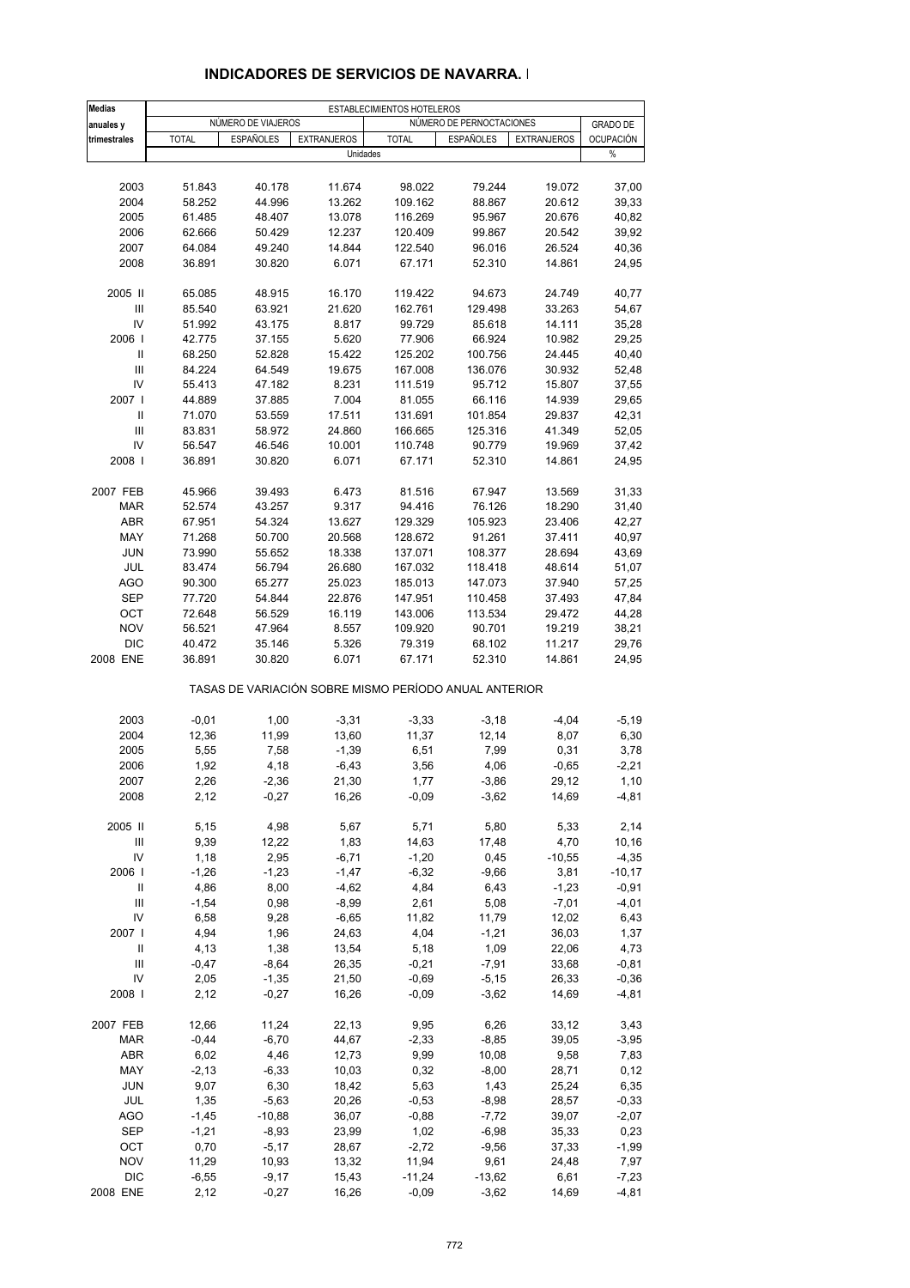| Medias                             |                  |                     |                                                       | ESTABLECIMIENTOS HOTELEROS |                          |                    |                    |
|------------------------------------|------------------|---------------------|-------------------------------------------------------|----------------------------|--------------------------|--------------------|--------------------|
| anuales y                          |                  | NÚMERO DE VIAJEROS  |                                                       |                            | NÚMERO DE PERNOCTACIONES |                    | <b>GRADO DE</b>    |
| trimestrales                       | <b>TOTAL</b>     | <b>ESPAÑOLES</b>    | <b>EXTRANJEROS</b>                                    | <b>TOTAL</b>               | <b>ESPAÑOLES</b>         | <b>EXTRANJEROS</b> | <b>OCUPACIÓN</b>   |
|                                    |                  |                     | Unidades                                              |                            |                          |                    | %                  |
|                                    |                  |                     |                                                       |                            |                          |                    |                    |
| 2003                               | 51.843           | 40.178              | 11.674                                                | 98.022                     | 79.244                   | 19.072             | 37,00              |
| 2004                               | 58.252           | 44.996              | 13.262                                                | 109.162                    | 88.867                   | 20.612             | 39,33              |
| 2005                               | 61.485           | 48.407              | 13.078                                                | 116.269                    | 95.967                   | 20.676             | 40,82              |
| 2006                               | 62.666           | 50.429              | 12.237                                                | 120.409                    | 99.867                   | 20.542             | 39,92              |
| 2007                               | 64.084           | 49.240              | 14.844                                                | 122.540                    | 96.016                   | 26.524             | 40,36              |
| 2008                               | 36.891           | 30.820              | 6.071                                                 | 67.171                     | 52.310                   | 14.861             | 24,95              |
| 2005 II                            | 65.085           | 48.915              | 16.170                                                | 119.422                    | 94.673                   | 24.749             | 40,77              |
| $\mathsf{III}\,$                   | 85.540           | 63.921              | 21.620                                                | 162.761                    | 129.498                  | 33.263             | 54,67              |
| IV                                 | 51.992           | 43.175              | 8.817                                                 | 99.729                     | 85.618                   | 14.111             | 35,28              |
| 2006                               | 42.775           | 37.155              | 5.620                                                 | 77.906                     | 66.924                   | 10.982             | 29,25              |
| Ш                                  | 68.250           | 52.828              | 15.422                                                | 125.202                    | 100.756                  | 24.445             | 40,40              |
| Ш                                  | 84.224           | 64.549              | 19.675                                                | 167.008                    | 136.076                  | 30.932             | 52,48              |
| IV                                 | 55.413           | 47.182              | 8.231                                                 | 111.519                    | 95.712                   | 15.807             | 37,55              |
| 2007 l                             | 44.889           | 37.885              | 7.004                                                 | 81.055                     | 66.116                   | 14.939             | 29,65              |
| Ш                                  | 71.070           | 53.559              | 17.511                                                | 131.691                    | 101.854                  | 29.837             | 42,31              |
| Ш                                  | 83.831           | 58.972              | 24.860                                                | 166.665                    | 125.316                  | 41.349             | 52,05              |
| IV                                 | 56.547           | 46.546              | 10.001                                                | 110.748                    | 90.779                   | 19.969             | 37,42              |
| 2008                               | 36.891           | 30.820              | 6.071                                                 | 67.171                     | 52.310                   | 14.861             | 24,95              |
|                                    |                  |                     |                                                       |                            |                          |                    |                    |
| 2007 FEB<br><b>MAR</b>             | 45.966<br>52.574 | 39.493<br>43.257    | 6.473<br>9.317                                        | 81.516<br>94.416           | 67.947<br>76.126         | 13.569<br>18.290   | 31,33<br>31,40     |
| <b>ABR</b>                         | 67.951           | 54.324              | 13.627                                                | 129.329                    | 105.923                  | 23.406             | 42,27              |
| MAY                                | 71.268           | 50.700              | 20.568                                                | 128.672                    | 91.261                   | 37.411             | 40,97              |
| JUN                                | 73.990           | 55.652              | 18.338                                                | 137.071                    | 108.377                  | 28.694             | 43,69              |
| JUL                                | 83.474           | 56.794              | 26.680                                                | 167.032                    | 118.418                  | 48.614             | 51,07              |
| <b>AGO</b>                         | 90.300           | 65.277              | 25.023                                                | 185.013                    | 147.073                  | 37.940             | 57,25              |
| <b>SEP</b>                         | 77.720           | 54.844              | 22.876                                                | 147.951                    | 110.458                  | 37.493             | 47,84              |
| OCT                                | 72.648           | 56.529              | 16.119                                                | 143.006                    | 113.534                  | 29.472             | 44,28              |
| <b>NOV</b>                         | 56.521           | 47.964              | 8.557                                                 | 109.920                    | 90.701                   | 19.219             | 38,21              |
| <b>DIC</b>                         | 40.472           | 35.146              | 5.326                                                 | 79.319                     | 68.102                   | 11.217             | 29,76              |
| 2008 ENE                           | 36.891           | 30.820              | 6.071                                                 | 67.171                     | 52.310                   | 14.861             | 24,95              |
|                                    |                  |                     | TASAS DE VARIACIÓN SOBRE MISMO PERÍODO ANUAL ANTERIOR |                            |                          |                    |                    |
| 2003                               | $-0,01$          | 1,00                | $-3,31$                                               | $-3,33$                    | $-3,18$                  | $-4,04$            | $-5,19$            |
| 2004                               | 12,36            | 11,99               | 13,60                                                 | 11,37                      | 12,14                    | 8,07               | 6,30               |
| 2005                               | 5,55             | 7,58                | $-1,39$                                               | 6,51                       | 7,99                     | 0,31               | 3,78               |
| 2006                               | 1,92             | 4,18                | $-6,43$                                               | 3,56                       | 4,06                     | $-0,65$            | $-2,21$            |
| 2007                               | 2,26             | $-2,36$             | 21,30                                                 | 1,77                       | $-3,86$                  | 29,12              | 1,10               |
| 2008                               | 2,12             | $-0,27$             | 16,26                                                 | $-0,09$                    | $-3,62$                  | 14,69              | $-4,81$            |
|                                    |                  |                     |                                                       |                            |                          |                    |                    |
| 2005 II<br>Ш                       | 5,15<br>9,39     | 4,98<br>12,22       | 5,67<br>1,83                                          | 5,71<br>14,63              | 5,80<br>17,48            | 5,33<br>4,70       | 2,14<br>10,16      |
| IV                                 | 1,18             | 2,95                | $-6,71$                                               | $-1,20$                    | 0,45                     | $-10,55$           | $-4,35$            |
| 2006                               | $-1,26$          | $-1,23$             | $-1,47$                                               | $-6,32$                    | $-9,66$                  | 3,81               | $-10,17$           |
| Ш                                  | 4,86             | 8,00                | $-4,62$                                               | 4,84                       | 6,43                     | $-1,23$            | $-0,91$            |
| $\ensuremath{\mathsf{III}}\xspace$ | $-1,54$          | 0,98                | $-8,99$                                               | 2,61                       | 5,08                     | $-7,01$            | $-4,01$            |
| IV                                 | 6,58             | 9,28                | $-6,65$                                               | 11,82                      | 11,79                    | 12,02              | 6,43               |
| 2007 l                             | 4,94             | 1,96                | 24,63                                                 | 4,04                       | $-1,21$                  | 36,03              | 1,37               |
| Ш                                  | 4,13             | 1,38                | 13,54                                                 | 5,18                       | 1,09                     | 22,06              | 4,73               |
| Ш                                  | $-0,47$          | $-8,64$             | 26,35                                                 | $-0,21$                    | $-7,91$                  | 33,68              | $-0,81$            |
| IV                                 | 2,05             | $-1,35$             | 21,50                                                 | $-0,69$                    | $-5,15$                  | 26,33              | $-0,36$            |
| 2008                               | 2,12             | $-0,27$             | 16,26                                                 | $-0,09$                    | $-3,62$                  | 14,69              | -4,81              |
|                                    |                  |                     |                                                       |                            |                          |                    |                    |
| 2007 FEB                           | 12,66            | 11,24               | 22,13                                                 | 9,95                       | 6,26                     | 33,12              | 3,43               |
| MAR                                | $-0,44$          | $-6,70$             | 44,67                                                 | $-2,33$                    | $-8,85$                  | 39,05              | $-3,95$            |
| ABR                                | 6,02             | 4,46                | 12,73                                                 | 9,99                       | 10,08                    | 9,58               | 7,83               |
| MAY                                | $-2,13$          | $-6,33$             | 10,03                                                 | 0,32                       | $-8,00$                  | 28,71              | 0,12               |
| <b>JUN</b>                         | 9,07             | 6,30                | 18,42                                                 | 5,63                       | 1,43                     | 25,24              | 6,35               |
| JUL<br><b>AGO</b>                  | 1,35<br>$-1,45$  | $-5,63$<br>$-10,88$ | 20,26<br>36,07                                        | $-0,53$<br>$-0,88$         | $-8,98$<br>$-7,72$       | 28,57<br>39,07     | $-0,33$<br>$-2,07$ |
| SEP                                | $-1,21$          | $-8,93$             | 23,99                                                 | 1,02                       | $-6,98$                  | 35,33              | 0,23               |
| OCT                                | 0,70             | $-5,17$             | 28,67                                                 | $-2,72$                    | $-9,56$                  | 37,33              | $-1,99$            |
| <b>NOV</b>                         | 11,29            | 10,93               | 13,32                                                 | 11,94                      | 9,61                     | 24,48              | 7,97               |
| <b>DIC</b>                         | $-6,55$          | $-9,17$             | 15,43                                                 | $-11,24$                   | $-13,62$                 | 6,61               | $-7,23$            |
| 2008 ENE                           | 2,12             | $-0,27$             | 16,26                                                 | $-0,09$                    | $-3,62$                  | 14,69              | -4,81              |

## **INDICADORES DE SERVICIOS DE NAVARRA. I**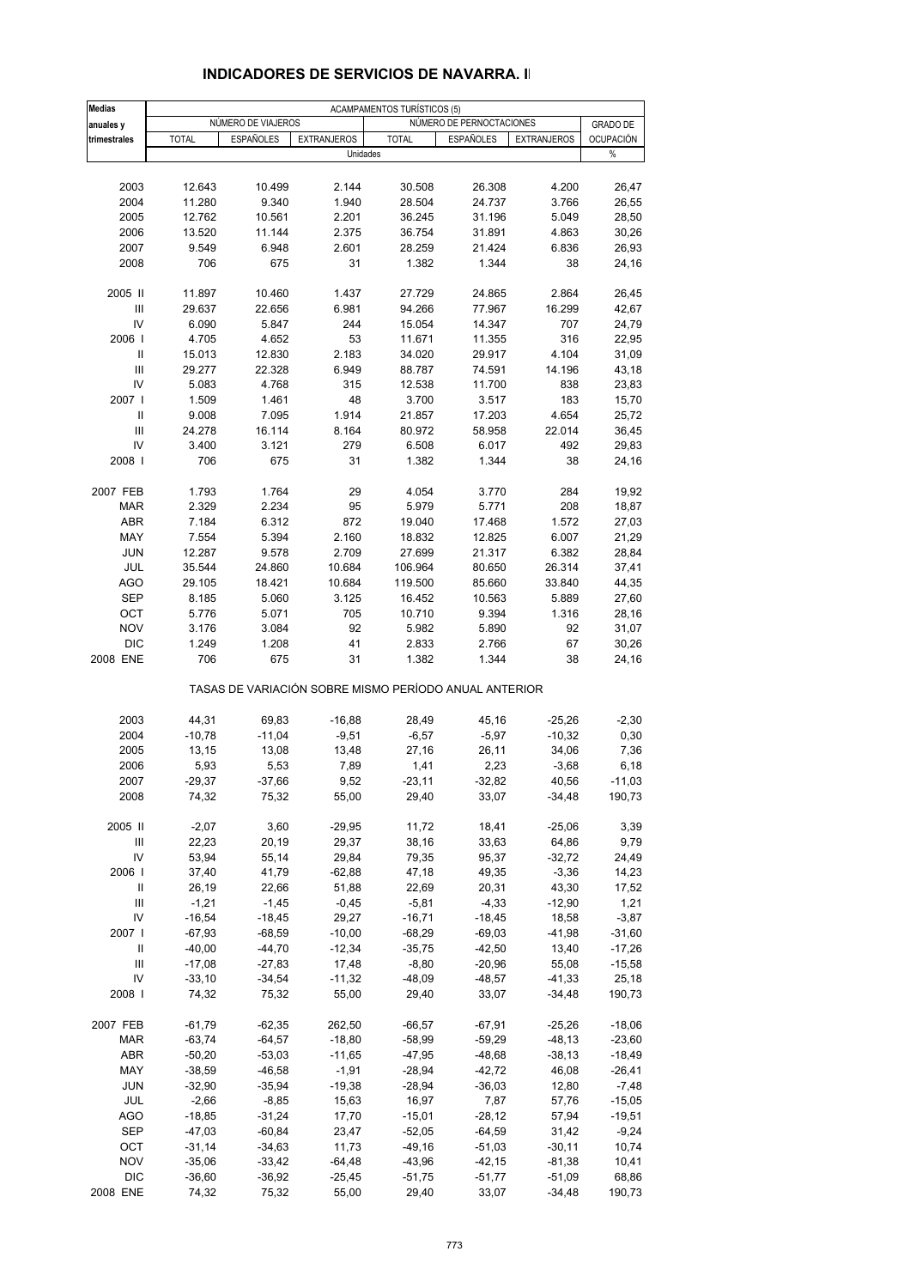| <b>Medias</b>                      |                      |                      |                     | <b>ACAMPAMENTOS TURÍSTICOS (5)</b>                    |                          |                     |                     |
|------------------------------------|----------------------|----------------------|---------------------|-------------------------------------------------------|--------------------------|---------------------|---------------------|
| anuales y                          |                      | NÚMERO DE VIAJEROS   |                     |                                                       | NÚMERO DE PERNOCTACIONES |                     | <b>GRADO DE</b>     |
| trimestrales                       | <b>TOTAL</b>         | <b>ESPAÑOLES</b>     | <b>EXTRANJEROS</b>  | <b>TOTAL</b>                                          | ESPAÑOLES                | <b>EXTRANJEROS</b>  | <b>OCUPACIÓN</b>    |
|                                    |                      |                      | Unidades            |                                                       |                          |                     | %                   |
|                                    |                      |                      |                     |                                                       |                          |                     |                     |
| 2003                               | 12.643               | 10.499               | 2.144               | 30.508                                                | 26.308                   | 4.200               | 26,47               |
| 2004                               | 11.280               | 9.340                | 1.940               | 28.504                                                | 24.737                   | 3.766               | 26,55               |
| 2005                               | 12.762               | 10.561               | 2.201               | 36.245                                                | 31.196                   | 5.049               | 28,50               |
| 2006<br>2007                       | 13.520<br>9.549      | 11.144<br>6.948      | 2.375<br>2.601      | 36.754<br>28.259                                      | 31.891<br>21.424         | 4.863<br>6.836      | 30,26<br>26,93      |
| 2008                               | 706                  | 675                  | 31                  | 1.382                                                 | 1.344                    | 38                  | 24,16               |
|                                    |                      |                      |                     |                                                       |                          |                     |                     |
| 2005 II                            | 11.897               | 10.460               | 1.437               | 27.729                                                | 24.865                   | 2.864               | 26,45               |
| Ш                                  | 29.637               | 22.656               | 6.981               | 94.266                                                | 77.967                   | 16.299              | 42,67               |
| IV                                 | 6.090                | 5.847                | 244                 | 15.054                                                | 14.347                   | 707                 | 24,79               |
| 2006                               | 4.705                | 4.652                | 53                  | 11.671                                                | 11.355                   | 316                 | 22,95               |
| Ш                                  | 15.013               | 12.830               | 2.183               | 34.020                                                | 29.917                   | 4.104               | 31,09               |
| Ш                                  | 29.277               | 22.328               | 6.949               | 88.787                                                | 74.591                   | 14.196              | 43,18               |
| IV                                 | 5.083                | 4.768                | 315                 | 12.538                                                | 11.700                   | 838                 | 23,83               |
| 2007                               | 1.509                | 1.461                | 48                  | 3.700                                                 | 3.517                    | 183                 | 15,70               |
| Ш                                  | 9.008                | 7.095                | 1.914               | 21.857                                                | 17.203                   | 4.654               | 25,72               |
| $\ensuremath{\mathsf{III}}\xspace$ | 24.278               | 16.114               | 8.164               | 80.972                                                | 58.958                   | 22.014              | 36,45               |
| IV                                 | 3.400                | 3.121                | 279                 | 6.508                                                 | 6.017                    | 492                 | 29,83               |
| 2008                               | 706                  | 675                  | 31                  | 1.382                                                 | 1.344                    | 38                  | 24,16               |
|                                    | 1.793                |                      |                     |                                                       |                          |                     |                     |
| 2007 FEB<br><b>MAR</b>             | 2.329                | 1.764<br>2.234       | 29<br>95            | 4.054<br>5.979                                        | 3.770<br>5.771           | 284<br>208          | 19,92<br>18,87      |
| <b>ABR</b>                         | 7.184                | 6.312                | 872                 | 19.040                                                | 17.468                   | 1.572               | 27,03               |
| MAY                                | 7.554                | 5.394                | 2.160               | 18.832                                                | 12.825                   | 6.007               | 21,29               |
| JUN                                | 12.287               | 9.578                | 2.709               | 27.699                                                | 21.317                   | 6.382               | 28,84               |
| <b>JUL</b>                         | 35.544               | 24.860               | 10.684              | 106.964                                               | 80.650                   | 26.314              | 37,41               |
| <b>AGO</b>                         | 29.105               | 18.421               | 10.684              | 119.500                                               | 85.660                   | 33.840              | 44,35               |
| <b>SEP</b>                         | 8.185                | 5.060                | 3.125               | 16.452                                                | 10.563                   | 5.889               | 27,60               |
| OCT                                | 5.776                | 5.071                | 705                 | 10.710                                                | 9.394                    | 1.316               | 28,16               |
| <b>NOV</b>                         | 3.176                | 3.084                | 92                  | 5.982                                                 | 5.890                    | 92                  | 31,07               |
| <b>DIC</b>                         | 1.249                | 1.208                | 41                  | 2.833                                                 | 2.766                    | 67                  | 30,26               |
| 2008 ENE                           | 706                  | 675                  | 31                  | 1.382                                                 | 1.344                    | 38                  | 24,16               |
|                                    |                      |                      |                     | TASAS DE VARIACIÓN SOBRE MISMO PERÍODO ANUAL ANTERIOR |                          |                     |                     |
| 2003                               | 44,31                | 69,83                | $-16,88$            | 28,49                                                 | 45,16                    | $-25,26$            | $-2,30$             |
| 2004                               | $-10,78$             | $-11,04$             | $-9,51$             | $-6,57$                                               | $-5,97$                  | $-10,32$            | 0,30                |
| 2005                               | 13,15                | 13,08                | 13,48               | 27,16                                                 | 26,11                    | 34,06               | 7,36                |
| 2006                               | 5,93                 | 5,53                 | 7,89                | 1,41                                                  | 2,23                     | $-3,68$             | 6,18                |
| 2007                               | $-29,37$             | $-37,66$             | 9,52                | $-23,11$                                              | $-32,82$                 | 40,56               | $-11,03$            |
| 2008                               | 74,32                | 75,32                | 55,00               | 29,40                                                 | 33,07                    | $-34,48$            | 190,73              |
|                                    |                      |                      |                     |                                                       |                          |                     |                     |
| 2005 II                            | $-2,07$              | 3,60                 | $-29,95$            | 11,72                                                 | 18,41                    | $-25,06$            | 3,39                |
| Ш                                  | 22,23                | 20,19                | 29,37               | 38,16                                                 | 33,63                    | 64,86               | 9,79                |
| IV<br>2006                         | 53,94<br>37,40       | 55,14<br>41,79       | 29,84<br>$-62,88$   | 79,35<br>47,18                                        | 95,37<br>49,35           | $-32,72$<br>$-3,36$ | 24,49<br>14,23      |
| Ш                                  | 26,19                | 22,66                | 51,88               | 22,69                                                 | 20,31                    | 43,30               | 17,52               |
| Ш                                  | $-1,21$              | $-1,45$              | $-0,45$             | $-5,81$                                               | $-4,33$                  | $-12,90$            | 1,21                |
| IV                                 | $-16,54$             | $-18,45$             | 29,27               | $-16,71$                                              | $-18,45$                 | 18,58               | $-3,87$             |
| 2007                               | $-67,93$             | $-68,59$             | $-10,00$            | $-68,29$                                              | $-69,03$                 | $-41,98$            | $-31,60$            |
| Ш                                  | $-40,00$             | $-44,70$             | $-12,34$            | $-35,75$                                              | $-42,50$                 | 13,40               | $-17,26$            |
| Ш                                  | $-17,08$             | $-27,83$             | 17,48               | $-8,80$                                               | $-20,96$                 | 55,08               | $-15,58$            |
| IV                                 | $-33,10$             | $-34,54$             | $-11,32$            | $-48,09$                                              | $-48,57$                 | $-41,33$            | 25,18               |
| 2008                               | 74,32                | 75,32                | 55,00               | 29,40                                                 | 33,07                    | $-34,48$            | 190,73              |
|                                    |                      |                      |                     |                                                       |                          |                     |                     |
| 2007 FEB                           | $-61,79$             | $-62,35$             | 262,50              | $-66,57$                                              | $-67,91$                 | $-25,26$            | $-18,06$            |
| MAR                                | $-63,74$             | $-64,57$             | $-18,80$            | $-58,99$                                              | $-59,29$                 | $-48,13$            | $-23,60$            |
| ABR                                | $-50,20$             | $-53,03$             | $-11,65$            | $-47,95$                                              | $-48,68$                 | $-38,13$            | $-18,49$            |
| MAY<br>JUN                         | $-38,59$<br>$-32,90$ | $-46,58$<br>$-35,94$ | $-1,91$<br>$-19,38$ | $-28,94$<br>$-28,94$                                  | $-42,72$<br>$-36,03$     | 46,08<br>12,80      | $-26,41$<br>$-7,48$ |
| JUL                                | $-2,66$              | $-8,85$              | 15,63               | 16,97                                                 | 7,87                     | 57,76               | $-15,05$            |
| AGO                                | $-18,85$             | $-31,24$             | 17,70               | $-15,01$                                              | $-28,12$                 | 57,94               | $-19,51$            |
| SEP                                | $-47,03$             | $-60,84$             | 23,47               | $-52,05$                                              | $-64,59$                 | 31,42               | $-9,24$             |
| OCT                                | $-31,14$             | $-34,63$             | 11,73               | $-49,16$                                              | $-51,03$                 | $-30,11$            | 10,74               |
| <b>NOV</b>                         | $-35,06$             | $-33,42$             | $-64,48$            | $-43,96$                                              | $-42,15$                 | $-81,38$            | 10,41               |
| <b>DIC</b>                         | $-36,60$             | $-36,92$             | $-25,45$            | $-51,75$                                              | $-51,77$                 | $-51,09$            | 68,86               |
| 2008 ENE                           | 74,32                | 75,32                | 55,00               | 29,40                                                 | 33,07                    | $-34,48$            | 190,73              |

#### **INDICADORES DE SERVICIOS DE NAVARRA. II**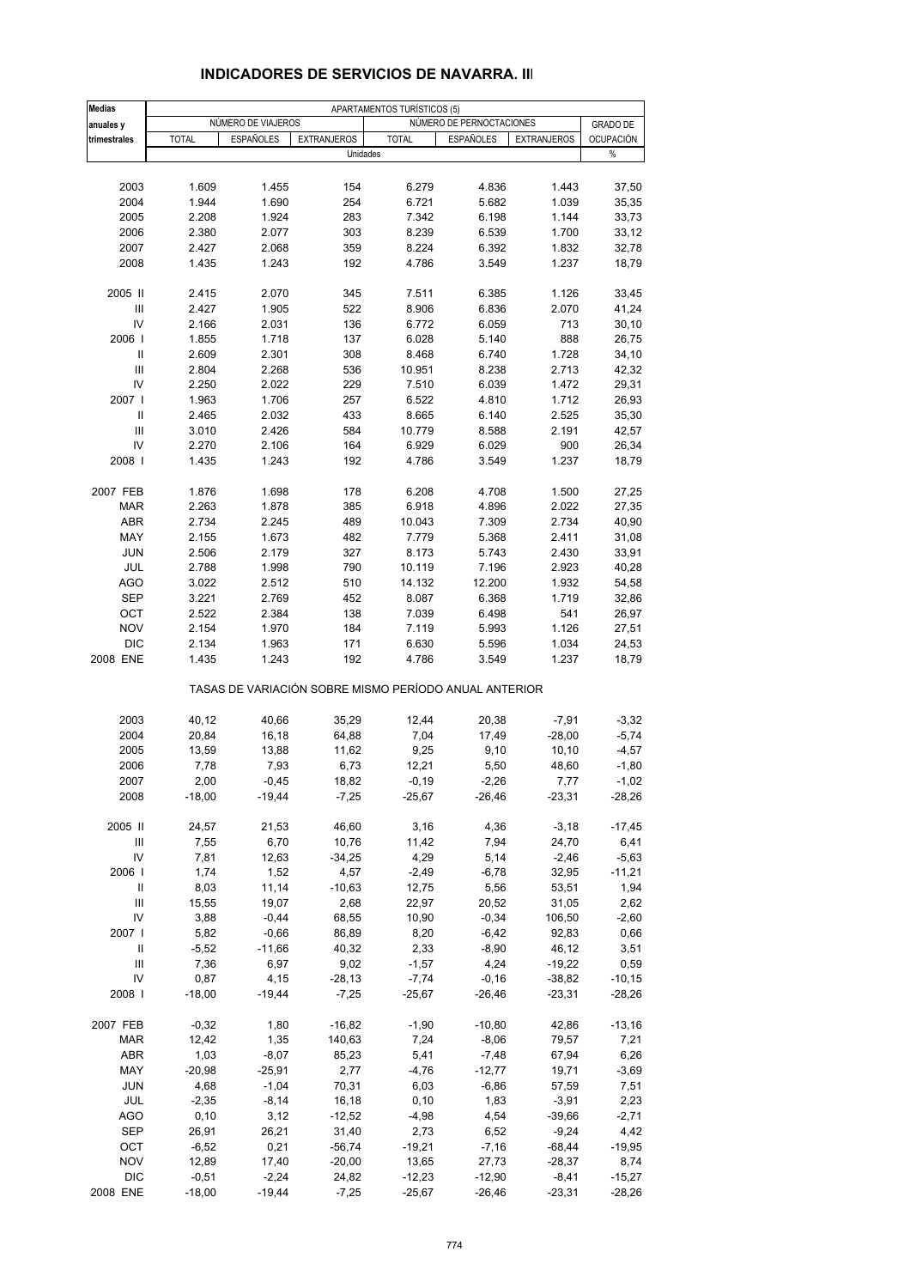| <b>Medias</b> |                |                    |                                                       | APARTAMENTOS TURÍSTICOS (5) |                          |                      |                   |
|---------------|----------------|--------------------|-------------------------------------------------------|-----------------------------|--------------------------|----------------------|-------------------|
| anuales y     |                | NÚMERO DE VIAJEROS |                                                       |                             | NÚMERO DE PERNOCTACIONES |                      | <b>GRADO DE</b>   |
| trimestrales  | <b>TOTAL</b>   | <b>ESPAÑOLES</b>   | <b>EXTRANJEROS</b>                                    | <b>TOTAL</b>                | <b>ESPAÑOLES</b>         | <b>EXTRANJEROS</b>   | <b>OCUPACIÓN</b>  |
|               |                |                    | Unidades                                              |                             |                          |                      | $\%$              |
|               |                |                    |                                                       |                             |                          |                      |                   |
| 2003          | 1.609          | 1.455              | 154                                                   | 6.279                       | 4.836                    | 1.443                | 37,50             |
| 2004          | 1.944          | 1.690              | 254                                                   | 6.721                       | 5.682                    | 1.039                | 35,35             |
| 2005          | 2.208          | 1.924              | 283                                                   | 7.342                       | 6.198                    | 1.144                | 33,73             |
| 2006          | 2.380          | 2.077              | 303                                                   | 8.239                       | 6.539                    | 1.700                | 33,12             |
| 2007          | 2.427          | 2.068              | 359                                                   | 8.224                       | 6.392                    | 1.832                | 32,78             |
| 2008          | 1.435          | 1.243              | 192                                                   | 4.786                       | 3.549                    | 1.237                | 18,79             |
|               |                |                    |                                                       |                             |                          |                      |                   |
| 2005 II       | 2.415          | 2.070              | 345                                                   | 7.511                       | 6.385                    | 1.126                | 33,45             |
| Ш<br>IV       | 2.427          | 1.905              | 522                                                   | 8.906                       | 6.836                    | 2.070                | 41,24             |
| 2006          | 2.166<br>1.855 | 2.031<br>1.718     | 136<br>137                                            | 6.772<br>6.028              | 6.059<br>5.140           | 713<br>888           | 30, 10<br>26,75   |
| Ш             | 2.609          | 2.301              | 308                                                   | 8.468                       | 6.740                    | 1.728                | 34,10             |
| Ш             | 2.804          | 2.268              | 536                                                   | 10.951                      | 8.238                    | 2.713                | 42,32             |
| IV            | 2.250          | 2.022              | 229                                                   | 7.510                       | 6.039                    | 1.472                | 29,31             |
| 2007 l        | 1.963          | 1.706              | 257                                                   | 6.522                       | 4.810                    | 1.712                | 26,93             |
| Ш             | 2.465          | 2.032              | 433                                                   | 8.665                       | 6.140                    | 2.525                | 35,30             |
| III           | 3.010          | 2.426              | 584                                                   | 10.779                      | 8.588                    | 2.191                | 42,57             |
| IV            | 2.270          | 2.106              | 164                                                   | 6.929                       | 6.029                    | 900                  | 26,34             |
| 2008          | 1.435          | 1.243              | 192                                                   | 4.786                       | 3.549                    | 1.237                | 18,79             |
|               |                |                    |                                                       |                             |                          |                      |                   |
| 2007 FEB      | 1.876          | 1.698              | 178                                                   | 6.208                       | 4.708                    | 1.500                | 27,25             |
| <b>MAR</b>    | 2.263          | 1.878              | 385                                                   | 6.918                       | 4.896                    | 2.022                | 27,35             |
| <b>ABR</b>    | 2.734          | 2.245              | 489                                                   | 10.043                      | 7.309                    | 2.734                | 40,90             |
| MAY           | 2.155          | 1.673              | 482                                                   | 7.779                       | 5.368                    | 2.411                | 31,08             |
| <b>JUN</b>    | 2.506          | 2.179              | 327                                                   | 8.173                       | 5.743                    | 2.430                | 33,91             |
| JUL           | 2.788          | 1.998              | 790                                                   | 10.119                      | 7.196                    | 2.923                | 40,28             |
| <b>AGO</b>    | 3.022          | 2.512              | 510                                                   | 14.132                      | 12.200                   | 1.932                | 54,58             |
| <b>SEP</b>    | 3.221          | 2.769              | 452                                                   | 8.087                       | 6.368                    | 1.719                | 32,86             |
| OCT           | 2.522          | 2.384              | 138                                                   | 7.039                       | 6.498                    | 541                  | 26,97             |
| <b>NOV</b>    | 2.154          | 1.970              | 184                                                   | 7.119                       | 5.993                    | 1.126                | 27,51             |
| <b>DIC</b>    | 2.134          | 1.963              | 171                                                   | 6.630                       | 5.596                    | 1.034                | 24,53             |
| 2008 ENE      | 1.435          | 1.243              | 192                                                   | 4.786                       | 3.549                    | 1.237                | 18,79             |
|               |                |                    | TASAS DE VARIACIÓN SOBRE MISMO PERÍODO ANUAL ANTERIOR |                             |                          |                      |                   |
| 2003          | 40,12          | 40,66              | 35,29                                                 | 12,44                       | 20,38                    | $-7,91$              | $-3,32$           |
| 2004          | 20,84          | 16,18              | 64,88                                                 | 7,04                        | 17,49                    | $-28,00$             | $-5,74$           |
| 2005          | 13,59          | 13,88              | 11,62                                                 | 9,25                        | 9,10                     | 10, 10               | $-4,57$           |
| 2006          | 7,78           | 7,93               | 6,73                                                  | 12,21                       | 5,50                     | 48,60                | $-1,80$           |
| 2007          | 2,00           | $-0,45$            | 18,82                                                 | $-0,19$                     | $-2,26$                  | 7,77                 | $-1,02$           |
| 2008          | $-18,00$       | $-19,44$           | $-7,25$                                               | $-25,67$                    | $-26,46$                 | $-23,31$             | $-28,26$          |
|               |                |                    |                                                       |                             |                          |                      |                   |
| 2005 II       | 24,57          | 21,53              | 46,60                                                 | 3,16                        | 4,36                     | $-3,18$              | $-17,45$          |
| Ш             | 7,55           | 6,70               | 10,76                                                 | 11,42                       | 7,94                     | 24,70                | 6,41              |
| IV            | 7,81           | 12,63              | $-34,25$                                              | 4,29                        | 5,14                     | $-2,46$              | $-5,63$           |
| 2006          | 1,74           | 1,52               | 4,57                                                  | $-2,49$                     | $-6,78$                  | 32,95                | $-11,21$          |
| Ш             | 8,03           | 11,14              | $-10,63$                                              | 12,75                       | 5,56                     | 53,51                | 1,94              |
| Ш             | 15,55          | 19,07              | 2,68                                                  | 22,97                       | 20,52                    | 31,05                | 2,62              |
| IV            | 3,88           | $-0,44$            | 68,55                                                 | 10,90                       | $-0,34$                  | 106,50               | $-2,60$           |
| 2007 l        | 5,82           | $-0,66$            | 86,89                                                 | 8,20                        | $-6,42$                  | 92,83                | 0,66              |
| Ш             | $-5,52$        | $-11,66$           | 40,32<br>9,02                                         | 2,33                        | $-8,90$                  | 46,12                | 3,51              |
| Ш<br>IV       | 7,36<br>0,87   | 6,97<br>4,15       | $-28,13$                                              | $-1,57$<br>$-7,74$          | 4,24<br>$-0,16$          | $-19,22$<br>$-38,82$ | 0,59<br>$-10, 15$ |
| 2008          | $-18,00$       | $-19,44$           | $-7,25$                                               | $-25,67$                    | $-26,46$                 | $-23,31$             | $-28,26$          |
|               |                |                    |                                                       |                             |                          |                      |                   |
| 2007 FEB      | $-0,32$        | 1,80               | $-16,82$                                              | $-1,90$                     | $-10,80$                 | 42,86                | $-13,16$          |
| MAR           | 12,42          | 1,35               | 140,63                                                | 7,24                        | $-8,06$                  | 79,57                | 7,21              |
| ABR           | 1,03           | $-8,07$            | 85,23                                                 | 5,41                        | $-7,48$                  | 67,94                | 6,26              |
| MAY           | $-20,98$       | $-25,91$           | 2,77                                                  | $-4,76$                     | $-12,77$                 | 19,71                | $-3,69$           |
| <b>JUN</b>    | 4,68           | $-1,04$            | 70,31                                                 | 6,03                        | $-6,86$                  | 57,59                | 7,51              |
| JUL           | $-2,35$        | $-8,14$            | 16,18                                                 | 0, 10                       | 1,83                     | $-3,91$              | 2,23              |
| AGO           | 0, 10          | 3,12               | $-12,52$                                              | $-4,98$                     | 4,54                     | $-39,66$             | $-2,71$           |
| SEP           | 26,91          | 26,21              | 31,40                                                 | 2,73                        | 6,52                     | $-9,24$              | 4,42              |
| ОСТ           | $-6,52$        | 0,21               | $-56,74$                                              | $-19,21$                    | $-7,16$                  | $-68,44$             | $-19,95$          |
| <b>NOV</b>    | 12,89          | 17,40              | $-20,00$                                              | 13,65                       | 27,73                    | $-28,37$             | 8,74              |
| <b>DIC</b>    | $-0,51$        | $-2,24$            | 24,82                                                 | $-12,23$                    | $-12,90$                 | $-8,41$              | $-15,27$          |
| 2008 ENE      | $-18,00$       | $-19,44$           | $-7,25$                                               | $-25,67$                    | $-26,46$                 | $-23,31$             | $-28,26$          |

#### **INDICADORES DE SERVICIOS DE NAVARRA. III**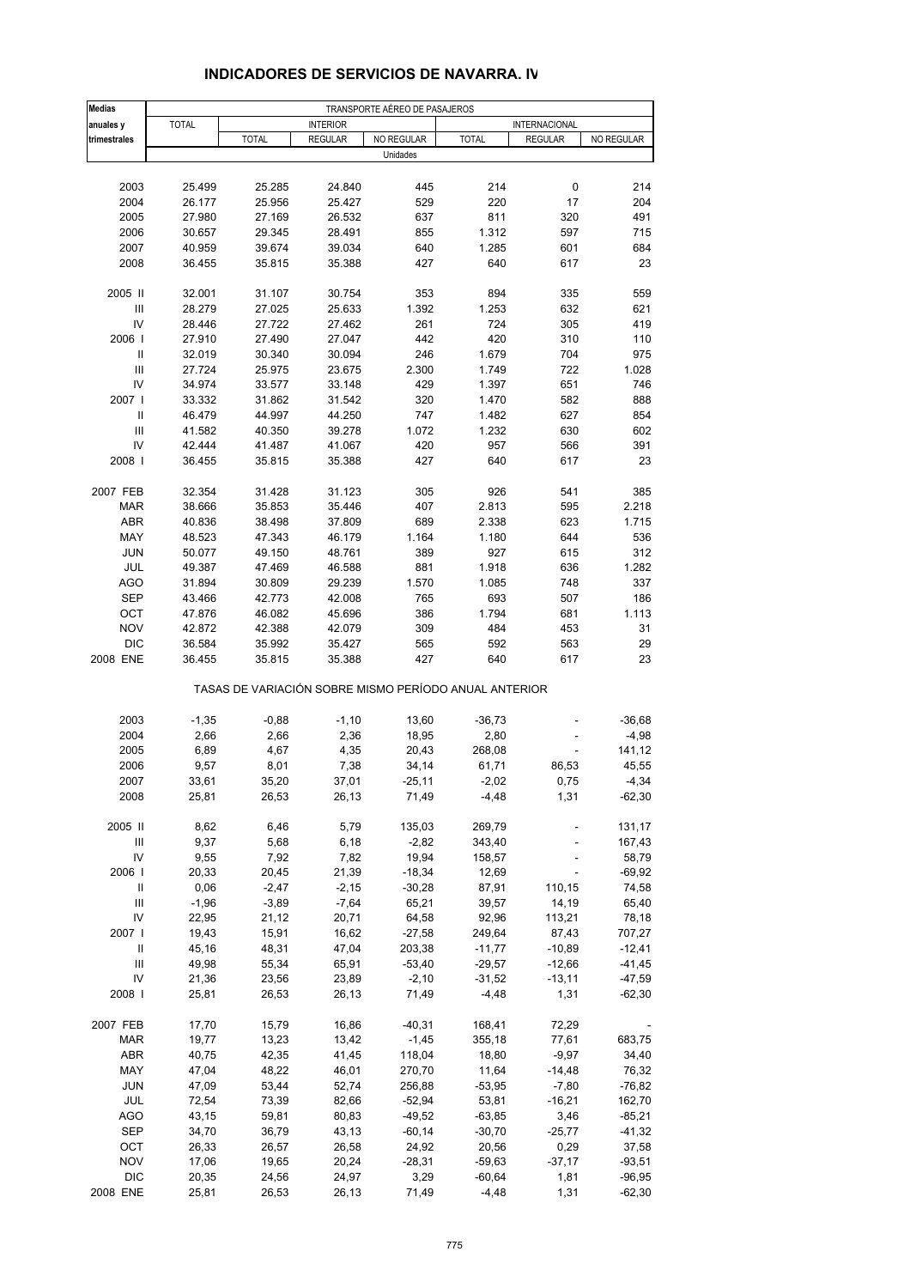| <b>Medias</b>    |              |              |                 | TRANSPORTE AÉREO DE PASAJEROS |                                                       |                |                  |
|------------------|--------------|--------------|-----------------|-------------------------------|-------------------------------------------------------|----------------|------------------|
| anuales y        | <b>TOTAL</b> |              | <b>INTERIOR</b> |                               |                                                       | INTERNACIONAL  |                  |
| trimestrales     |              | <b>TOTAL</b> | <b>REGULAR</b>  | NO REGULAR                    | <b>TOTAL</b>                                          | <b>REGULAR</b> | NO REGULAR       |
|                  |              |              |                 | Unidades                      |                                                       |                |                  |
|                  |              |              |                 |                               |                                                       |                |                  |
| 2003             | 25.499       | 25.285       | 24.840          | 445                           | 214                                                   | 0              | 214              |
| 2004             | 26.177       | 25.956       | 25.427          | 529                           | 220                                                   | 17             | 204              |
| 2005             | 27.980       | 27.169       | 26.532          | 637                           | 811                                                   | 320            | 491              |
| 2006             | 30.657       | 29.345       | 28.491          | 855                           | 1.312                                                 | 597            | 715              |
| 2007             | 40.959       | 39.674       | 39.034          | 640                           | 1.285                                                 | 601            | 684              |
| 2008             | 36.455       | 35.815       | 35.388          | 427                           | 640                                                   | 617            | 23               |
| 2005 II          | 32.001       | 31.107       | 30.754          | 353                           | 894                                                   | 335            | 559              |
| Ш                | 28.279       | 27.025       | 25.633          | 1.392                         | 1.253                                                 | 632            | 621              |
| IV               | 28.446       | 27.722       | 27.462          | 261                           | 724                                                   | 305            | 419              |
| 2006             | 27.910       | 27.490       | 27.047          | 442                           | 420                                                   | 310            | 110              |
| $\sf II$         | 32.019       | 30.340       | 30.094          | 246                           | 1.679                                                 | 704            | 975              |
| $\mathsf{III}\,$ | 27.724       | 25.975       | 23.675          | 2.300                         | 1.749                                                 | 722            | 1.028            |
| IV               | 34.974       | 33.577       | 33.148          | 429                           | 1.397                                                 | 651            | 746              |
| 2007 l           | 33.332       | 31.862       | 31.542          | 320                           | 1.470                                                 | 582            | 888              |
| Ш                | 46.479       | 44.997       | 44.250          | 747                           | 1.482                                                 | 627            | 854              |
| III              | 41.582       | 40.350       | 39.278          | 1.072                         | 1.232                                                 | 630            | 602              |
| IV               | 42.444       | 41.487       | 41.067          | 420                           | 957                                                   | 566            | 391              |
| 2008             | 36.455       | 35.815       | 35.388          | 427                           | 640                                                   | 617            | 23               |
| 2007 FEB         | 32.354       | 31.428       | 31.123          | 305                           | 926                                                   | 541            | 385              |
| <b>MAR</b>       | 38.666       | 35.853       | 35.446          | 407                           | 2.813                                                 | 595            | 2.218            |
| <b>ABR</b>       | 40.836       | 38.498       | 37.809          | 689                           | 2.338                                                 | 623            | 1.715            |
| MAY              | 48.523       | 47.343       | 46.179          | 1.164                         | 1.180                                                 | 644            | 536              |
| <b>JUN</b>       | 50.077       | 49.150       | 48.761          | 389                           | 927                                                   | 615            | 312              |
| JUL              | 49.387       | 47.469       | 46.588          | 881                           | 1.918                                                 | 636            | 1.282            |
| <b>AGO</b>       | 31.894       | 30.809       | 29.239          | 1.570                         | 1.085                                                 | 748            | 337              |
| <b>SEP</b>       | 43.466       | 42.773       | 42.008          | 765                           | 693                                                   | 507            | 186              |
| OCT              | 47.876       | 46.082       | 45.696          | 386                           | 1.794                                                 | 681            | 1.113            |
| <b>NOV</b>       | 42.872       | 42.388       | 42.079          | 309                           | 484                                                   | 453            | 31               |
| <b>DIC</b>       | 36.584       | 35.992       | 35.427          | 565                           | 592                                                   | 563            | 29               |
| 2008 ENE         | 36.455       | 35.815       | 35.388          | 427                           | 640                                                   | 617            | 23               |
|                  |              |              |                 |                               | TASAS DE VARIACIÓN SOBRE MISMO PERÍODO ANUAL ANTERIOR |                |                  |
| 2003             | $-1,35$      | $-0,88$      | $-1,10$         | 13,60                         | $-36,73$                                              |                | $-36,68$         |
| 2004             | 2,66         | 2,66         | 2,36            | 18,95                         | 2,80                                                  |                | $-4,98$          |
| 2005             | 6,89         | 4,67         | 4,35            | 20,43                         | 268,08                                                |                | 141,12           |
| 2006             | 9,57         | 8,01         | 7,38            | 34,14                         | 61,71                                                 | 86,53          | 45,55            |
| 2007             | 33,61        | 35,20        | 37,01           | $-25,11$                      | $-2,02$                                               | 0,75           | $-4,34$          |
| 2008             | 25,81        | 26,53        | 26,13           | 71,49                         | $-4,48$                                               | 1,31           | $-62,30$         |
|                  |              |              |                 |                               |                                                       |                |                  |
| 2005 II          | 8,62         | 6,46         | 5,79            | 135,03                        | 269,79                                                |                | 131,17<br>167,43 |
| Ш<br>IV          | 9,37<br>9,55 | 5,68<br>7,92 | 6,18<br>7,82    | $-2,82$<br>19,94              | 343,40<br>158,57                                      |                | 58,79            |
| 2006             | 20,33        | 20,45        | 21,39           | $-18,34$                      | 12,69                                                 |                | $-69,92$         |
| Ш                | 0,06         | $-2,47$      | $-2,15$         | $-30,28$                      | 87,91                                                 | 110,15         | 74,58            |
| Ш                | $-1,96$      | $-3,89$      | $-7,64$         | 65,21                         | 39,57                                                 | 14,19          | 65,40            |
| IV               | 22,95        | 21,12        | 20,71           | 64,58                         | 92,96                                                 | 113,21         | 78,18            |
| 2007             | 19,43        | 15,91        | 16,62           | $-27,58$                      | 249,64                                                | 87,43          | 707,27           |
| Ш                | 45,16        | 48,31        | 47,04           | 203,38                        | $-11,77$                                              | $-10,89$       | $-12,41$         |
| Ш                | 49,98        | 55,34        | 65,91           | $-53,40$                      | $-29,57$                                              | $-12,66$       | $-41,45$         |
| IV               | 21,36        | 23,56        | 23,89           | $-2,10$                       | $-31,52$                                              | $-13,11$       | $-47,59$         |
| 2008             | 25,81        | 26,53        | 26,13           | 71,49                         | $-4,48$                                               | 1,31           | $-62,30$         |
|                  |              |              |                 |                               |                                                       |                |                  |
| 2007 FEB         | 17,70        | 15,79        | 16,86           | $-40,31$                      | 168,41                                                | 72,29          |                  |
| MAR              | 19,77        | 13,23        | 13,42           | $-1,45$                       | 355,18                                                | 77,61          | 683,75           |
| <b>ABR</b>       | 40,75        | 42,35        | 41,45           | 118,04                        | 18,80                                                 | $-9,97$        | 34,40            |
| MAY              | 47,04        | 48,22        | 46,01           | 270,70                        | 11,64                                                 | $-14,48$       | 76,32            |
| <b>JUN</b>       | 47,09        | 53,44        | 52,74           | 256,88                        | $-53,95$                                              | $-7,80$        | -76,82           |
| JUL              | 72,54        | 73,39        | 82,66           | $-52,94$                      | 53,81                                                 | $-16,21$       | 162,70           |
| <b>AGO</b>       | 43,15        | 59,81        | 80,83           | $-49,52$                      | $-63,85$                                              | 3,46           | $-85,21$         |
| SEP              | 34,70        | 36,79        | 43,13           | $-60,14$                      | $-30,70$                                              | $-25,77$       | $-41,32$         |
| OCT              | 26,33        | 26,57        | 26,58           | 24,92                         | 20,56                                                 | 0,29           | 37,58            |
| NOV              | 17,06        | 19,65        | 20,24           | $-28,31$                      | $-59,63$                                              | $-37,17$       | $-93,51$         |
| <b>DIC</b>       | 20,35        | 24,56        | 24,97           | 3,29                          | $-60,64$                                              | 1,81           | $-96,95$         |
| 2008 ENE         | 25,81        | 26,53        | 26,13           | 71,49                         | $-4,48$                                               | 1,31           | $-62,30$         |

# **INDICADORES DE SERVICIOS DE NAVARRA. IV**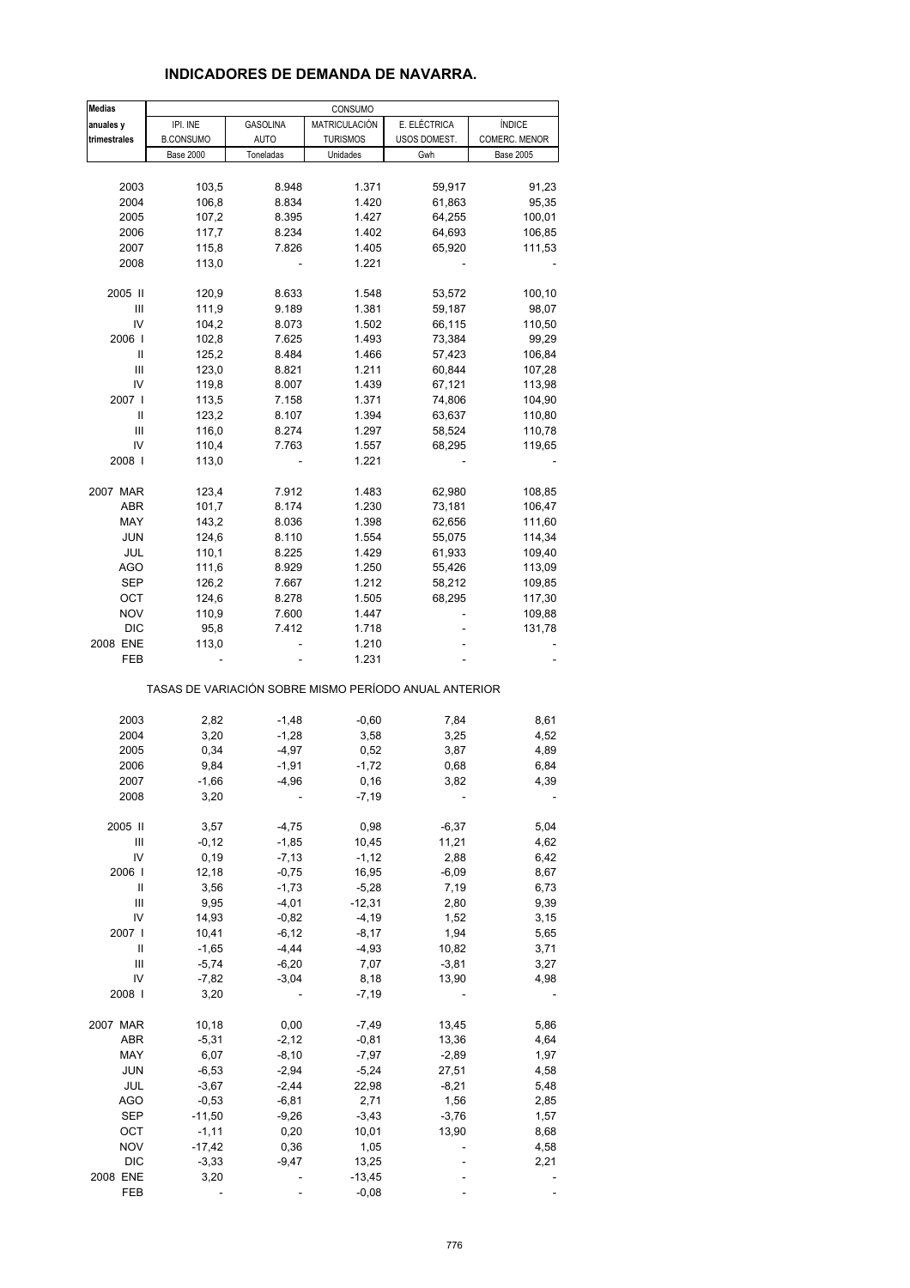#### **INDICADORES DE DEMANDA DE NAVARRA.**

| <b>Medias</b>    |                  |                 | CONSUMO         |                                                       |                  |  |
|------------------|------------------|-----------------|-----------------|-------------------------------------------------------|------------------|--|
| anuales y        | IPI. INE         | <b>GASOLINA</b> | MATRICULACIÓN   | E. ELÉCTRICA                                          | <b>ÍNDICE</b>    |  |
| trimestrales     | <b>B.CONSUMO</b> | <b>AUTO</b>     | <b>TURISMOS</b> | USOS DOMEST.                                          | COMERC. MENOR    |  |
|                  | <b>Base 2000</b> | Toneladas       | Unidades        | Gwh                                                   | <b>Base 2005</b> |  |
|                  |                  |                 |                 |                                                       |                  |  |
| 2003             | 103,5            | 8.948           | 1.371           | 59,917                                                | 91,23            |  |
| 2004             | 106,8            | 8.834           | 1.420           | 61,863                                                | 95,35            |  |
| 2005             | 107,2            | 8.395           | 1.427           | 64,255                                                | 100,01           |  |
| 2006             | 117,7            | 8.234           | 1.402           |                                                       |                  |  |
|                  |                  |                 |                 | 64,693                                                | 106,85           |  |
| 2007             | 115,8            | 7.826           | 1.405           | 65,920                                                | 111,53           |  |
| 2008             | 113,0            |                 | 1.221           |                                                       |                  |  |
| 2005 II          | 120,9            | 8.633           | 1.548           | 53,572                                                | 100,10           |  |
| Ш                |                  | 9.189           | 1.381           |                                                       |                  |  |
|                  | 111,9            |                 |                 | 59,187                                                | 98,07            |  |
| IV               | 104,2            | 8.073           | 1.502           | 66,115                                                | 110,50           |  |
| 2006             | 102,8            | 7.625           | 1.493           | 73,384                                                | 99,29            |  |
| Ш                | 125,2            | 8.484           | 1.466           | 57,423                                                | 106,84           |  |
| Ш                | 123,0            | 8.821           | 1.211           | 60,844                                                | 107,28           |  |
| IV               | 119,8            | 8.007           | 1.439           | 67,121                                                | 113,98           |  |
| 2007             | 113,5            | 7.158           | 1.371           | 74,806                                                | 104,90           |  |
| Ш                | 123,2            | 8.107           | 1.394           | 63,637                                                | 110,80           |  |
| Ш                | 116,0            | 8.274           | 1.297           | 58,524                                                | 110,78           |  |
| IV               | 110,4            | 7.763           | 1.557           | 68,295                                                | 119,65           |  |
| 2008             | 113,0            |                 | 1.221           |                                                       |                  |  |
|                  |                  |                 |                 |                                                       |                  |  |
| 2007 MAR         | 123,4            | 7.912           | 1.483           | 62,980                                                | 108,85           |  |
| ABR              | 101,7            | 8.174           | 1.230           | 73,181                                                | 106,47           |  |
| MAY              | 143,2            | 8.036           | 1.398           | 62,656                                                | 111,60           |  |
| <b>JUN</b>       | 124,6            | 8.110           | 1.554           | 55,075                                                | 114,34           |  |
| JUL              | 110,1            | 8.225           | 1.429           | 61,933                                                | 109,40           |  |
| <b>AGO</b>       | 111,6            | 8.929           | 1.250           | 55,426                                                | 113,09           |  |
| SEP              | 126,2            | 7.667           | 1.212           | 58,212                                                | 109,85           |  |
| OCT              | 124,6            | 8.278           | 1.505           | 68,295                                                | 117,30           |  |
| <b>NOV</b>       | 110,9            | 7.600           | 1.447           |                                                       | 109,88           |  |
| <b>DIC</b>       | 95,8             | 7.412           | 1.718           |                                                       | 131,78           |  |
| 2008 ENE         | 113,0            |                 | 1.210           |                                                       |                  |  |
| FEB              |                  |                 | 1.231           |                                                       |                  |  |
|                  |                  |                 |                 | TASAS DE VARIACIÓN SOBRE MISMO PERÍODO ANUAL ANTERIOR |                  |  |
|                  |                  |                 |                 |                                                       |                  |  |
| 2003             | 2,82             | $-1,48$         | $-0,60$         | 7,84                                                  | 8,61             |  |
| 2004             | 3,20             | $-1,28$         | 3,58            | 3,25                                                  | 4,52             |  |
| 2005             | 0,34             | $-4,97$         | 0,52            | 3,87                                                  | 4,89             |  |
| 2006             | 9,84             | $-1,91$         | $-1,72$         | 0,68                                                  | 6,84             |  |
| 2007             | $-1,66$          | $-4,96$         | 0, 16           | 3,82                                                  | 4,39             |  |
| 2008             | 3,20             |                 | $-7,19$         |                                                       |                  |  |
|                  |                  |                 |                 |                                                       |                  |  |
| 2005 II          | 3,57             | $-4,75$         | 0,98            | $-6,37$                                               | 5,04             |  |
| Ш                | $-0,12$          | $-1,85$         | 10,45           | 11,21                                                 | 4,62             |  |
| IV               | 0, 19            | $-7, 13$        | $-1, 12$        | 2,88                                                  | 6,42             |  |
| 2006             | 12,18            | $-0,75$         | 16,95           | $-6,09$                                               | 8,67             |  |
| $\sf II$         | 3,56             | $-1,73$         | $-5,28$         | 7,19                                                  | 6,73             |  |
| $\mathsf{III}\,$ | 9,95             | $-4,01$         | $-12,31$        | 2,80                                                  | 9,39             |  |
| IV               | 14,93            | $-0,82$         | $-4,19$         | 1,52                                                  | 3,15             |  |
| 2007 l           | 10,41            | $-6, 12$        | $-8,17$         | 1,94                                                  | 5,65             |  |
| Ш                | $-1,65$          | $-4,44$         | $-4,93$         | 10,82                                                 | 3,71             |  |
| Ш                | $-5,74$          | $-6,20$         | 7,07            | $-3,81$                                               | 3,27             |  |
| IV               | $-7,82$          | $-3,04$         | 8,18            | 13,90                                                 | 4,98             |  |
| 2008             | 3,20             |                 | $-7,19$         |                                                       |                  |  |
|                  |                  |                 |                 |                                                       |                  |  |
| 2007 MAR         | 10,18            | 0,00            | $-7,49$         | 13,45                                                 | 5,86             |  |
| ABR              | $-5,31$          | $-2,12$         | $-0,81$         | 13,36                                                 | 4,64             |  |
| MAY              | 6,07             | $-8,10$         | $-7,97$         | $-2,89$                                               | 1,97             |  |
| JUN              | $-6,53$          | $-2,94$         | $-5,24$         | 27,51                                                 | 4,58             |  |
| JUL              | $-3,67$          | $-2,44$         | 22,98           | $-8,21$                                               | 5,48             |  |
| <b>AGO</b>       | $-0,53$          | $-6, 81$        | 2,71            | 1,56                                                  | 2,85             |  |
| <b>SEP</b>       | $-11,50$         | $-9,26$         | $-3,43$         | $-3,76$                                               | 1,57             |  |
| OCT              | $-1, 11$         | 0,20            | 10,01           | 13,90                                                 | 8,68             |  |
| <b>NOV</b>       | $-17,42$         | 0,36            | 1,05            |                                                       | 4,58             |  |
| <b>DIC</b>       | $-3,33$          | $-9,47$         | 13,25           |                                                       | 2,21             |  |
| 2008 ENE         | 3,20             |                 | $-13,45$        |                                                       |                  |  |
| FEB              |                  |                 | $-0,08$         |                                                       |                  |  |
|                  |                  |                 |                 |                                                       |                  |  |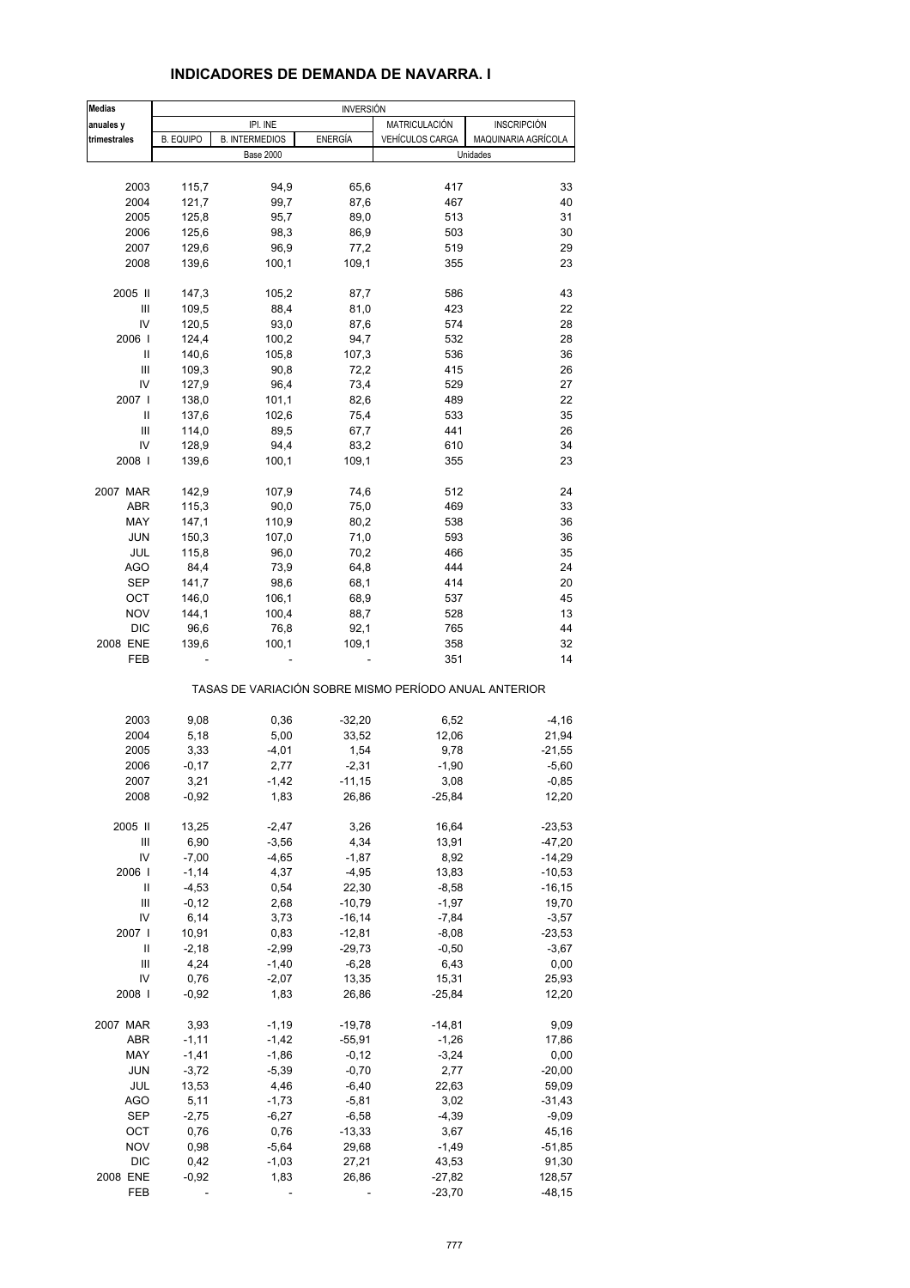| <b>Medias</b> |                  |                       | <b>INVERSIÓN</b> |                                                       |                     |
|---------------|------------------|-----------------------|------------------|-------------------------------------------------------|---------------------|
| anuales y     |                  | IPI. INE              |                  | MATRICULACIÓN                                         | <b>INSCRIPCIÓN</b>  |
| trimestrales  | <b>B. EQUIPO</b> | <b>B. INTERMEDIOS</b> | <b>ENERGÍA</b>   | <b>VEHÍCULOS CARGA</b>                                | MAQUINARIA AGRÍCOLA |
|               |                  | <b>Base 2000</b>      |                  |                                                       | Unidades            |
|               |                  |                       |                  |                                                       |                     |
| 2003          | 115,7            | 94,9                  | 65,6             | 417                                                   | 33                  |
| 2004          | 121,7            | 99,7                  | 87,6             | 467                                                   | 40                  |
| 2005          | 125,8            | 95,7                  | 89,0             | 513                                                   | 31                  |
| 2006          | 125,6            | 98,3                  | 86,9             | 503                                                   | 30                  |
| 2007          | 129,6            | 96,9                  | 77,2             | 519                                                   | 29                  |
| 2008          | 139,6            | 100,1                 | 109,1            | 355                                                   | 23                  |
|               |                  |                       |                  |                                                       |                     |
| 2005 II       | 147,3            | 105,2                 | 87,7             | 586                                                   | 43                  |
| Ш             | 109,5            | 88,4                  | 81,0             | 423                                                   | 22                  |
| IV            | 120,5            | 93,0                  | 87,6             | 574                                                   | 28                  |
| 2006          | 124,4            | 100,2                 | 94,7             | 532                                                   | 28                  |
| Ш             | 140,6            | 105,8                 | 107,3            | 536                                                   | 36                  |
| Ш             | 109,3            | 90,8                  | 72,2             | 415                                                   | 26                  |
| IV            | 127,9            | 96,4                  | 73,4             | 529                                                   | 27                  |
| 2007          | 138,0            | 101,1                 | 82,6             | 489                                                   | 22                  |
| Ш             | 137,6            | 102,6                 | 75,4             | 533                                                   | 35                  |
| Ш             | 114,0            | 89,5                  | 67,7             | 441                                                   | 26                  |
|               |                  |                       |                  |                                                       |                     |
| IV            | 128,9            | 94,4                  | 83,2             | 610                                                   | 34                  |
| 2008          | 139,6            | 100,1                 | 109,1            | 355                                                   | 23                  |
| 2007 MAR      | 142,9            | 107,9                 | 74,6             | 512                                                   | 24                  |
| <b>ABR</b>    | 115,3            | 90,0                  | 75,0             | 469                                                   | 33                  |
| MAY           | 147,1            | 110,9                 | 80,2             | 538                                                   | 36                  |
|               |                  |                       |                  |                                                       |                     |
| <b>JUN</b>    | 150,3            | 107,0                 | 71,0             | 593                                                   | 36                  |
| JUL           | 115,8            | 96,0                  | 70,2             | 466                                                   | 35                  |
| AGO           | 84,4             | 73,9                  | 64,8             | 444                                                   | 24                  |
| <b>SEP</b>    | 141,7            | 98,6                  | 68,1             | 414                                                   | 20                  |
| OCT           | 146,0            | 106,1                 | 68,9             | 537                                                   | 45                  |
| <b>NOV</b>    | 144,1            | 100,4                 | 88,7             | 528                                                   | 13                  |
| <b>DIC</b>    | 96,6             | 76,8                  | 92,1             | 765                                                   | 44                  |
| 2008 ENE      | 139,6            | 100,1                 | 109,1            | 358                                                   | 32                  |
| FEB           |                  |                       |                  | 351                                                   | 14                  |
|               |                  |                       |                  | TASAS DE VARIACIÓN SOBRE MISMO PERÍODO ANUAL ANTERIOR |                     |
| 2003          | 9,08             | 0,36                  | $-32,20$         | 6,52                                                  | $-4, 16$            |
|               |                  |                       |                  |                                                       |                     |
| 2004          | 5,18             | 5,00                  | 33,52            | 12,06                                                 | 21,94               |
| 2005          | 3,33             | $-4,01$               | 1,54             | 9,78                                                  | $-21,55$            |
| 2006          | $-0,17$          | 2,77                  | $-2,31$          | $-1,90$                                               | $-5,60$             |
| 2007          | 3,21             | $-1,42$               | $-11,15$         | 3,08                                                  | $-0,85$             |
| 2008          | $-0,92$          | 1,83                  | 26,86            | $-25,84$                                              | 12,20               |
| 2005 II       | 13,25            | $-2,47$               | 3,26             | 16,64                                                 | $-23,53$            |
|               |                  |                       |                  |                                                       |                     |
| Ш<br>IV       | 6,90             | $-3,56$               | 4,34             | 13,91                                                 | $-47,20$            |
|               | $-7,00$          | $-4,65$               | $-1,87$          | 8,92                                                  | $-14,29$            |
| 2006          | $-1,14$          | 4,37                  | $-4,95$          | 13,83                                                 | $-10,53$            |
| Ш             | $-4,53$          | 0,54                  | 22,30            | $-8,58$                                               | $-16, 15$           |
| Ш             | $-0,12$          | 2,68                  | $-10,79$         | $-1,97$                                               | 19,70               |
| IV            | 6,14             | 3,73                  | $-16, 14$        | $-7,84$                                               | $-3,57$             |
| 2007          | 10,91            | 0,83                  | $-12,81$         | $-8,08$                                               | $-23,53$            |
| Ш             | $-2,18$          | $-2,99$               | $-29,73$         | $-0,50$                                               | $-3,67$             |
| Ш             | 4,24             | $-1,40$               | $-6,28$          | 6,43                                                  | 0,00                |
| IV            | 0,76             | $-2,07$               | 13,35            | 15,31                                                 | 25,93               |
| 2008          | $-0,92$          | 1,83                  | 26,86            | $-25,84$                                              | 12,20               |
|               |                  |                       |                  |                                                       |                     |
| 2007 MAR      | 3,93             | $-1,19$               | $-19,78$         | $-14,81$                                              | 9,09                |
| ABR           | $-1,11$          | $-1,42$               | $-55,91$         | $-1,26$                                               | 17,86               |
| MAY           | $-1,41$          | $-1,86$               | $-0,12$          | $-3,24$                                               | 0,00                |
| <b>JUN</b>    | $-3,72$          | $-5,39$               | $-0,70$          | 2,77                                                  | $-20,00$            |
| JUL           | 13,53            | 4,46                  | $-6,40$          | 22,63                                                 | 59,09               |
| <b>AGO</b>    | 5,11             | $-1,73$               | $-5,81$          | 3,02                                                  | $-31,43$            |
| <b>SEP</b>    | $-2,75$          | $-6,27$               | $-6,58$          | $-4,39$                                               | $-9,09$             |
| ОСТ           | 0,76             | 0,76                  | $-13,33$         | 3,67                                                  | 45,16               |
| <b>NOV</b>    | 0,98             | $-5,64$               | 29,68            | $-1,49$                                               | $-51,85$            |
| <b>DIC</b>    | 0,42             | $-1,03$               | 27,21            | 43,53                                                 | 91,30               |
| 2008 ENE      | $-0,92$          | 1,83                  | 26,86            | $-27,82$                                              | 128,57              |
| FEB           |                  |                       |                  | $-23,70$                                              | $-48,15$            |

#### **INDICADORES DE DEMANDA DE NAVARRA. I**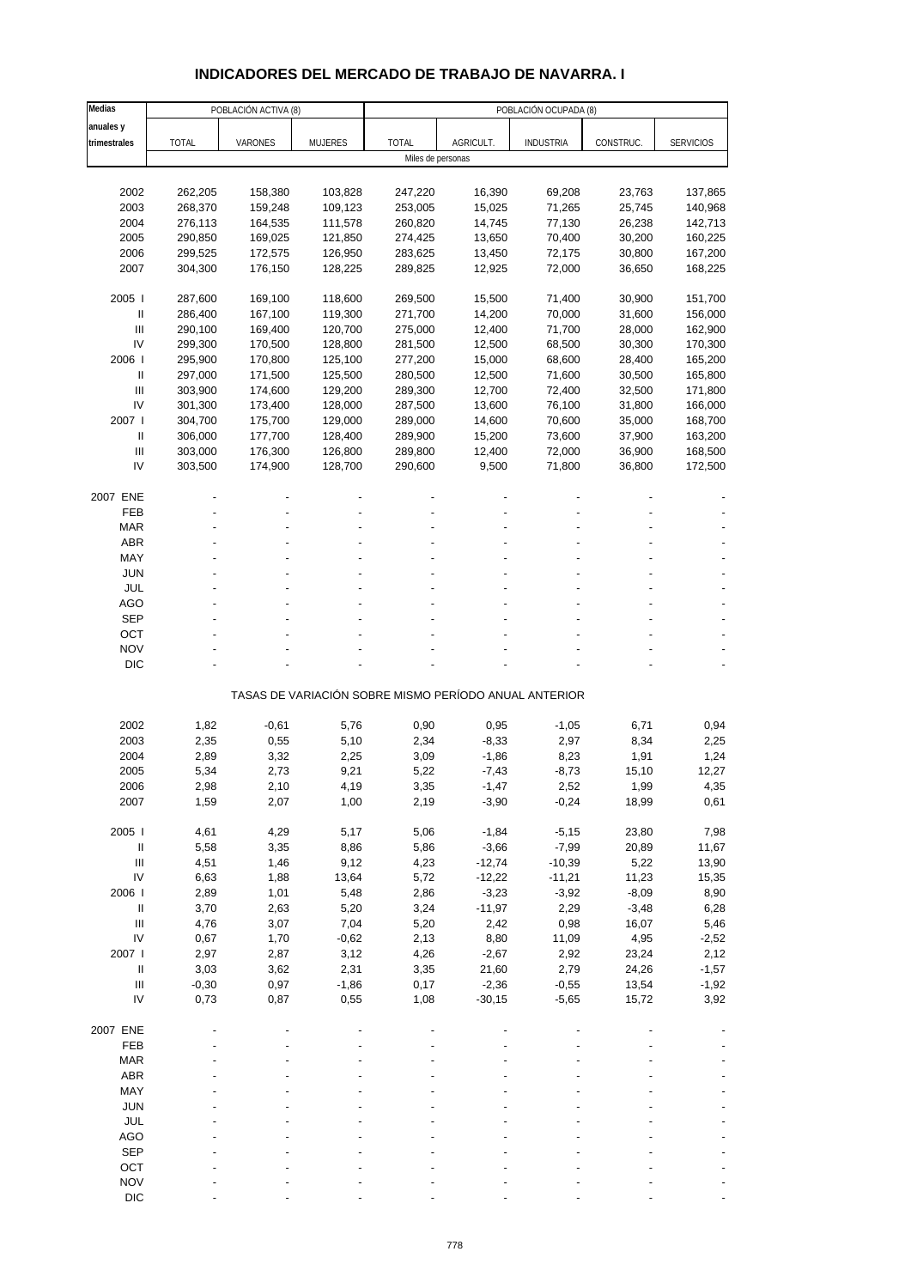# **INDICADORES DEL MERCADO DE TRABAJO DE NAVARRA. I**

| Medias                             | POBLACIÓN ACTIVA (8)<br>POBLACIÓN OCUPADA (8) |         |                |                   |                                                       |                  |           |                  |
|------------------------------------|-----------------------------------------------|---------|----------------|-------------------|-------------------------------------------------------|------------------|-----------|------------------|
| anuales y                          |                                               |         |                |                   |                                                       |                  |           |                  |
| trimestrales                       | <b>TOTAL</b>                                  | VARONES | <b>MUJERES</b> | <b>TOTAL</b>      | AGRICULT.                                             | <b>INDUSTRIA</b> | CONSTRUC. | <b>SERVICIOS</b> |
|                                    |                                               |         |                | Miles de personas |                                                       |                  |           |                  |
|                                    |                                               |         |                |                   |                                                       |                  |           |                  |
| 2002                               | 262,205                                       | 158,380 | 103,828        | 247,220           | 16,390                                                | 69,208           | 23,763    | 137,865          |
| 2003                               | 268,370                                       | 159,248 | 109,123        | 253,005           | 15,025                                                | 71,265           | 25,745    | 140,968          |
| 2004                               | 276,113                                       | 164,535 | 111,578        | 260,820           | 14,745                                                | 77,130           | 26,238    | 142,713          |
| 2005                               | 290,850                                       | 169,025 | 121,850        | 274,425           | 13,650                                                | 70,400           | 30,200    | 160,225          |
| 2006                               | 299,525                                       | 172,575 | 126,950        | 283,625           | 13,450                                                | 72,175           | 30,800    | 167,200          |
| 2007                               | 304,300                                       | 176,150 | 128,225        | 289,825           | 12,925                                                | 72,000           | 36,650    | 168,225          |
|                                    |                                               |         |                |                   |                                                       |                  |           |                  |
| 2005                               | 287,600                                       | 169,100 | 118,600        | 269,500           | 15,500                                                | 71,400           | 30,900    | 151,700          |
| $\ensuremath{\mathsf{II}}$         | 286,400                                       | 167,100 | 119,300        | 271,700           | 14,200                                                | 70,000           | 31,600    | 156,000          |
| Ш                                  | 290,100                                       | 169,400 | 120,700        | 275,000           | 12,400                                                | 71,700           | 28,000    | 162,900          |
| IV                                 | 299,300                                       | 170,500 | 128,800        | 281,500           | 12,500                                                | 68,500           | 30,300    | 170,300          |
| 2006                               | 295,900                                       | 170,800 | 125,100        | 277,200           | 15,000                                                | 68,600           | 28,400    | 165,200          |
| Ш                                  | 297,000                                       | 171,500 | 125,500        | 280,500           | 12,500                                                | 71,600           | 30,500    | 165,800          |
| $\mathbf{III}$                     | 303,900                                       | 174,600 | 129,200        | 289,300           | 12,700                                                | 72,400           | 32,500    | 171,800          |
| IV                                 | 301,300                                       | 173,400 | 128,000        | 287,500           | 13,600                                                | 76,100           | 31,800    | 166,000          |
| 2007 l                             |                                               | 175,700 | 129,000        |                   |                                                       |                  |           | 168,700          |
|                                    | 304,700                                       |         |                | 289,000           | 14,600                                                | 70,600           | 35,000    |                  |
| $\mathbf{II}$                      | 306,000                                       | 177,700 | 128,400        | 289,900           | 15,200                                                | 73,600           | 37,900    | 163,200          |
| Ш                                  | 303,000                                       | 176,300 | 126,800        | 289,800           | 12,400                                                | 72,000           | 36,900    | 168,500          |
| IV                                 | 303,500                                       | 174,900 | 128,700        | 290,600           | 9,500                                                 | 71,800           | 36,800    | 172,500          |
|                                    |                                               |         |                |                   |                                                       |                  |           |                  |
| 2007 ENE                           |                                               |         |                |                   |                                                       |                  |           |                  |
| FEB                                |                                               |         |                |                   |                                                       |                  |           |                  |
| <b>MAR</b>                         |                                               |         |                |                   |                                                       |                  |           |                  |
| <b>ABR</b>                         |                                               |         |                |                   |                                                       |                  |           |                  |
| MAY                                |                                               |         |                |                   |                                                       |                  |           |                  |
| JUN                                |                                               |         |                |                   |                                                       |                  |           |                  |
| JUL                                |                                               |         |                |                   |                                                       |                  |           |                  |
| <b>AGO</b>                         |                                               |         |                |                   |                                                       |                  |           |                  |
| <b>SEP</b>                         |                                               |         |                |                   |                                                       |                  |           |                  |
| OCT                                |                                               |         |                |                   |                                                       |                  |           |                  |
| <b>NOV</b>                         |                                               |         |                |                   |                                                       |                  |           |                  |
| <b>DIC</b>                         |                                               |         |                |                   |                                                       |                  |           |                  |
|                                    |                                               |         |                |                   |                                                       |                  |           |                  |
|                                    |                                               |         |                |                   | TASAS DE VARIACIÓN SOBRE MISMO PERÍODO ANUAL ANTERIOR |                  |           |                  |
|                                    |                                               |         |                |                   |                                                       |                  |           |                  |
| 2002                               | 1,82                                          | $-0,61$ | 5,76           | 0,90              | 0,95                                                  | $-1,05$          | 6,71      | 0,94             |
| 2003                               | 2,35                                          | 0,55    | 5,10           | 2,34              | $-8,33$                                               | 2,97             | 8,34      | 2,25             |
| 2004                               | 2,89                                          | 3,32    | 2,25           | 3,09              | $-1,86$                                               | 8,23             | 1,91      | 1,24             |
| 2005                               | 5,34                                          | 2,73    | 9,21           | 5,22              | $-7,43$                                               | $-8,73$          | 15,10     | 12,27            |
| 2006                               | 2,98                                          | 2,10    | 4,19           | 3,35              | -1,47                                                 | 2,52             | 1,99      | 4,35             |
| 2007                               | 1,59                                          | 2,07    | 1,00           | 2,19              | $-3,90$                                               | $-0,24$          | 18,99     | 0,61             |
|                                    |                                               |         |                |                   |                                                       |                  |           |                  |
| 2005                               | 4,61                                          | 4,29    | 5,17           | 5,06              | $-1,84$                                               | $-5,15$          | 23,80     | 7,98             |
| $\ensuremath{\mathsf{II}}$         | 5,58                                          | 3,35    | 8,86           | 5,86              | $-3,66$                                               | $-7,99$          | 20,89     | 11,67            |
| $\mathsf{III}$                     | 4,51                                          | 1,46    | 9,12           | 4,23              | $-12,74$                                              | $-10,39$         | 5,22      | 13,90            |
| IV                                 | 6,63                                          | 1,88    | 13,64          | 5,72              | $-12,22$                                              | $-11,21$         | 11,23     | 15,35            |
| 2006                               | 2,89                                          | 1,01    | 5,48           | 2,86              | $-3,23$                                               | $-3,92$          | $-8,09$   | 8,90             |
| $\, \parallel$                     | 3,70                                          | 2,63    | 5,20           | 3,24              | $-11,97$                                              | 2,29             | $-3,48$   | 6,28             |
| $\ensuremath{\mathsf{III}}\xspace$ | 4,76                                          | 3,07    | 7,04           | 5,20              | 2,42                                                  | 0,98             | 16,07     | 5,46             |
| IV                                 | 0,67                                          | 1,70    | $-0,62$        | 2,13              | 8,80                                                  | 11,09            | 4,95      | $-2,52$          |
| 2007 l                             | 2,97                                          | 2,87    | 3,12           | 4,26              | $-2,67$                                               | 2,92             | 23,24     | 2,12             |
| $\mathbf{II}$                      | 3,03                                          | 3,62    | 2,31           | 3,35              | 21,60                                                 | 2,79             | 24,26     | $-1,57$          |
| $\ensuremath{\mathsf{III}}\xspace$ | $-0,30$                                       | 0,97    | $-1,86$        | 0,17              | $-2,36$                                               | $-0,55$          | 13,54     | $-1,92$          |
| IV                                 | 0,73                                          | 0,87    | 0,55           | 1,08              | $-30,15$                                              | $-5,65$          | 15,72     | 3,92             |
|                                    |                                               |         |                |                   |                                                       |                  |           |                  |
| 2007 ENE                           |                                               |         |                |                   |                                                       |                  |           |                  |
| FEB                                |                                               |         |                |                   |                                                       |                  |           |                  |
| <b>MAR</b>                         |                                               |         |                |                   |                                                       |                  |           |                  |
| ABR                                |                                               |         |                |                   |                                                       |                  |           |                  |
| MAY                                |                                               |         |                |                   |                                                       |                  |           |                  |
| <b>JUN</b>                         |                                               |         |                |                   |                                                       |                  |           |                  |
| JUL                                |                                               |         |                |                   |                                                       |                  |           |                  |
| <b>AGO</b>                         |                                               |         |                |                   |                                                       |                  |           |                  |
| <b>SEP</b>                         |                                               |         |                |                   |                                                       |                  |           |                  |
| OCT                                |                                               |         |                |                   |                                                       |                  |           |                  |
| <b>NOV</b>                         |                                               |         |                |                   |                                                       |                  |           |                  |
| <b>DIC</b>                         |                                               |         |                |                   |                                                       |                  |           |                  |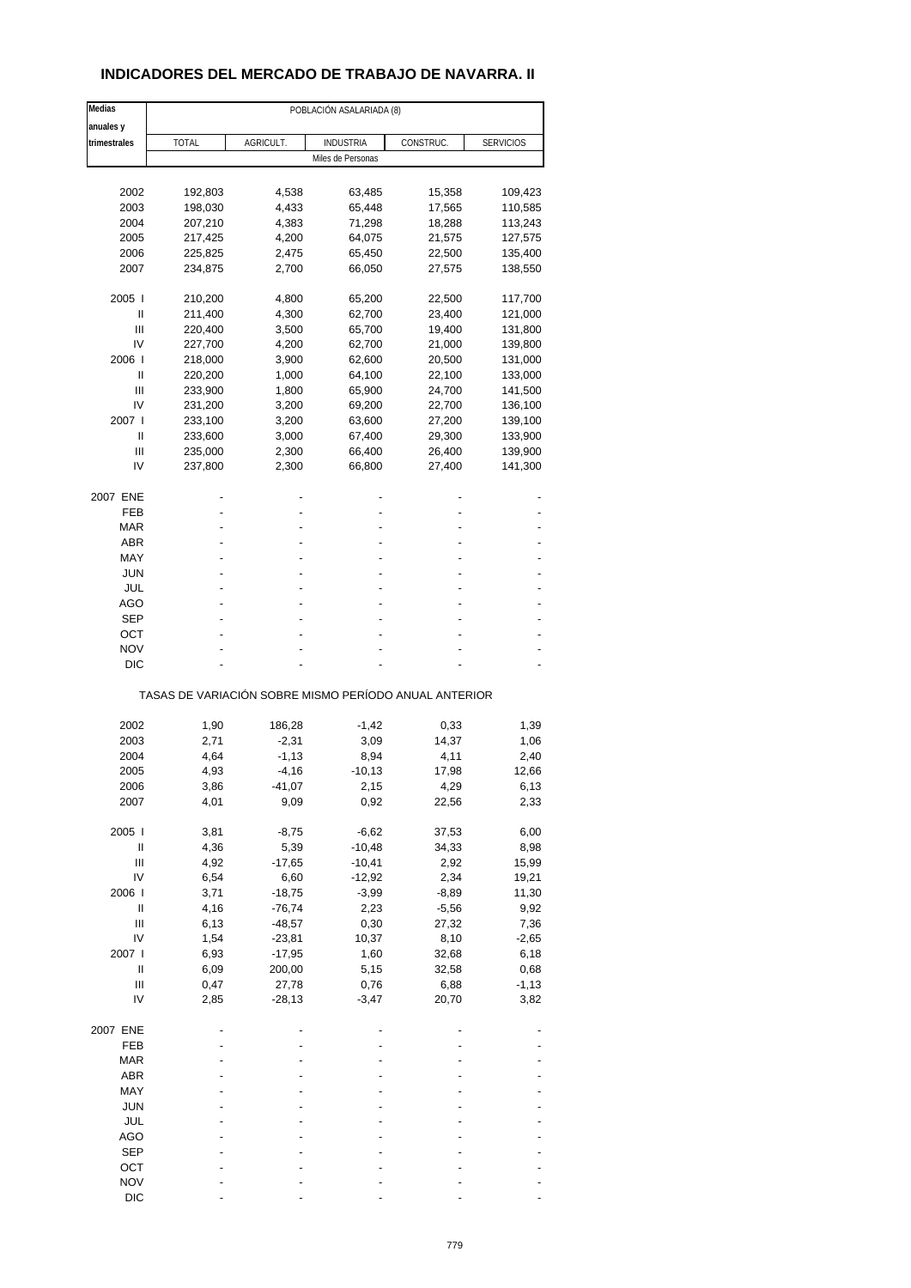## **INDICADORES DEL MERCADO DE TRABAJO DE NAVARRA. II**

| Medias                                         | POBLACIÓN ASALARIADA (8) |           |                                                       |           |                  |  |  |
|------------------------------------------------|--------------------------|-----------|-------------------------------------------------------|-----------|------------------|--|--|
| anuales y                                      |                          |           |                                                       |           |                  |  |  |
| trimestrales                                   | TOTAL                    | AGRICULT. | <b>INDUSTRIA</b>                                      | CONSTRUC. | <b>SERVICIOS</b> |  |  |
|                                                |                          |           | Miles de Personas                                     |           |                  |  |  |
|                                                |                          |           |                                                       |           |                  |  |  |
| 2002                                           | 192,803                  | 4,538     | 63,485                                                | 15,358    | 109,423          |  |  |
| 2003                                           | 198,030                  | 4,433     | 65,448                                                | 17,565    | 110,585          |  |  |
| 2004                                           | 207,210                  | 4,383     | 71,298                                                | 18,288    | 113,243          |  |  |
| 2005                                           | 217,425                  | 4,200     | 64,075                                                | 21,575    | 127,575          |  |  |
| 2006                                           | 225,825                  | 2,475     | 65,450                                                | 22,500    | 135,400          |  |  |
| 2007                                           | 234,875                  | 2,700     | 66,050                                                | 27,575    | 138,550          |  |  |
| 2005                                           | 210,200                  | 4,800     | 65,200                                                | 22,500    | 117,700          |  |  |
| Ш                                              | 211,400                  | 4,300     | 62,700                                                | 23,400    | 121,000          |  |  |
| Ш                                              | 220,400                  | 3,500     | 65,700                                                | 19,400    | 131,800          |  |  |
| IV                                             |                          |           |                                                       | 21,000    |                  |  |  |
| 2006                                           | 227,700                  | 4,200     | 62,700                                                |           | 139,800          |  |  |
|                                                | 218,000                  | 3,900     | 62,600                                                | 20,500    | 131,000          |  |  |
| Ш                                              | 220,200                  | 1,000     | 64,100                                                | 22,100    | 133,000          |  |  |
| Ш                                              | 233,900                  | 1,800     | 65,900                                                | 24,700    | 141,500          |  |  |
| IV                                             | 231,200                  | 3,200     | 69,200                                                | 22,700    | 136,100          |  |  |
| 2007 l                                         | 233,100                  | 3,200     | 63,600                                                | 27,200    | 139,100          |  |  |
| Ш                                              | 233,600                  | 3,000     | 67,400                                                | 29,300    | 133,900          |  |  |
| Ш                                              | 235,000                  | 2,300     | 66,400                                                | 26,400    | 139,900          |  |  |
| IV                                             | 237,800                  | 2,300     | 66,800                                                | 27,400    | 141,300          |  |  |
|                                                |                          |           |                                                       |           |                  |  |  |
| 2007 ENE<br>FEB                                |                          |           |                                                       |           |                  |  |  |
| <b>MAR</b>                                     |                          |           |                                                       |           |                  |  |  |
|                                                |                          |           |                                                       |           |                  |  |  |
| <b>ABR</b>                                     |                          |           |                                                       |           |                  |  |  |
| MAY                                            |                          |           |                                                       |           |                  |  |  |
| JUN                                            |                          |           |                                                       |           |                  |  |  |
| JUL                                            |                          |           |                                                       |           |                  |  |  |
| AGO                                            |                          |           |                                                       |           |                  |  |  |
| SEP                                            |                          |           |                                                       |           |                  |  |  |
| ОСТ                                            |                          |           |                                                       |           |                  |  |  |
| <b>NOV</b>                                     |                          |           |                                                       |           |                  |  |  |
| <b>DIC</b>                                     |                          |           |                                                       |           |                  |  |  |
|                                                |                          |           | TASAS DE VARIACIÓN SOBRE MISMO PERÍODO ANUAL ANTERIOR |           |                  |  |  |
|                                                |                          |           |                                                       |           |                  |  |  |
| 2002                                           | 1,90                     | 186,28    | $-1,42$                                               | 0,33      | 1,39             |  |  |
| 2003                                           | 2,71                     | $-2,31$   | 3,09                                                  | 14,37     | 1,06             |  |  |
| 2004                                           | 4,64                     | $-1,13$   | 8,94                                                  | 4,11      | 2,40             |  |  |
| 2005                                           | 4,93                     | $-4,16$   | $-10,13$                                              | 17,98     | 12,66            |  |  |
| 2006                                           | 3,86                     | -41,07    | 2,15                                                  | 4,29      | 6,13             |  |  |
| 2007                                           | 4,01                     | 9,09      | 0,92                                                  | 22,56     | 2,33             |  |  |
| 2005                                           | 3,81                     | $-8,75$   | $-6,62$                                               | 37,53     | 6,00             |  |  |
| $\sf II$                                       | 4,36                     | 5,39      | $-10,48$                                              | 34,33     | 8,98             |  |  |
| $\mathsf{III}$                                 | 4,92                     | $-17,65$  | $-10,41$                                              | 2,92      | 15,99            |  |  |
| IV                                             | 6,54                     | 6,60      |                                                       | 2,34      | 19,21            |  |  |
| 2006                                           | 3,71                     |           | $-12,92$                                              | $-8,89$   |                  |  |  |
|                                                |                          | $-18,75$  | $-3,99$                                               |           | 11,30            |  |  |
| $\sf II$<br>$\ensuremath{\mathsf{III}}\xspace$ | 4,16                     | $-76,74$  | 2,23                                                  | $-5,56$   | 9,92             |  |  |
|                                                | 6,13                     | $-48,57$  | 0,30                                                  | 27,32     | 7,36             |  |  |
| IV                                             | 1,54                     | $-23,81$  | 10,37                                                 | 8,10      | $-2,65$          |  |  |
| 2007 l                                         | 6,93                     | $-17,95$  | 1,60                                                  | 32,68     | 6,18             |  |  |
| $\mathop{  }$                                  | 6,09                     | 200,00    | 5,15                                                  | 32,58     | 0,68             |  |  |
| $\ensuremath{\mathsf{III}}\xspace$             | 0,47                     | 27,78     | 0,76                                                  | 6,88      | $-1,13$          |  |  |
| IV                                             | 2,85                     | $-28,13$  | $-3,47$                                               | 20,70     | 3,82             |  |  |
| 2007 ENE                                       |                          |           |                                                       |           |                  |  |  |
| FEB                                            |                          |           |                                                       |           |                  |  |  |
|                                                |                          |           |                                                       |           |                  |  |  |
| <b>MAR</b>                                     |                          |           |                                                       |           |                  |  |  |
| ABR                                            |                          |           |                                                       |           |                  |  |  |
| MAY                                            |                          |           |                                                       |           |                  |  |  |
| <b>JUN</b>                                     |                          |           |                                                       |           |                  |  |  |
| JUL                                            |                          |           |                                                       |           |                  |  |  |
| AGO                                            |                          |           |                                                       |           |                  |  |  |
| <b>SEP</b>                                     |                          |           |                                                       |           |                  |  |  |
| OCT                                            |                          |           |                                                       |           |                  |  |  |
| <b>NOV</b>                                     |                          |           |                                                       |           |                  |  |  |
| <b>DIC</b>                                     |                          |           |                                                       |           |                  |  |  |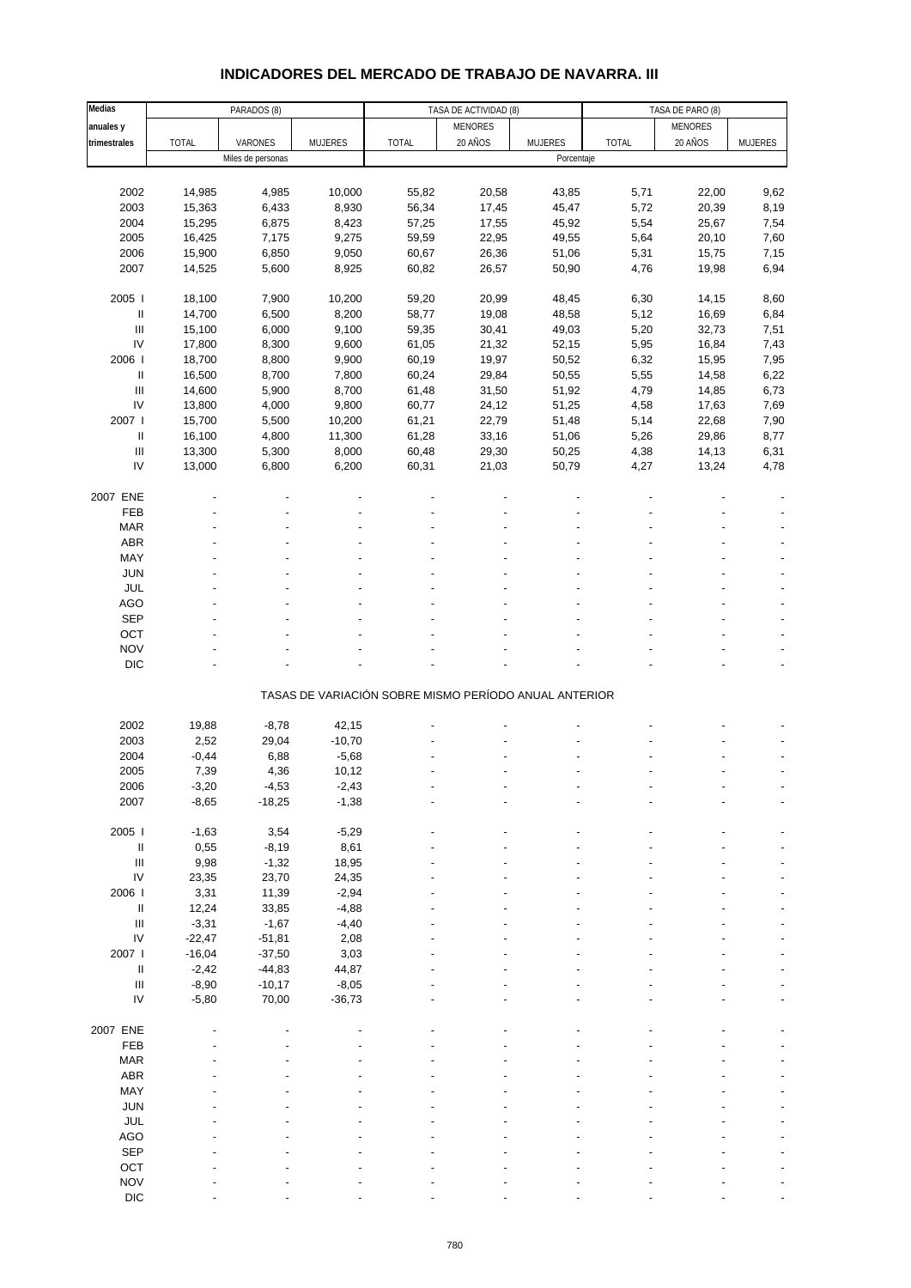| Medias                             |          | PARADOS (8)       |          |                                                       | TASA DE ACTIVIDAD (8) |            | TASA DE PARO (8) |                |                |
|------------------------------------|----------|-------------------|----------|-------------------------------------------------------|-----------------------|------------|------------------|----------------|----------------|
| anuales y                          |          |                   |          |                                                       | <b>MENORES</b>        |            |                  | <b>MENORES</b> |                |
| trimestrales                       | TOTAL    | VARONES           | MUJERES  | <b>TOTAL</b>                                          | 20 AÑOS               | MUJERES    | <b>TOTAL</b>     | 20 AÑOS        | <b>MUJERES</b> |
|                                    |          | Miles de personas |          |                                                       |                       | Porcentaje |                  |                |                |
|                                    |          |                   |          |                                                       |                       |            |                  |                |                |
| 2002                               | 14,985   | 4,985             | 10,000   | 55,82                                                 | 20,58                 | 43,85      | 5,71             | 22,00          | 9,62           |
| 2003                               | 15,363   | 6,433             | 8,930    | 56,34                                                 | 17,45                 | 45,47      | 5,72             | 20,39          | 8,19           |
| 2004                               | 15,295   | 6,875             | 8,423    | 57,25                                                 | 17,55                 | 45,92      | 5,54             | 25,67          | 7,54           |
| 2005                               | 16,425   | 7,175             | 9,275    | 59,59                                                 | 22,95                 | 49,55      | 5,64             | 20,10          | 7,60           |
| 2006                               | 15,900   | 6,850             | 9,050    | 60,67                                                 | 26,36                 | 51,06      | 5,31             | 15,75          | 7,15           |
| 2007                               | 14,525   | 5,600             | 8,925    | 60,82                                                 | 26,57                 | 50,90      | 4,76             | 19,98          | 6,94           |
|                                    |          |                   |          |                                                       |                       |            |                  |                |                |
| 2005                               | 18,100   | 7,900             | 10,200   | 59,20                                                 | 20,99                 | 48,45      | 6,30             | 14,15          | 8,60           |
| Ш                                  | 14,700   | 6,500             | 8,200    | 58,77                                                 | 19,08                 | 48,58      | 5,12             | 16,69          | 6,84           |
| $\ensuremath{\mathsf{III}}\xspace$ |          |                   |          |                                                       |                       |            |                  |                |                |
|                                    | 15,100   | 6,000             | 9,100    | 59,35                                                 | 30,41                 | 49,03      | 5,20             | 32,73          | 7,51           |
| IV                                 | 17,800   | 8,300             | 9,600    | 61,05                                                 | 21,32                 | 52,15      | 5,95             | 16,84          | 7,43           |
| 2006                               | 18,700   | 8,800             | 9,900    | 60,19                                                 | 19,97                 | 50,52      | 6,32             | 15,95          | 7,95           |
| Ш                                  | 16,500   | 8,700             | 7,800    | 60,24                                                 | 29,84                 | 50,55      | 5,55             | 14,58          | 6,22           |
| $\ensuremath{\mathsf{III}}\xspace$ | 14,600   | 5,900             | 8,700    | 61,48                                                 | 31,50                 | 51,92      | 4,79             | 14,85          | 6,73           |
| IV                                 | 13,800   | 4,000             | 9,800    | 60,77                                                 | 24,12                 | 51,25      | 4,58             | 17,63          | 7,69           |
| 2007 l                             | 15,700   | 5,500             | 10,200   | 61,21                                                 | 22,79                 | 51,48      | 5,14             | 22,68          | 7,90           |
| Ш                                  | 16,100   | 4,800             | 11,300   | 61,28                                                 | 33,16                 | 51,06      | 5,26             | 29,86          | 8,77           |
| $\mathop{\mathrm{III}}\nolimits$   | 13,300   | 5,300             | 8,000    | 60,48                                                 | 29,30                 | 50,25      | 4,38             | 14,13          | 6,31           |
| IV                                 | 13,000   | 6,800             | 6,200    | 60,31                                                 | 21,03                 | 50,79      | 4,27             | 13,24          | 4,78           |
|                                    |          |                   |          |                                                       |                       |            |                  |                |                |
| 2007 ENE                           |          |                   |          |                                                       |                       |            |                  |                |                |
| FEB                                |          |                   |          |                                                       |                       |            |                  |                |                |
| <b>MAR</b>                         |          |                   |          |                                                       |                       |            |                  |                |                |
| ABR                                |          |                   |          |                                                       |                       |            |                  |                |                |
| MAY                                |          |                   |          |                                                       |                       |            |                  |                |                |
| <b>JUN</b>                         |          |                   |          |                                                       |                       |            |                  |                |                |
| JUL                                |          |                   |          |                                                       |                       |            |                  |                |                |
| <b>AGO</b>                         |          |                   |          |                                                       |                       |            |                  |                |                |
| SEP                                |          |                   |          |                                                       |                       |            |                  |                |                |
| OCT                                |          |                   |          |                                                       |                       |            |                  |                |                |
| <b>NOV</b>                         |          |                   |          |                                                       |                       |            |                  |                |                |
| DIC                                |          |                   |          |                                                       |                       |            |                  |                |                |
|                                    |          |                   |          |                                                       |                       |            |                  |                |                |
|                                    |          |                   |          | TASAS DE VARIACIÓN SOBRE MISMO PERÍODO ANUAL ANTERIOR |                       |            |                  |                |                |
|                                    |          |                   |          |                                                       |                       |            |                  |                |                |
| 2002                               | 19,88    | $-8,78$           | 42,15    |                                                       |                       |            |                  |                |                |
| 2003                               | 2,52     | 29,04             | $-10,70$ |                                                       |                       |            |                  |                |                |
| 2004                               | $-0,44$  | 6,88              | $-5,68$  |                                                       |                       |            |                  |                |                |
| 2005                               | 7,39     | 4,36              | 10,12    |                                                       |                       |            |                  |                |                |
| 2006                               | $-3,20$  | -4,53             | -2,43    |                                                       |                       |            |                  |                |                |
| 2007                               | $-8,65$  | $-18,25$          | $-1,38$  |                                                       |                       |            |                  |                |                |
|                                    |          |                   |          |                                                       |                       |            |                  |                |                |
| 2005 l                             | $-1,63$  | 3,54              | $-5,29$  |                                                       |                       |            |                  |                |                |
| Ш                                  | 0,55     | $-8,19$           | 8,61     |                                                       |                       |            |                  |                |                |
| $\mathop{\mathrm{III}}\nolimits$   | 9,98     | $-1,32$           | 18,95    |                                                       |                       |            |                  |                |                |
| ${\sf IV}$                         | 23,35    | 23,70             | 24,35    |                                                       |                       |            |                  |                |                |
| 2006                               | 3,31     | 11,39             | $-2,94$  |                                                       |                       |            |                  |                |                |
| $\ensuremath{\mathsf{II}}$         | 12,24    | 33,85             | $-4,88$  |                                                       |                       |            |                  |                |                |
| $\ensuremath{\mathsf{III}}\xspace$ | $-3,31$  | $-1,67$           | $-4,40$  |                                                       |                       |            |                  |                |                |
| ${\sf IV}$                         | $-22,47$ | $-51,81$          | 2,08     |                                                       |                       |            |                  |                |                |
| 2007 l                             | $-16,04$ | $-37,50$          | 3,03     |                                                       |                       |            |                  |                |                |
| $\ensuremath{\mathsf{II}}$         | $-2,42$  | $-44,83$          | 44,87    |                                                       |                       |            |                  |                |                |
| $\ensuremath{\mathsf{III}}\xspace$ | $-8,90$  | $-10,17$          | $-8,05$  |                                                       |                       |            |                  |                |                |
| IV                                 | $-5,80$  | 70,00             | $-36,73$ |                                                       |                       |            |                  |                |                |
|                                    |          |                   |          |                                                       |                       |            |                  |                |                |
| 2007 ENE                           |          |                   |          |                                                       |                       |            |                  |                |                |
| FEB                                |          |                   |          |                                                       |                       |            |                  |                |                |
| <b>MAR</b>                         |          |                   |          |                                                       |                       |            |                  |                |                |
| ABR                                |          |                   |          |                                                       |                       |            |                  |                |                |
| MAY                                |          |                   |          |                                                       |                       |            |                  |                |                |
|                                    |          |                   |          |                                                       |                       |            |                  |                |                |
| <b>JUN</b>                         |          |                   |          |                                                       |                       |            |                  |                |                |
| <b>JUL</b>                         |          |                   |          |                                                       |                       |            |                  |                |                |
| AGO                                |          |                   |          |                                                       |                       |            |                  |                |                |
| <b>SEP</b>                         |          |                   |          |                                                       |                       |            |                  |                |                |
| OCT                                |          |                   |          |                                                       |                       |            |                  |                |                |
| <b>NOV</b>                         |          |                   |          |                                                       |                       |            |                  |                |                |
| <b>DIC</b>                         |          |                   |          |                                                       |                       |            |                  |                |                |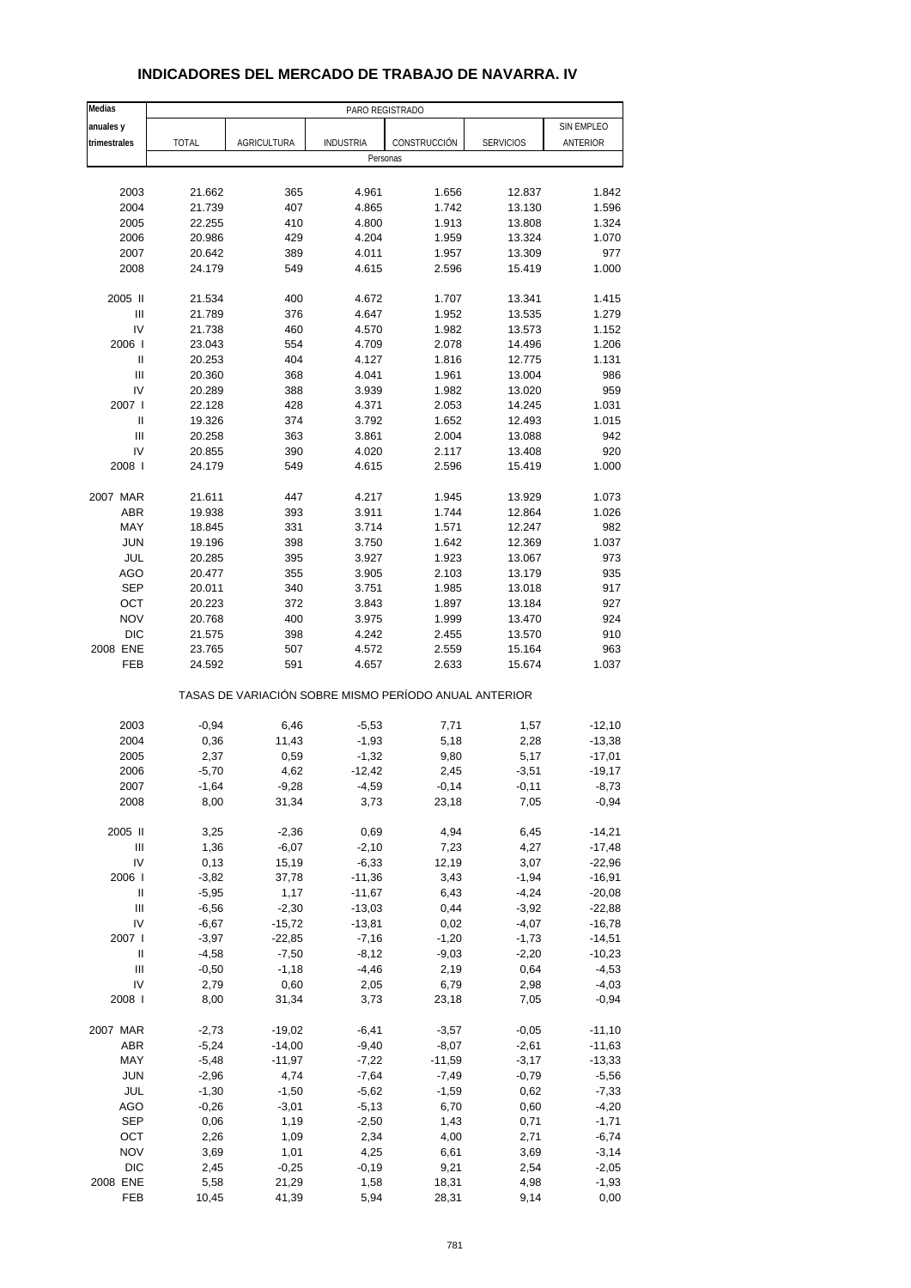| Medias                             |         |                                                       | PARO REGISTRADO  |              |                  |            |
|------------------------------------|---------|-------------------------------------------------------|------------------|--------------|------------------|------------|
| anuales y                          |         |                                                       |                  |              |                  | SIN EMPLEO |
| trimestrales                       | TOTAL   | AGRICULTURA                                           | <b>INDUSTRIA</b> | CONSTRUCCIÓN | <b>SERVICIOS</b> | ANTERIOR   |
|                                    |         |                                                       | Personas         |              |                  |            |
|                                    |         |                                                       |                  |              |                  |            |
| 2003                               | 21.662  | 365                                                   | 4.961            | 1.656        | 12.837           | 1.842      |
| 2004                               | 21.739  | 407                                                   | 4.865            | 1.742        | 13.130           | 1.596      |
| 2005                               | 22.255  | 410                                                   | 4.800            | 1.913        | 13.808           | 1.324      |
| 2006                               | 20.986  | 429                                                   | 4.204            | 1.959        | 13.324           | 1.070      |
| 2007                               | 20.642  | 389                                                   | 4.011            | 1.957        | 13.309           | 977        |
| 2008                               | 24.179  | 549                                                   | 4.615            | 2.596        | 15.419           | 1.000      |
|                                    |         |                                                       |                  |              |                  |            |
| 2005 II                            | 21.534  | 400                                                   | 4.672            | 1.707        | 13.341           | 1.415      |
| Ш                                  | 21.789  | 376                                                   | 4.647            | 1.952        | 13.535           | 1.279      |
| IV                                 | 21.738  | 460                                                   | 4.570            | 1.982        | 13.573           | 1.152      |
| 2006                               | 23.043  | 554                                                   | 4.709            | 2.078        | 14.496           | 1.206      |
| $\sf II$                           | 20.253  | 404                                                   | 4.127            | 1.816        | 12.775           | 1.131      |
| Ш                                  | 20.360  | 368                                                   | 4.041            | 1.961        | 13.004           | 986        |
| IV                                 | 20.289  | 388                                                   | 3.939            | 1.982        | 13.020           | 959        |
| 2007 l                             | 22.128  | 428                                                   | 4.371            | 2.053        | 14.245           | 1.031      |
| Ш                                  | 19.326  | 374                                                   | 3.792            | 1.652        | 12.493           | 1.015      |
| $\ensuremath{\mathsf{III}}\xspace$ | 20.258  | 363                                                   | 3.861            | 2.004        | 13.088           | 942        |
| IV                                 | 20.855  | 390                                                   | 4.020            | 2.117        | 13.408           | 920        |
| 2008                               | 24.179  | 549                                                   | 4.615            | 2.596        | 15.419           | 1.000      |
|                                    |         |                                                       |                  |              |                  |            |
| 2007 MAR                           | 21.611  | 447                                                   | 4.217            | 1.945        | 13.929           | 1.073      |
| <b>ABR</b>                         | 19.938  | 393                                                   | 3.911            | 1.744        | 12.864           | 1.026      |
| MAY                                | 18.845  | 331                                                   | 3.714            | 1.571        | 12.247           | 982        |
| <b>JUN</b>                         | 19.196  | 398                                                   | 3.750            | 1.642        | 12.369           | 1.037      |
| JUL                                | 20.285  | 395                                                   | 3.927            | 1.923        | 13.067           | 973        |
| <b>AGO</b>                         | 20.477  | 355                                                   | 3.905            | 2.103        | 13.179           | 935        |
| <b>SEP</b>                         | 20.011  | 340                                                   | 3.751            | 1.985        | 13.018           | 917        |
| OCT                                | 20.223  | 372                                                   | 3.843            | 1.897        | 13.184           | 927        |
| <b>NOV</b>                         | 20.768  | 400                                                   | 3.975            | 1.999        | 13.470           | 924        |
| <b>DIC</b>                         | 21.575  | 398                                                   | 4.242            | 2.455        | 13.570           | 910        |
| 2008 ENE                           | 23.765  | 507                                                   | 4.572            | 2.559        | 15.164           | 963        |
| FEB                                | 24.592  | 591                                                   | 4.657            | 2.633        | 15.674           | 1.037      |
|                                    |         | TASAS DE VARIACIÓN SOBRE MISMO PERÍODO ANUAL ANTERIOR |                  |              |                  |            |
|                                    |         |                                                       |                  |              |                  |            |
| 2003                               | $-0,94$ | 6,46                                                  | $-5,53$          | 7,71         | 1,57             | $-12,10$   |
| 2004                               | 0,36    | 11,43                                                 | $-1,93$          | 5,18         | 2,28             | $-13,38$   |
| 2005                               | 2,37    | 0,59                                                  | $-1,32$          | 9,80         | 5,17             | $-17,01$   |
| 2006                               | $-5,70$ | 4,62                                                  | $-12,42$         | 2,45         | $-3,51$          | $-19,17$   |
| 2007                               | -1,64   | -9,28                                                 | -4,59            | $-0,14$      | $-0,11$          | -8,73      |
| 2008                               | 8,00    | 31,34                                                 | 3,73             | 23,18        | 7,05             | $-0,94$    |
| 2005 II                            | 3,25    | $-2,36$                                               | 0,69             | 4,94         | 6,45             | $-14,21$   |
| Ш                                  | 1,36    | $-6,07$                                               | $-2,10$          | 7,23         | 4,27             | $-17,48$   |
| IV                                 | 0,13    | 15,19                                                 | $-6,33$          | 12,19        | 3,07             | $-22,96$   |
| 2006                               | $-3,82$ | 37,78                                                 | $-11,36$         | 3,43         | $-1,94$          | $-16,91$   |
| Ш                                  | $-5,95$ | 1,17                                                  | $-11,67$         | 6,43         | $-4,24$          | $-20,08$   |
| $\ensuremath{\mathsf{III}}\xspace$ | $-6,56$ | $-2,30$                                               | $-13,03$         | 0,44         | $-3,92$          | $-22,88$   |
| IV                                 | $-6,67$ | $-15,72$                                              | $-13,81$         | 0,02         | $-4,07$          | $-16,78$   |
| 2007 l                             | $-3,97$ | $-22,85$                                              | $-7,16$          | $-1,20$      | $-1,73$          | $-14,51$   |
| $\sf II$                           | $-4,58$ | $-7,50$                                               | $-8,12$          | $-9,03$      | $-2,20$          | $-10,23$   |
| Ш                                  | $-0,50$ | $-1,18$                                               | $-4,46$          | 2,19         | 0,64             | $-4,53$    |
| IV                                 | 2,79    | 0,60                                                  | 2,05             | 6,79         | 2,98             | $-4,03$    |
| 2008                               | 8,00    | 31,34                                                 | 3,73             | 23,18        | 7,05             | $-0,94$    |
|                                    |         |                                                       |                  |              |                  |            |
| 2007 MAR                           | $-2,73$ | $-19,02$                                              | $-6,41$          | $-3,57$      | $-0,05$          | $-11,10$   |
| ABR                                | $-5,24$ | $-14,00$                                              | $-9,40$          | $-8,07$      | $-2,61$          | $-11,63$   |
| MAY                                | $-5,48$ | $-11,97$                                              | $-7,22$          | $-11,59$     | $-3,17$          | $-13,33$   |
| JUN                                | $-2,96$ | 4,74                                                  | $-7,64$          | $-7,49$      | $-0,79$          | $-5,56$    |
| JUL                                | $-1,30$ | $-1,50$                                               | $-5,62$          | $-1,59$      | 0,62             | $-7,33$    |
| AGO                                | $-0,26$ | $-3,01$                                               | $-5,13$          | 6,70         | 0,60             | $-4,20$    |
| <b>SEP</b>                         | 0,06    | 1,19                                                  | $-2,50$          | 1,43         | 0,71             | $-1,71$    |
| OCT                                | 2,26    | 1,09                                                  | 2,34             | 4,00         | 2,71             | $-6,74$    |
| <b>NOV</b>                         | 3,69    | 1,01                                                  | 4,25             | 6,61         | 3,69             | $-3,14$    |
| DIC                                | 2,45    | $-0,25$                                               | $-0,19$          | 9,21         | 2,54             | $-2,05$    |
| 2008 ENE                           | 5,58    | 21,29                                                 | 1,58             | 18,31        | 4,98             | $-1,93$    |
| FEB                                | 10,45   | 41,39                                                 | 5,94             | 28,31        | 9,14             | 0,00       |

### **INDICADORES DEL MERCADO DE TRABAJO DE NAVARRA. IV**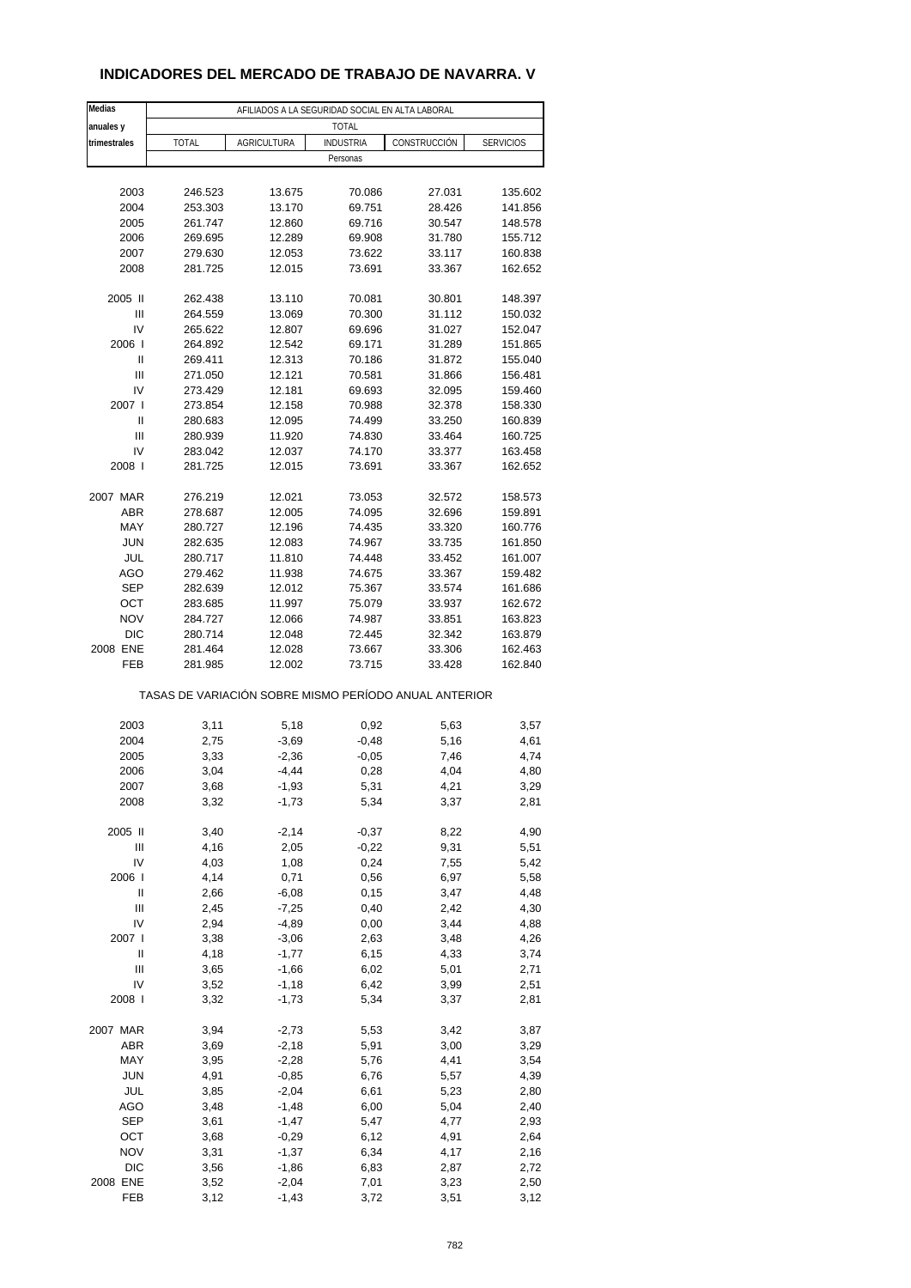## **INDICADORES DEL MERCADO DE TRABAJO DE NAVARRA. V**

| Medias       | AFILIADOS A LA SEGURIDAD SOCIAL EN ALTA LABORAL |                    |                                                       |              |                  |  |  |
|--------------|-------------------------------------------------|--------------------|-------------------------------------------------------|--------------|------------------|--|--|
| anuales y    | <b>TOTAL</b>                                    |                    |                                                       |              |                  |  |  |
| trimestrales | <b>TOTAL</b>                                    | <b>AGRICULTURA</b> | <b>INDUSTRIA</b>                                      | CONSTRUCCIÓN | <b>SERVICIOS</b> |  |  |
|              |                                                 |                    | Personas                                              |              |                  |  |  |
|              |                                                 |                    |                                                       |              |                  |  |  |
| 2003         | 246.523                                         | 13.675             | 70.086                                                | 27.031       | 135.602          |  |  |
| 2004         | 253.303                                         | 13.170             | 69.751                                                | 28.426       | 141.856          |  |  |
| 2005         | 261.747                                         | 12.860             | 69.716                                                | 30.547       | 148.578          |  |  |
| 2006         | 269.695                                         | 12.289             | 69.908                                                | 31.780       | 155.712          |  |  |
| 2007         | 279.630                                         | 12.053             | 73.622                                                | 33.117       | 160.838          |  |  |
| 2008         | 281.725                                         | 12.015             | 73.691                                                | 33.367       | 162.652          |  |  |
| 2005 II      | 262.438                                         | 13.110             | 70.081                                                | 30.801       | 148.397          |  |  |
| Ш            | 264.559                                         | 13.069             | 70.300                                                | 31.112       | 150.032          |  |  |
| IV           | 265.622                                         | 12.807             | 69.696                                                | 31.027       | 152.047          |  |  |
| 2006         | 264.892                                         | 12.542             | 69.171                                                | 31.289       | 151.865          |  |  |
| Ш            | 269.411                                         | 12.313             | 70.186                                                | 31.872       | 155.040          |  |  |
| Ш            | 271.050                                         | 12.121             | 70.581                                                | 31.866       | 156.481          |  |  |
| IV           | 273.429                                         | 12.181             | 69.693                                                | 32.095       | 159.460          |  |  |
| 2007 l       | 273.854                                         | 12.158             | 70.988                                                | 32.378       | 158.330          |  |  |
| Ш            | 280.683                                         | 12.095             | 74.499                                                | 33.250       | 160.839          |  |  |
| Ш            | 280.939                                         | 11.920             | 74.830                                                | 33.464       | 160.725          |  |  |
| IV           | 283.042                                         | 12.037             | 74.170                                                | 33.377       | 163.458          |  |  |
| 2008         | 281.725                                         | 12.015             | 73.691                                                | 33.367       | 162.652          |  |  |
|              |                                                 |                    |                                                       |              |                  |  |  |
| 2007 MAR     | 276.219                                         | 12.021             | 73.053                                                | 32.572       | 158.573          |  |  |
| ABR          | 278.687                                         | 12.005             | 74.095                                                | 32.696       | 159.891          |  |  |
| MAY          | 280.727                                         | 12.196             | 74.435                                                | 33.320       | 160.776          |  |  |
| <b>JUN</b>   | 282.635                                         | 12.083             | 74.967                                                | 33.735       | 161.850          |  |  |
| JUL          | 280.717                                         | 11.810             | 74.448                                                | 33.452       | 161.007          |  |  |
| AGO          | 279.462                                         | 11.938             | 74.675                                                | 33.367       | 159.482          |  |  |
| <b>SEP</b>   | 282.639                                         | 12.012             | 75.367                                                | 33.574       | 161.686          |  |  |
| OCT          | 283.685                                         | 11.997             | 75.079                                                | 33.937       | 162.672          |  |  |
| <b>NOV</b>   | 284.727                                         | 12.066             | 74.987                                                | 33.851       | 163.823          |  |  |
| <b>DIC</b>   | 280.714                                         | 12.048             | 72.445                                                | 32.342       | 163.879          |  |  |
| 2008 ENE     | 281.464                                         | 12.028             | 73.667                                                | 33.306       | 162.463          |  |  |
| FEB          | 281.985                                         | 12.002             | 73.715                                                | 33.428       | 162.840          |  |  |
|              |                                                 |                    | TASAS DE VARIACIÓN SOBRE MISMO PERÍODO ANUAL ANTERIOR |              |                  |  |  |
|              |                                                 |                    |                                                       |              |                  |  |  |
| 2003         | 3,11                                            | 5,18               | 0,92                                                  | 5,63         | 3,57             |  |  |
| 2004         | 2,75                                            | $-3,69$            | $-0,48$                                               | 5,16         | 4,61             |  |  |
| 2005         | 3,33                                            | $-2,36$            | $-0,05$                                               | 7,46         | 4,74             |  |  |
| 2006         | 3,04                                            | $-4,44$            | 0,28                                                  | 4,04         | 4,80             |  |  |
| 2007         | 3,68                                            | -1,93              | 5,31                                                  | 4,21         | 3,29             |  |  |
| 2008         | 3,32                                            | $-1,73$            | 5,34                                                  | 3,37         | 2,81             |  |  |
| 2005 II      | 3,40                                            | $-2,14$            | $-0,37$                                               | 8,22         | 4,90             |  |  |
| Ш            | 4,16                                            | 2,05               | $-0,22$                                               | 9,31         | 5,51             |  |  |
| IV           | 4,03                                            | 1,08               | 0,24                                                  | 7,55         | 5,42             |  |  |
| 2006         | 4,14                                            | 0,71               |                                                       | 6,97         |                  |  |  |
| Ш            | 2,66                                            | $-6,08$            | 0,56<br>0,15                                          |              | 5,58             |  |  |
|              |                                                 |                    |                                                       | 3,47         | 4,48             |  |  |
| Ш            | 2,45                                            | $-7,25$            | 0,40                                                  | 2,42         | 4,30             |  |  |
| IV           | 2,94                                            | $-4,89$            | 0,00                                                  | 3,44         | 4,88             |  |  |
| 2007 l       | 3,38                                            | $-3,06$            | 2,63                                                  | 3,48         | 4,26             |  |  |
| Ш            | 4,18                                            | $-1,77$            | 6,15                                                  | 4,33         | 3,74             |  |  |
| Ш            | 3,65                                            | $-1,66$            | 6,02                                                  | 5,01         | 2,71             |  |  |
| IV           | 3,52                                            | $-1,18$            | 6,42                                                  | 3,99         | 2,51             |  |  |
| 2008         | 3,32                                            | $-1,73$            | 5,34                                                  | 3,37         | 2,81             |  |  |
| 2007 MAR     | 3,94                                            | $-2,73$            | 5,53                                                  | 3,42         | 3,87             |  |  |
| ABR          | 3,69                                            | $-2,18$            | 5,91                                                  | 3,00         | 3,29             |  |  |
| MAY          | 3,95                                            | $-2,28$            | 5,76                                                  | 4,41         | 3,54             |  |  |
| <b>JUN</b>   | 4,91                                            | $-0,85$            | 6,76                                                  | 5,57         | 4,39             |  |  |
| JUL          | 3,85                                            | $-2,04$            | 6,61                                                  | 5,23         | 2,80             |  |  |
| AGO          | 3,48                                            | $-1,48$            | 6,00                                                  | 5,04         | 2,40             |  |  |
| <b>SEP</b>   | 3,61                                            | $-1,47$            | 5,47                                                  | 4,77         | 2,93             |  |  |
| OCT          | 3,68                                            | $-0,29$            | 6,12                                                  | 4,91         | 2,64             |  |  |
| <b>NOV</b>   | 3,31                                            | $-1,37$            | 6,34                                                  | 4,17         | 2,16             |  |  |
| DIC          | 3,56                                            | $-1,86$            | 6,83                                                  | 2,87         | 2,72             |  |  |
| 2008 ENE     |                                                 | $-2,04$            |                                                       |              |                  |  |  |
|              | 3,52                                            |                    | 7,01                                                  | 3,23         | 2,50             |  |  |
| FEB          | 3,12                                            | $-1,43$            | 3,72                                                  | 3,51         | 3,12             |  |  |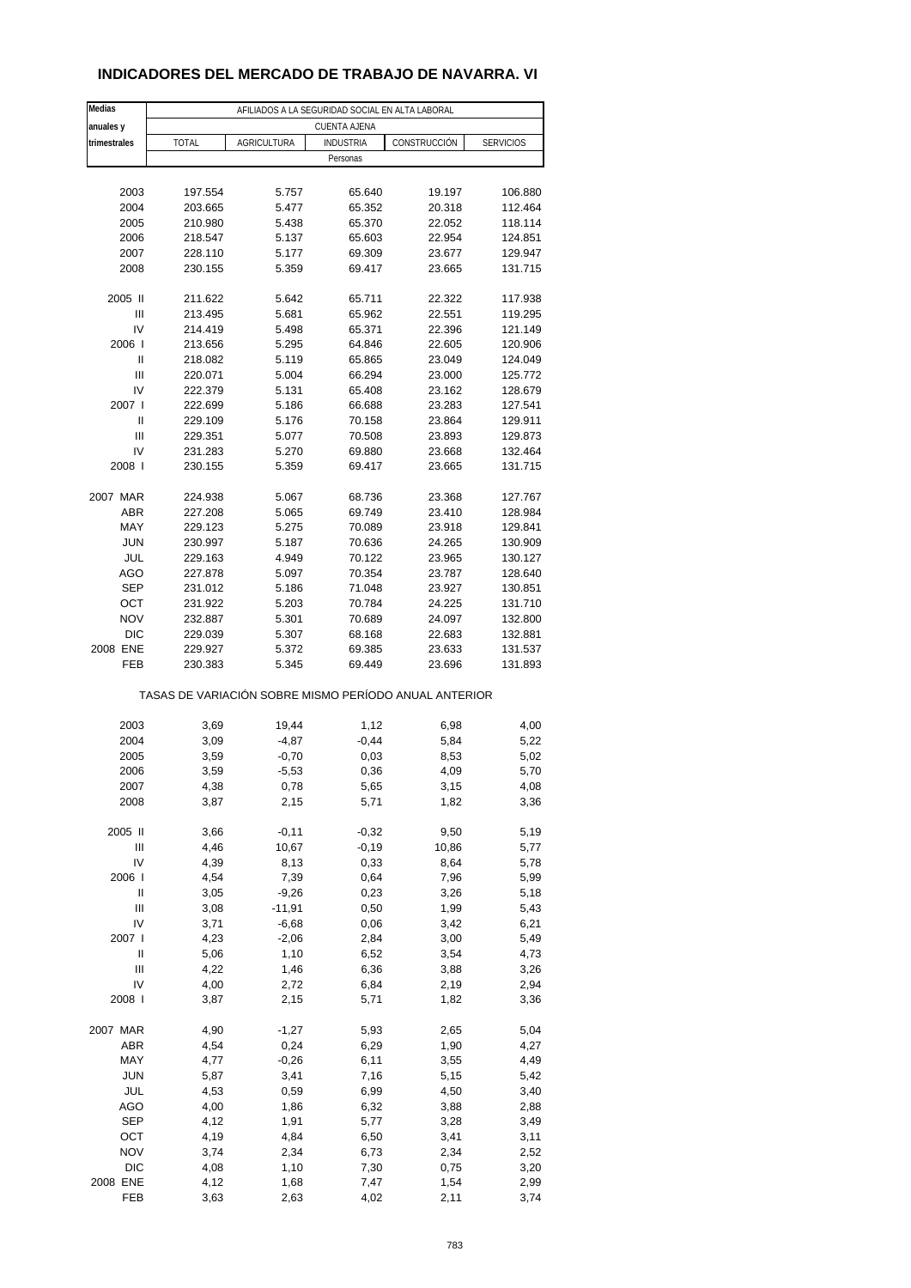## **INDICADORES DEL MERCADO DE TRABAJO DE NAVARRA. VI**

| Medias                 | AFILIADOS A LA SEGURIDAD SOCIAL EN ALTA LABORAL       |                    |                  |                  |                    |  |  |  |
|------------------------|-------------------------------------------------------|--------------------|------------------|------------------|--------------------|--|--|--|
| anuales y              | <b>CUENTA AJENA</b>                                   |                    |                  |                  |                    |  |  |  |
| trimestrales           | <b>TOTAL</b>                                          | <b>AGRICULTURA</b> | <b>INDUSTRIA</b> | CONSTRUCCIÓN     | <b>SERVICIOS</b>   |  |  |  |
|                        |                                                       |                    | Personas         |                  |                    |  |  |  |
|                        |                                                       |                    |                  |                  |                    |  |  |  |
| 2003                   | 197.554                                               | 5.757              | 65.640           | 19.197           | 106.880            |  |  |  |
| 2004                   | 203.665                                               | 5.477              | 65.352           | 20.318           | 112.464            |  |  |  |
| 2005                   | 210.980                                               | 5.438              | 65.370           | 22.052           | 118.114            |  |  |  |
| 2006                   | 218.547                                               | 5.137              | 65.603<br>69.309 | 22.954<br>23.677 | 124.851            |  |  |  |
| 2007<br>2008           | 228.110<br>230.155                                    | 5.177<br>5.359     | 69.417           | 23.665           | 129.947<br>131.715 |  |  |  |
|                        |                                                       |                    |                  |                  |                    |  |  |  |
| 2005 II                | 211.622                                               | 5.642              | 65.711           | 22.322           | 117.938            |  |  |  |
| Ш                      | 213.495                                               | 5.681              | 65.962           | 22.551           | 119.295            |  |  |  |
| IV                     | 214.419                                               | 5.498              | 65.371           | 22.396           | 121.149            |  |  |  |
| 2006                   | 213.656                                               | 5.295              | 64.846           | 22.605           | 120.906            |  |  |  |
| Ш                      | 218.082                                               | 5.119              | 65.865           | 23.049           | 124.049            |  |  |  |
| Ш                      | 220.071                                               | 5.004              | 66.294           | 23.000           | 125.772            |  |  |  |
| IV                     | 222.379                                               | 5.131              | 65.408           | 23.162           | 128.679            |  |  |  |
| 2007 l                 | 222.699                                               | 5.186              | 66.688           | 23.283           | 127.541            |  |  |  |
| Ш<br>Ш                 | 229.109                                               | 5.176              | 70.158           | 23.864<br>23.893 | 129.911<br>129.873 |  |  |  |
| IV                     | 229.351<br>231.283                                    | 5.077<br>5.270     | 70.508<br>69.880 | 23.668           | 132.464            |  |  |  |
| 2008                   | 230.155                                               | 5.359              | 69.417           | 23.665           | 131.715            |  |  |  |
|                        |                                                       |                    |                  |                  |                    |  |  |  |
| 2007 MAR               | 224.938                                               | 5.067              | 68.736           | 23.368           | 127.767            |  |  |  |
| ABR                    | 227.208                                               | 5.065              | 69.749           | 23.410           | 128.984            |  |  |  |
| MAY                    | 229.123                                               | 5.275              | 70.089           | 23.918           | 129.841            |  |  |  |
| <b>JUN</b>             | 230.997                                               | 5.187              | 70.636           | 24.265           | 130.909            |  |  |  |
| JUL                    | 229.163                                               | 4.949              | 70.122           | 23.965           | 130.127            |  |  |  |
| AGO                    | 227.878                                               | 5.097              | 70.354           | 23.787           | 128.640            |  |  |  |
| <b>SEP</b>             | 231.012                                               | 5.186              | 71.048           | 23.927           | 130.851            |  |  |  |
| OCT                    | 231.922                                               | 5.203              | 70.784           | 24.225           | 131.710            |  |  |  |
| <b>NOV</b>             | 232.887                                               | 5.301              | 70.689           | 24.097           | 132.800            |  |  |  |
| <b>DIC</b><br>2008 ENE | 229.039<br>229.927                                    | 5.307<br>5.372     | 68.168<br>69.385 | 22.683<br>23.633 | 132.881<br>131.537 |  |  |  |
| FEB                    | 230.383                                               | 5.345              | 69.449           | 23.696           | 131.893            |  |  |  |
|                        |                                                       |                    |                  |                  |                    |  |  |  |
|                        | TASAS DE VARIACIÓN SOBRE MISMO PERÍODO ANUAL ANTERIOR |                    |                  |                  |                    |  |  |  |
|                        |                                                       |                    |                  |                  |                    |  |  |  |
| 2003                   | 3,69                                                  | 19,44              | 1,12             | 6,98             | 4,00               |  |  |  |
| 2004                   | 3,09                                                  | $-4,87$            | $-0,44$          | 5,84             | 5,22               |  |  |  |
| 2005                   | 3,59                                                  | $-0,70$            | 0,03             | 8,53             | 5,02               |  |  |  |
| 2006                   | 3,59                                                  | $-5,53$            | 0,36             | 4,09             | 5,70               |  |  |  |
| 2007<br>2008           | 4,38<br>3,87                                          | 0,78<br>2,15       | 5,65<br>5,71     | 3,15<br>1,82     | 4,08<br>3,36       |  |  |  |
|                        |                                                       |                    |                  |                  |                    |  |  |  |
| 2005 II                | 3,66                                                  | $-0,11$            | $-0,32$          | 9,50             | 5,19               |  |  |  |
| Ш                      | 4,46                                                  | 10,67              | $-0,19$          | 10,86            | 5,77               |  |  |  |
| IV                     | 4,39                                                  | 8,13               | 0,33             | 8,64             | 5,78               |  |  |  |
| 2006                   | 4,54                                                  | 7,39               | 0,64             | 7,96             | 5,99               |  |  |  |
| Ш                      | 3,05                                                  | $-9,26$            | 0,23             | 3,26             | 5,18               |  |  |  |
| Ш                      | 3,08                                                  | $-11,91$           | 0,50             | 1,99             | 5,43               |  |  |  |
| IV                     | 3,71                                                  | $-6,68$            | 0,06             | 3,42             | 6,21               |  |  |  |
| 2007 l                 | 4,23                                                  | $-2,06$            | 2,84             | 3,00             | 5,49               |  |  |  |
| Ш<br>Ш                 | 5,06<br>4,22                                          | 1,10               | 6,52<br>6,36     | 3,54             | 4,73               |  |  |  |
| IV                     | 4,00                                                  | 1,46<br>2,72       | 6,84             | 3,88<br>2,19     | 3,26<br>2,94       |  |  |  |
| 2008                   | 3,87                                                  | 2,15               | 5,71             | 1,82             | 3,36               |  |  |  |
|                        |                                                       |                    |                  |                  |                    |  |  |  |
| 2007 MAR               | 4,90                                                  | $-1,27$            | 5,93             | 2,65             | 5,04               |  |  |  |
| ABR                    | 4,54                                                  | 0,24               | 6,29             | 1,90             | 4,27               |  |  |  |
| MAY                    | 4,77                                                  | $-0,26$            | 6,11             | 3,55             | 4,49               |  |  |  |
| <b>JUN</b>             | 5,87                                                  | 3,41               | 7,16             | 5,15             | 5,42               |  |  |  |
| JUL                    | 4,53                                                  | 0,59               | 6,99             | 4,50             | 3,40               |  |  |  |
| AGO                    | 4,00                                                  | 1,86               | 6,32             | 3,88             | 2,88               |  |  |  |
| <b>SEP</b>             | 4,12                                                  | 1,91               | 5,77             | 3,28             | 3,49               |  |  |  |
| OCT                    | 4,19                                                  | 4,84               | 6,50             | 3,41             | 3,11               |  |  |  |
| <b>NOV</b>             | 3,74                                                  | 2,34               | 6,73             | 2,34             | 2,52               |  |  |  |
| DIC<br>2008 ENE        | 4,08<br>4,12                                          | 1,10               | 7,30<br>7,47     | 0,75<br>1,54     | 3,20               |  |  |  |
| FEB                    | 3,63                                                  | 1,68<br>2,63       | 4,02             | 2,11             | 2,99<br>3,74       |  |  |  |
|                        |                                                       |                    |                  |                  |                    |  |  |  |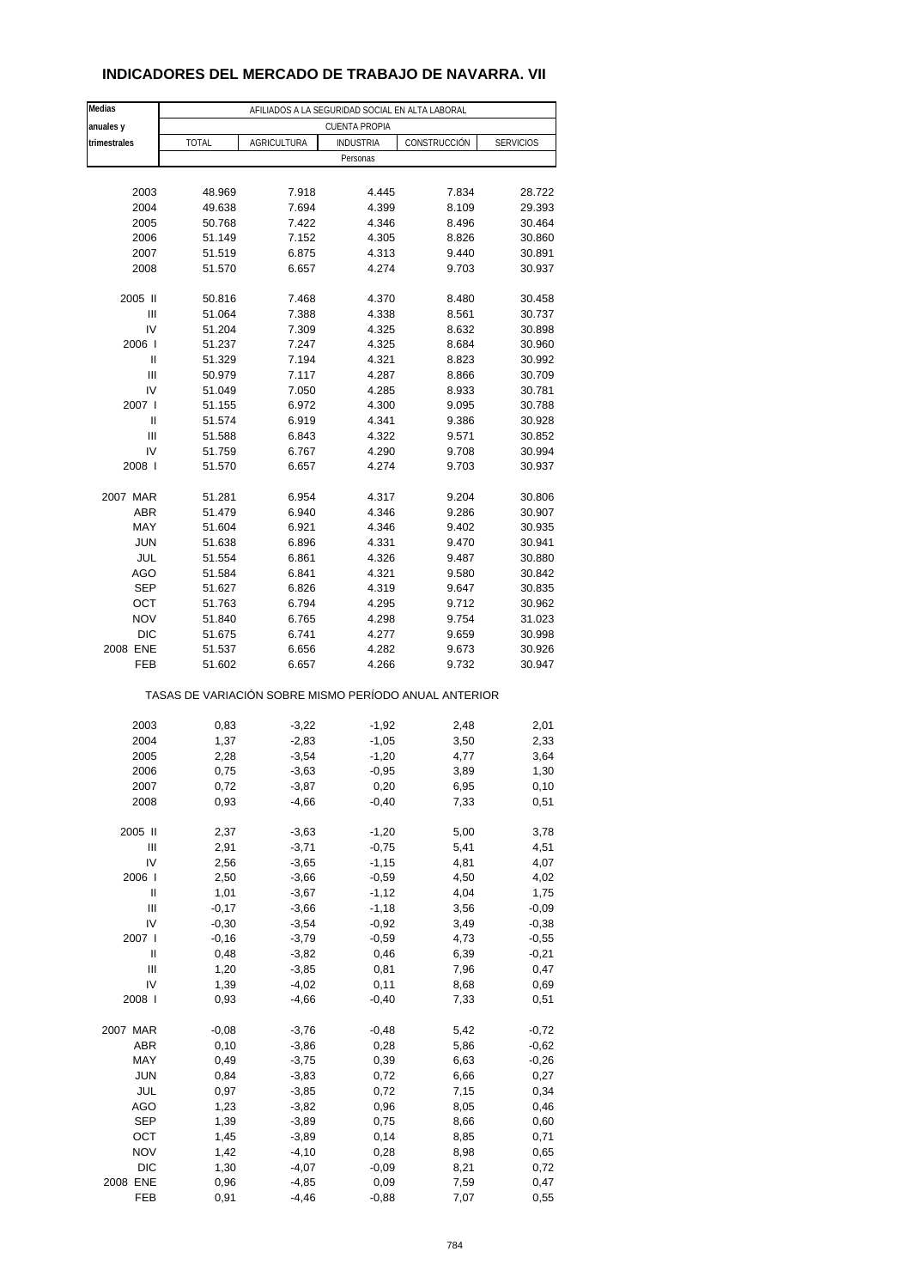## **INDICADORES DEL MERCADO DE TRABAJO DE NAVARRA. VII**

| Medias              |                  |                    | AFILIADOS A LA SEGURIDAD SOCIAL EN ALTA LABORAL |                                                       |                  |
|---------------------|------------------|--------------------|-------------------------------------------------|-------------------------------------------------------|------------------|
| anuales y           |                  |                    | <b>CUENTA PROPIA</b>                            |                                                       |                  |
| trimestrales        | <b>TOTAL</b>     | AGRICULTURA        | <b>INDUSTRIA</b>                                | CONSTRUCCIÓN                                          | <b>SERVICIOS</b> |
|                     |                  |                    | Personas                                        |                                                       |                  |
|                     |                  |                    |                                                 |                                                       |                  |
| 2003                | 48.969           | 7.918              | 4.445                                           | 7.834                                                 | 28.722           |
| 2004                | 49.638           | 7.694              | 4.399                                           | 8.109                                                 | 29.393           |
| 2005                | 50.768           | 7.422              | 4.346                                           | 8.496                                                 | 30.464           |
| 2006                | 51.149           | 7.152              | 4.305                                           | 8.826                                                 | 30.860           |
| 2007                | 51.519           | 6.875              | 4.313                                           | 9.440                                                 | 30.891           |
| 2008                | 51.570           | 6.657              | 4.274                                           | 9.703                                                 | 30.937           |
|                     |                  |                    |                                                 |                                                       |                  |
| 2005 II             | 50.816           | 7.468              | 4.370                                           | 8.480                                                 | 30.458           |
| Ш                   | 51.064           | 7.388              | 4.338                                           | 8.561                                                 | 30.737           |
| IV                  | 51.204           | 7.309              | 4.325                                           | 8.632                                                 | 30.898           |
| 2006                | 51.237           | 7.247              | 4.325                                           | 8.684                                                 | 30.960           |
| Ш                   | 51.329           | 7.194              | 4.321                                           | 8.823                                                 | 30.992           |
| Ш                   | 50.979           | 7.117              | 4.287                                           | 8.866                                                 | 30.709           |
| IV                  | 51.049           | 7.050              | 4.285                                           | 8.933                                                 | 30.781           |
| 2007 l              | 51.155           | 6.972              | 4.300                                           | 9.095                                                 | 30.788           |
| Ш<br>$\mathsf{III}$ | 51.574           | 6.919              | 4.341                                           | 9.386                                                 | 30.928           |
| IV                  | 51.588           | 6.843              | 4.322                                           | 9.571                                                 | 30.852           |
| 2008                | 51.759<br>51.570 | 6.767<br>6.657     | 4.290<br>4.274                                  | 9.708<br>9.703                                        | 30.994<br>30.937 |
|                     |                  |                    |                                                 |                                                       |                  |
| 2007 MAR            | 51.281           | 6.954              | 4.317                                           | 9.204                                                 | 30.806           |
| ABR                 | 51.479           | 6.940              | 4.346                                           | 9.286                                                 | 30.907           |
| MAY                 | 51.604           | 6.921              | 4.346                                           | 9.402                                                 | 30.935           |
| JUN                 | 51.638           | 6.896              | 4.331                                           | 9.470                                                 | 30.941           |
| JUL                 | 51.554           | 6.861              | 4.326                                           | 9.487                                                 | 30.880           |
| <b>AGO</b>          | 51.584           | 6.841              | 4.321                                           | 9.580                                                 | 30.842           |
| <b>SEP</b>          | 51.627           | 6.826              | 4.319                                           | 9.647                                                 | 30.835           |
| OCT                 | 51.763           | 6.794              | 4.295                                           | 9.712                                                 | 30.962           |
| <b>NOV</b>          | 51.840           | 6.765              | 4.298                                           | 9.754                                                 | 31.023           |
| DIC                 | 51.675           | 6.741              | 4.277                                           | 9.659                                                 | 30.998           |
| 2008 ENE            | 51.537           | 6.656              | 4.282                                           | 9.673                                                 | 30.926           |
| FEB                 | 51.602           | 6.657              | 4.266                                           | 9.732                                                 | 30.947           |
|                     |                  |                    |                                                 | TASAS DE VARIACIÓN SOBRE MISMO PERÍODO ANUAL ANTERIOR |                  |
|                     |                  |                    |                                                 |                                                       |                  |
| 2003                | 0,83             | $-3,22$            | $-1,92$                                         | 2,48                                                  | 2,01             |
| 2004<br>2005        | 1,37             | $-2,83$            | $-1,05$                                         | 3,50                                                  | 2,33             |
| 2006                | 2,28<br>0,75     | $-3,54$<br>$-3,63$ | $-1,20$<br>$-0,95$                              | 4,77<br>3,89                                          | 3,64<br>1,30     |
| 2007                | 0,72             | $-3,87$            | 0,20                                            | 6,95                                                  | 0,10             |
| 2008                | 0,93             | $-4,66$            | $-0,40$                                         | 7,33                                                  | 0,51             |
|                     |                  |                    |                                                 |                                                       |                  |
| 2005 II             | 2,37             | $-3,63$            | $-1,20$                                         | 5,00                                                  | 3,78             |
| Ш                   | 2,91             | $-3,71$            | $-0,75$                                         | 5,41                                                  | 4,51             |
| IV                  | 2,56             | $-3,65$            | $-1, 15$                                        | 4,81                                                  | 4,07             |
| 2006                | 2,50             | $-3,66$            | $-0,59$                                         | 4,50                                                  | 4,02             |
| $\sf II$            | 1,01             | $-3,67$            | $-1, 12$                                        | 4,04                                                  | 1,75             |
| Ш                   | $-0,17$          | $-3,66$            | $-1,18$                                         | 3,56                                                  | $-0,09$          |
| IV                  | $-0,30$          | $-3,54$            | $-0,92$                                         | 3,49                                                  | $-0,38$          |
| 2007 l              | $-0,16$          | $-3,79$            | $-0,59$                                         | 4,73                                                  | $-0,55$          |
| Ш                   | 0,48             | $-3,82$            | 0,46                                            | 6,39                                                  | $-0,21$          |
| Ш                   | 1,20             | $-3,85$            | 0,81                                            | 7,96                                                  | 0,47             |
| IV                  | 1,39             | $-4,02$            | 0,11                                            | 8,68                                                  | 0,69             |
| 2008                | 0,93             | $-4,66$            | $-0,40$                                         | 7,33                                                  | 0,51             |
|                     |                  |                    |                                                 |                                                       |                  |
| 2007 MAR            | $-0,08$          | $-3,76$            | $-0,48$                                         | 5,42                                                  | $-0,72$          |
| ABR                 | 0,10             | $-3,86$            | 0,28                                            | 5,86                                                  | $-0,62$          |
| MAY                 | 0,49             | $-3,75$            | 0,39                                            | 6,63                                                  | $-0,26$          |
| JUN                 | 0,84             | $-3,83$            | 0,72                                            | 6,66                                                  | 0,27             |
| JUL                 | 0,97             | $-3,85$            | 0,72                                            | 7,15                                                  | 0,34             |
| AGO                 | 1,23             | $-3,82$            | 0,96                                            | 8,05                                                  | 0,46             |
| SEP                 | 1,39             | $-3,89$            | 0,75                                            | 8,66                                                  | 0,60             |
| OCT                 | 1,45             | $-3,89$            | 0,14                                            | 8,85                                                  | 0,71             |
| <b>NOV</b>          | 1,42             | $-4,10$            | 0,28                                            | 8,98                                                  | 0,65             |
| DIC                 | 1,30             | $-4,07$            | $-0,09$                                         | 8,21                                                  | 0,72             |
| 2008 ENE            | 0,96             | $-4,85$            | 0,09                                            | 7,59                                                  | 0,47             |
| FEB                 | 0,91             | $-4,46$            | $-0,88$                                         | 7,07                                                  | 0,55             |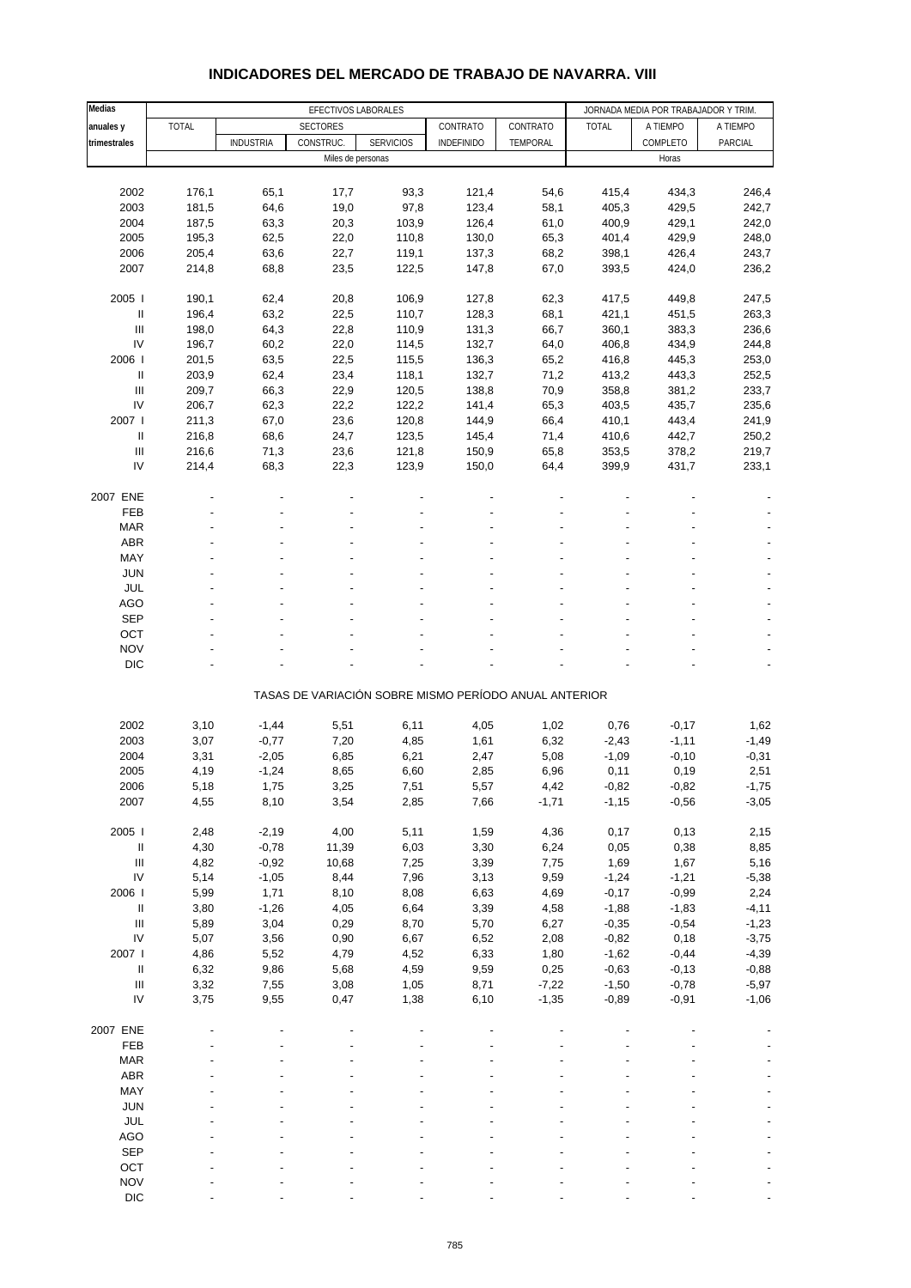#### **Medias EFECTIVOS LABORALES EXAMPLE AND A SECTIVOS LABORALES JORNADA MEDIA POR TRABAJADOR Y TRIM. anuales y** TOTAL SECTORES CONTRATO CONTRATO TOTAL A TIEMPO A TIEMPO trimestrales **|** | INDUSTRIA | CONSTRUC. | SERVICIOS | INDEFINIDO | TEMPORAL | COMPLETO | PARCIAL Miles de personas Horas Horas Horas Horas Horas Horas Horas Horas Horas Horas Horas Horas Horas Horas Horas Horas Horas Horas Horas Horas Horas Horas Horas Horas Horas Horas Horas Horas Horas Horas Horas Horas Horas Horas 2002 176,1 65,1 17,7 93,3 121,4 54,6 415,4 434,3 246,4 2003 181,5 64,6 19,0 97,8 123,4 58,1 405,3 429,5 242,7 2004 187,5 63,3 20,3 103,9 126,4 61,0 400,9 429,1 242,0 2005 195,3 62,5 22,0 110,8 130,0 65,3 401,4 429,9 248,0 2006 205,4 63,6 22,7 119,1 137,3 68,2 398,1 426,4 243,7 2007 214,8 68,8 23,5 122,5 147,8 67,0 393,5 424,0 236,2 2005 I 190,1 62,4 20,8 106,9 127,8 62,3 417,5 449,8 247,5 II 196,4 63,2 22,5 110,7 128,3 68,1 421,1 451,5 263,3 III 198,0 64,3 22,8 110,9 131,3 66,7 360,1 383,3 236,6 IV 196,7 60,2 22,0 114,5 132,7 64,0 406,8 434,9 244,8 2006 I 201,5 63,5 22,5 115,5 136,3 65,2 416,8 445,3 253,0 II 203,9 62,4 23,4 118,1 132,7 71,2 413,2 443,3 252,5 III 209,7 66,3 22,9 120,5 138,8 70,9 358,8 381,2 233,7 IV 206,7 62,3 22,2 122,2 141,4 65,3 403,5 435,7 235,6 2007 I 211,3 67,0 23,6 120,8 144,9 66,4 410,1 443,4 241,9 II 216,8 68,6 24,7 123,5 145,4 71,4 410,6 442,7 250,2 III 216,6 71,3 23,6 121,8 150,9 65,8 353,5 378,2 219,7 IV 214,4 68,3 22,3 123,9 150,0 64,4 399,9 431,7 233,1 2007 ENE - - - - - --- -  $\begin{array}{lllllllllllllll} & \text{FEB} & \multicolumn{3}{l}{{\color{red}\mathsf{F}}}\mathsf{E}\mathsf{B} & \multicolumn{3}{l}{{\color{red}\mathsf{F}}}\mathsf{F}\mathsf{E}\mathsf{B} & \multicolumn{3}{l}{{\color{red}\mathsf{F}}}\mathsf{F}\mathsf{E}\mathsf{B} & \multicolumn{3}{l}{{\color{red}\mathsf{F}}}\mathsf{F}\mathsf{E}\mathsf{B} & \multicolumn{3}{l}{{\color{red}\mathsf{F}}}\mathsf{F}\mathsf{E}\mathsf{B} & \multicolumn{3}{l}{{\color{red}\mathsf{$  MAR - - - - - - - - -  $ABR$  , and the set of the set of the set of the set of the set of the set of the set of the set of the set of the set of the set of the set of the set of the set of the set of the set of the set of the set of the set of t MAY - - - - - - - - - JUN - - - - - - - - - JUL - - - - - - - - - AGO - - - - - - - - - SEP - - - - - - - - - OCT the set of the set of the set of the set of the set of the set of the set of the set of the set of the set NOV the set of the set of the set of the set of the set of the set of the set of the set of the set of the set of the set of the set of the set of the set of the set of the set of the set of the set of the set of the set DIC  $\qquad \qquad \qquad \qquad \qquad \qquad \qquad \qquad \qquad \qquad \qquad \qquad \qquad \qquad \qquad \qquad \qquad \qquad -$ TASAS DE VARIACIÓN SOBRE MISMO PERÍODO ANUAL ANTERIOR 2002 3,10 -1,44 5,51 6,11 4,05 1,02 0,76 -0,17 1,62 2003 3,07 -0,77 7,20 4,85 1,61 6,32 -2,43 -1,11 -1,49 2004 3,31 -2,05 6,85 6,21 2,47 5,08 -1,09 -0,10 -0,31 2005 4,19 -1,24 8,65 6,60 2,85 6,96 0,11 0,19 2,51 2006 5,18 1,75 3,25 7,51 5,57 4,42 -0,82 -0,82 -1,75 2007 4,55 8,10 3,54 2,85 7,66 -1,71 -1,15 -0,56 -3,05 2005 I 2,48 -2,19 4,00 5,11 1,59 4,36 0,17 0,13 2,15 II 4,30 -0,78 11,39 6,03 3,30 6,24 0,05 0,38 8,85 III 4,82 -0,92 10,68 7,25 3,39 7,75 1,69 1,67 5,16 IV 5,14 -1,05 8,44 7,96 3,13 9,59 -1,24 -1,21 -5,38 2006 I 5,99 1,71 8,10 8,08 6,63 4,69 -0,17 -0,99 2,24 II 3,80 -1,26 4,05 6,64 3,39 4,58 -1,88 -1,83 -4,11 III 5,89 3,04 0,29 8,70 5,70 6,27 -0,35 -0,54 -1,23 IV 5,07 3,56 0,90 6,67 6,52 2,08 -0,82 0,18 -3,75 2007 I 4,86 5,52 4,79 4,52 6,33 1,80 -1,62 -0,44 -4,39 II 6,32 9,86 5,68 4,59 9,59 0,25 -0,63 -0,13 -0,88 III 3,32 7,55 3,08 1,05 8,71 -7,22 -1,50 -0,78 -5,97 IV 3,75 9,55 0,47 1,38 6,10 -1,35 -0,89 -0,91 -1,06 2007 ENE - - - - - --- -  $\begin{array}{lllllllllllllll} & \text{FEB} & \multicolumn{3}{l}{{\color{red}\mathsf{F}}}\mathsf{E}\mathsf{B} & \multicolumn{3}{l}{{\color{red}\mathsf{F}}}\mathsf{F}\mathsf{E}\mathsf{B} & \multicolumn{3}{l}{{\color{red}\mathsf{F}}}\mathsf{F}\mathsf{E}\mathsf{B} & \multicolumn{3}{l}{{\color{red}\mathsf{F}}}\mathsf{F}\mathsf{E}\mathsf{B} & \multicolumn{3}{l}{{\color{red}\mathsf{F}}}\mathsf{F}\mathsf{E}\mathsf{B} & \multicolumn{3}{l}{{\color{red}\mathsf{$  MAR - - - - - - - - -  $ABR$  , and the set of the set of the set of the set of the set of the set of the set of the set of the set of the set of the set of the set of the set of the set of the set of the set of the set of the set of the set of t MAY - - - - - - - - - JUN - - - - - - - - - JUL - - - - - - - - - AGO - - - - - - - - - SEP - - - - - - - - -  $OCT$  , and the set of the set of the set of the set of the set of the set of the set of the set of the set of the set of the set of the set of the set of the set of the set of the set of the set of the set of the set of t

#### **INDICADORES DEL MERCADO DE TRABAJO DE NAVARRA. VIII**

NOV the set of the set of the set of the set of the set of the set of the set of the set of the set of the set of the set of the set of the set of the set of the set of the set of the set of the set of the set of the set DIC  $\qquad \qquad \qquad \qquad \qquad \qquad \qquad \qquad \qquad \qquad \qquad \qquad \qquad \qquad \qquad \qquad \qquad \qquad -$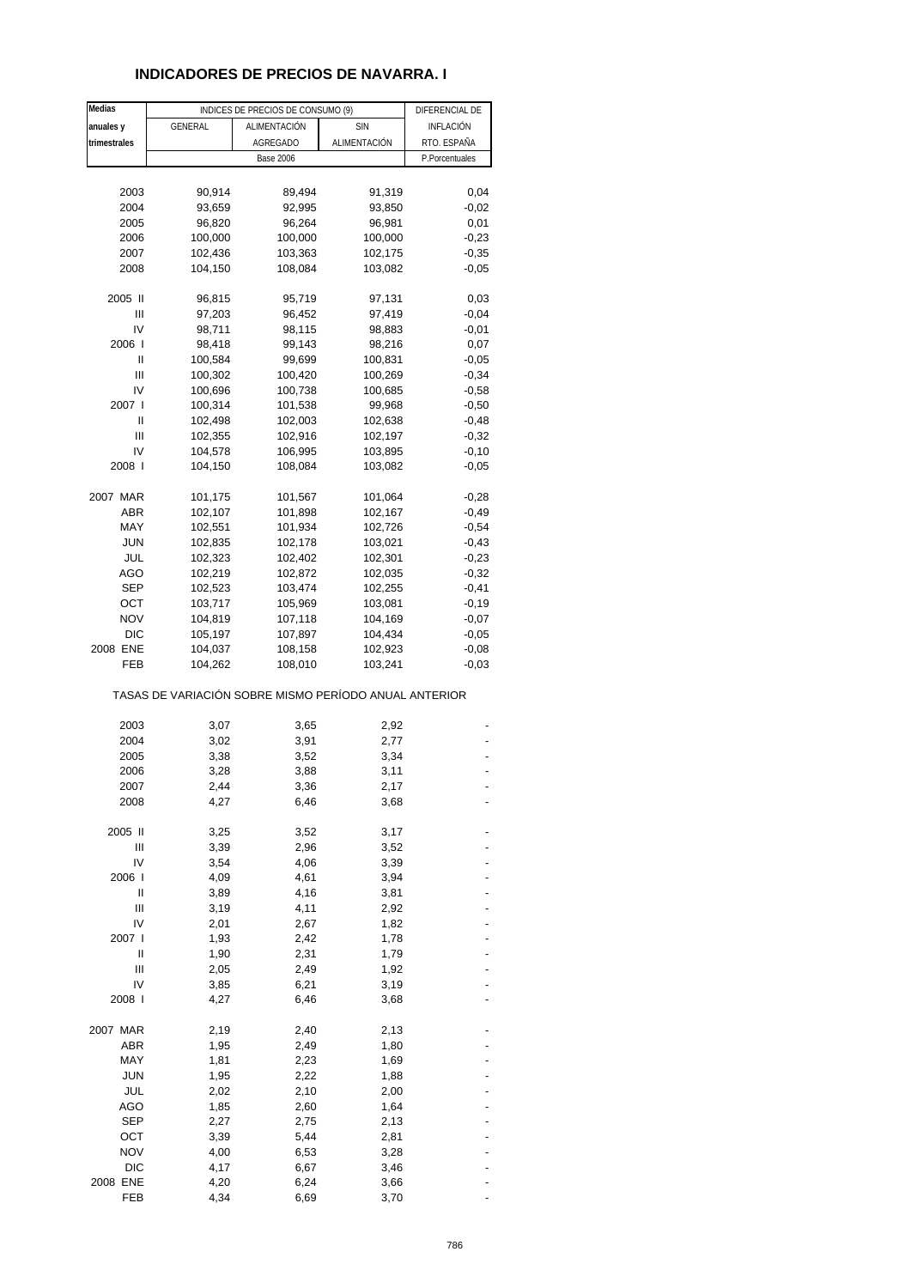## **INDICADORES DE PRECIOS DE NAVARRA. I**

| Medias          |                                                       | INDICES DE PRECIOS DE CONSUMO (9) |              | DIFERENCIAL DE |
|-----------------|-------------------------------------------------------|-----------------------------------|--------------|----------------|
| anuales y       | GENERAL                                               | ALIMENTACIÓN                      | <b>SIN</b>   | INFLACIÓN      |
| trimestrales    |                                                       | <b>AGREGADO</b>                   | ALIMENTACIÓN | RTO. ESPAÑA    |
|                 |                                                       | <b>Base 2006</b>                  |              | P.Porcentuales |
|                 |                                                       |                                   |              |                |
| 2003            | 90,914                                                | 89,494                            | 91,319       | 0,04           |
| 2004            | 93,659                                                | 92,995                            | 93,850       | $-0,02$        |
| 2005            | 96,820                                                | 96,264                            | 96,981       | 0,01           |
| 2006            | 100,000                                               | 100,000                           | 100,000      | $-0,23$        |
| 2007            | 102,436                                               | 103,363                           | 102,175      | $-0,35$        |
| 2008            | 104,150                                               | 108,084                           | 103,082      | $-0,05$        |
| 2005 II         | 96,815                                                | 95,719                            | 97,131       | 0,03           |
| Ш               | 97,203                                                | 96,452                            | 97,419       | $-0,04$        |
| IV              | 98,711                                                | 98,115                            | 98,883       | $-0,01$        |
| 2006            | 98,418                                                | 99,143                            | 98,216       | 0,07           |
| Ш               | 100,584                                               | 99,699                            | 100,831      | $-0,05$        |
| Ш               | 100,302                                               | 100,420                           | 100,269      | $-0,34$        |
| IV              | 100,696                                               | 100,738                           | 100,685      | $-0,58$        |
| 2007            | 100,314                                               | 101,538                           | 99,968       | $-0,50$        |
| Ш               | 102,498                                               | 102,003                           | 102,638      | $-0,48$        |
| Ш               | 102,355                                               | 102,916                           | 102,197      | $-0,32$        |
| IV              | 104,578                                               | 106,995                           | 103,895      | $-0,10$        |
| 2008 l          | 104,150                                               | 108,084                           | 103,082      | $-0,05$        |
| 2007 MAR        | 101,175                                               | 101,567                           | 101,064      | $-0,28$        |
| ABR             | 102,107                                               | 101,898                           | 102,167      | $-0,49$        |
| MAY             | 102,551                                               | 101,934                           | 102,726      | $-0,54$        |
| <b>JUN</b>      | 102,835                                               | 102,178                           | 103,021      | $-0,43$        |
| JUL             | 102,323                                               | 102,402                           | 102,301      | $-0,23$        |
| AGO             | 102,219                                               | 102,872                           | 102,035      | $-0,32$        |
| SEP             | 102,523                                               | 103,474                           | 102,255      | $-0,41$        |
| ОСТ             | 103,717                                               | 105,969                           | 103,081      | $-0,19$        |
| <b>NOV</b>      | 104,819                                               | 107,118                           | 104,169      | $-0,07$        |
| <b>DIC</b>      | 105,197                                               | 107,897                           | 104,434      | $-0,05$        |
| 2008 ENE        | 104,037                                               | 108,158                           | 102,923      | $-0,08$        |
| FEB             | 104,262                                               | 108,010                           | 103,241      | $-0,03$        |
|                 | TASAS DE VARIACIÓN SOBRE MISMO PERÍODO ANUAL ANTERIOR |                                   |              |                |
| 2003            | 3,07                                                  | 3,65                              | 2,92         |                |
| 2004            | 3,02                                                  | 3,91                              | 2,77         |                |
| 2005            | 3,38                                                  | 3,52                              | 3,34         |                |
| 2006            | 3,28                                                  | 3,88                              | 3,11         |                |
| 2007            | 2,44                                                  | 3,36                              | 2,17         |                |
| 2008            | 4,27                                                  | 6,46                              | 3,68         |                |
| 2005 II         | 3,25                                                  |                                   | 3,17         |                |
| Ш               | 3,39                                                  | 3,52<br>2,96                      | 3,52         |                |
| IV              | 3,54                                                  | 4,06                              | 3,39         |                |
| 2006 l          | 4,09                                                  | 4,61                              | 3,94         |                |
| Ш               | 3,89                                                  | 4,16                              | 3,81         |                |
| Ш               | 3,19                                                  | 4,11                              | 2,92         |                |
| IV              | 2,01                                                  | 2,67                              | 1,82         |                |
| 2007 l          | 1,93                                                  | 2,42                              | 1,78         |                |
| Ш               | 1,90                                                  | 2,31                              | 1,79         |                |
| Ш               | 2,05                                                  | 2,49                              | 1,92         |                |
| IV              | 3,85                                                  | 6,21                              | 3,19         |                |
| 2008 l          | 4,27                                                  | 6,46                              | 3,68         |                |
|                 |                                                       |                                   |              |                |
| 2007 MAR<br>ABR | 2,19<br>1,95                                          | 2,40<br>2,49                      | 2,13<br>1,80 |                |
| MAY             | 1,81                                                  | 2,23                              | 1,69         |                |
| <b>JUN</b>      | 1,95                                                  | 2,22                              | 1,88         |                |
| JUL             | 2,02                                                  | 2,10                              | 2,00         |                |
| AGO             | 1,85                                                  | 2,60                              | 1,64         |                |
| <b>SEP</b>      | 2,27                                                  | 2,75                              | 2,13         |                |
| OCT             | 3,39                                                  | 5,44                              | 2,81         |                |
| <b>NOV</b>      | 4,00                                                  | 6,53                              | 3,28         |                |
| <b>DIC</b>      | 4,17                                                  | 6,67                              | 3,46         |                |
| 2008 ENE        | 4,20                                                  | 6,24                              | 3,66         |                |
| FEB             | 4,34                                                  | 6,69                              | 3,70         |                |
|                 |                                                       |                                   |              |                |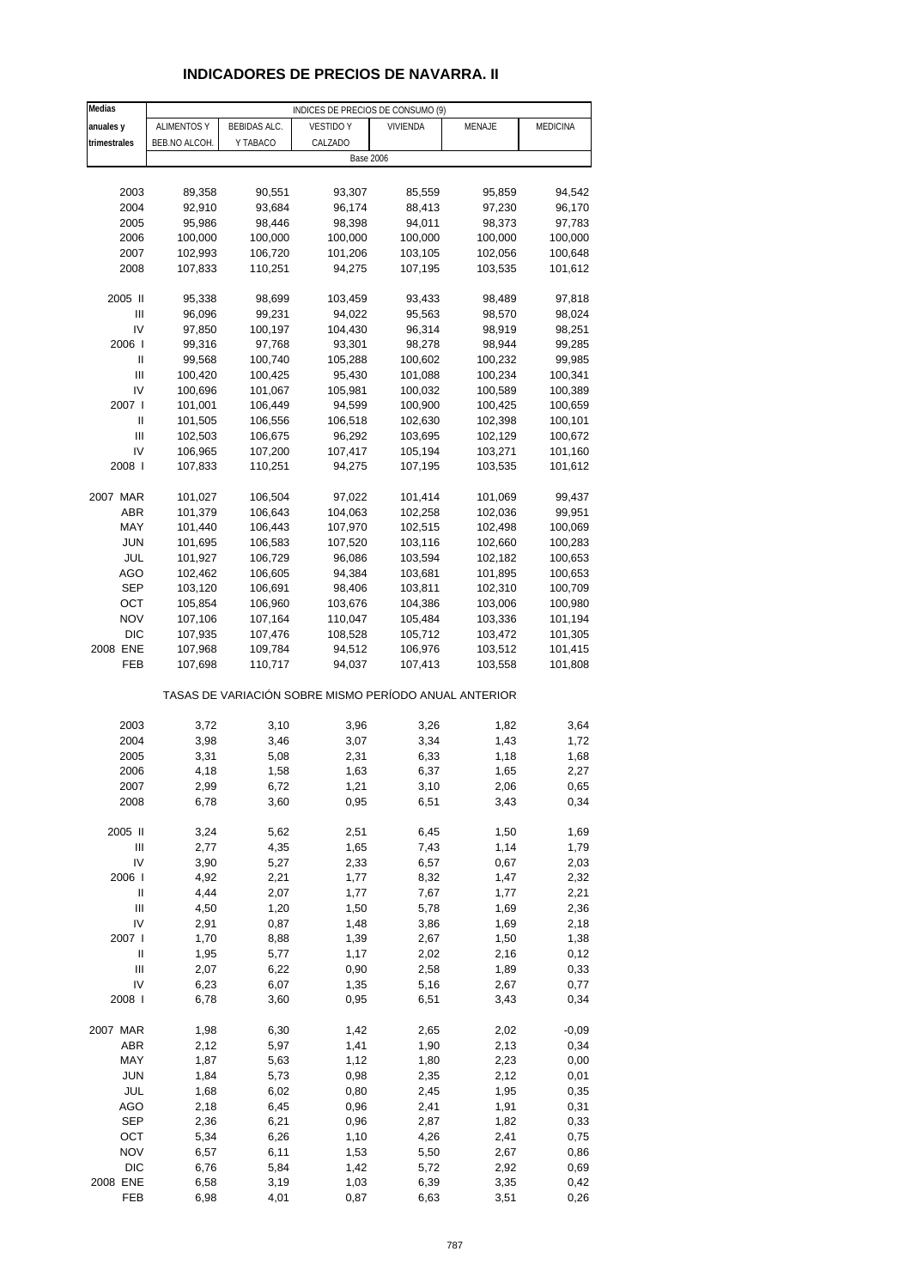# **INDICADORES DE PRECIOS DE NAVARRA. II**

| Medias         | INDICES DE PRECIOS DE CONSUMO (9) |              |                                                       |          |              |                  |
|----------------|-----------------------------------|--------------|-------------------------------------------------------|----------|--------------|------------------|
| anuales y      | <b>ALIMENTOS Y</b>                | BEBIDAS ALC. | <b>VESTIDO Y</b>                                      | VIVIENDA | MENAJE       | MEDICINA         |
| trimestrales   | BEB.NO ALCOH.                     | Y TABACO     | CALZADO                                               |          |              |                  |
|                |                                   |              | <b>Base 2006</b>                                      |          |              |                  |
|                |                                   |              |                                                       |          |              |                  |
| 2003           | 89,358                            | 90,551       | 93,307                                                | 85,559   | 95,859       | 94,542           |
| 2004           | 92,910                            | 93,684       | 96,174                                                | 88,413   | 97,230       | 96,170           |
| 2005           | 95,986                            | 98,446       | 98,398                                                | 94,011   | 98,373       | 97,783           |
| 2006           | 100,000                           |              |                                                       |          | 100,000      | 100,000          |
|                | 102,993                           | 100,000      | 100,000                                               | 100,000  |              |                  |
| 2007           |                                   | 106,720      | 101,206                                               | 103,105  | 102,056      | 100,648          |
| 2008           | 107,833                           | 110,251      | 94,275                                                | 107,195  | 103,535      | 101,612          |
| 2005 II        |                                   |              |                                                       |          |              |                  |
| Ш              | 95,338<br>96,096                  | 98,699       | 103,459<br>94,022                                     | 93,433   | 98,489       | 97,818<br>98,024 |
| IV             |                                   | 99,231       |                                                       | 95,563   | 98,570       |                  |
| 2006           | 97,850                            | 100,197      | 104,430                                               | 96,314   | 98,919       | 98,251           |
|                | 99,316                            | 97,768       | 93,301                                                | 98,278   | 98,944       | 99,285           |
| Ш              | 99,568                            | 100,740      | 105,288                                               | 100,602  | 100,232      | 99,985           |
| $\mathbf{III}$ | 100,420                           | 100,425      | 95,430                                                | 101,088  | 100,234      | 100,341          |
| IV             | 100,696                           | 101,067      | 105,981                                               | 100,032  | 100,589      | 100,389          |
| 2007 l         | 101,001                           | 106,449      | 94,599                                                | 100,900  | 100,425      | 100,659          |
| Ш              | 101,505                           | 106,556      | 106,518                                               | 102,630  | 102,398      | 100,101          |
| Ш              | 102,503                           | 106,675      | 96,292                                                | 103,695  | 102,129      | 100,672          |
| IV             | 106,965                           | 107,200      | 107,417                                               | 105,194  | 103,271      | 101,160          |
| 2008           | 107,833                           | 110,251      | 94,275                                                | 107,195  | 103,535      | 101,612          |
|                |                                   |              |                                                       |          |              |                  |
| 2007 MAR       | 101,027                           | 106,504      | 97,022                                                | 101,414  | 101,069      | 99,437           |
| ABR            | 101,379                           | 106,643      | 104,063                                               | 102,258  | 102,036      | 99,951           |
| MAY            | 101,440                           | 106,443      | 107,970                                               | 102,515  | 102,498      | 100,069          |
| JUN            | 101,695                           | 106,583      | 107,520                                               | 103,116  | 102,660      | 100,283          |
| JUL            | 101,927                           | 106,729      | 96,086                                                | 103,594  | 102,182      | 100,653          |
| <b>AGO</b>     | 102,462                           | 106,605      | 94,384                                                | 103,681  | 101,895      | 100,653          |
| <b>SEP</b>     | 103,120                           | 106,691      | 98,406                                                | 103,811  | 102,310      | 100,709          |
| OCT            | 105,854                           | 106,960      | 103,676                                               | 104,386  | 103,006      | 100,980          |
| <b>NOV</b>     | 107,106                           | 107,164      | 110,047                                               | 105,484  | 103,336      | 101,194          |
| <b>DIC</b>     | 107,935                           | 107,476      | 108,528                                               | 105,712  | 103,472      | 101,305          |
| 2008 ENE       | 107,968                           | 109,784      | 94,512                                                | 106,976  | 103,512      | 101,415          |
| FEB            | 107,698                           | 110,717      | 94,037                                                | 107,413  | 103,558      | 101,808          |
|                |                                   |              | TASAS DE VARIACIÓN SOBRE MISMO PERÍODO ANUAL ANTERIOR |          |              |                  |
| 2003           | 3,72                              | 3,10         |                                                       | 3,26     |              |                  |
| 2004           | 3,98                              | 3,46         | 3,96<br>3,07                                          | 3,34     | 1,82<br>1,43 | 3,64<br>1,72     |
| 2005           |                                   |              |                                                       |          |              |                  |
| 2006           | 3,31                              | 5,08         | 2,31                                                  | 6,33     | 1,18         | 1,68             |
| 2007           | 4,18                              | 1,58<br>6,72 | 1,63                                                  | 6,37     | 1,65         | 2,27             |
|                | 2,99                              | 3,60         | 1,21                                                  | 3,10     | 2,06         | 0,65<br>0,34     |
| 2008           | 6,78                              |              | 0,95                                                  | 6,51     | 3,43         |                  |
| 2005 II        | 3,24                              | 5,62         | 2,51                                                  | 6,45     | 1,50         | 1,69             |
| $\mathsf{III}$ | 2,77                              | 4,35         | 1,65                                                  | 7,43     | 1,14         | 1,79             |
| IV             | 3,90                              | 5,27         | 2,33                                                  | 6,57     | 0,67         | 2,03             |
| 2006           | 4,92                              | 2,21         | 1,77                                                  | 8,32     | 1,47         | 2,32             |
| $\sf II$       | 4,44                              | 2,07         | 1,77                                                  | 7,67     | 1,77         | 2,21             |
| Ш              | 4,50                              | 1,20         | 1,50                                                  | 5,78     | 1,69         | 2,36             |
| IV             | 2,91                              | 0,87         | 1,48                                                  | 3,86     | 1,69         | 2,18             |
| 2007 l         | 1,70                              | 8,88         | 1,39                                                  | 2,67     | 1,50         | 1,38             |
| Ш              | 1,95                              | 5,77         | 1,17                                                  | 2,02     | 2,16         | 0,12             |
| $\mathsf{III}$ | 2,07                              | 6,22         | 0,90                                                  | 2,58     | 1,89         | 0,33             |
| IV             | 6,23                              | 6,07         | 1,35                                                  | 5,16     | 2,67         | 0,77             |
| 2008 l         | 6,78                              | 3,60         | 0,95                                                  | 6,51     | 3,43         | 0,34             |
|                |                                   |              |                                                       |          |              |                  |
| 2007 MAR       | 1,98                              | 6,30         | 1,42                                                  | 2,65     | 2,02         | $-0,09$          |
| ABR            | 2,12                              | 5,97         | 1,41                                                  | 1,90     | 2,13         | 0,34             |
| MAY            | 1,87                              | 5,63         | 1,12                                                  | 1,80     | 2,23         | 0,00             |
| <b>JUN</b>     | 1,84                              | 5,73         | 0,98                                                  | 2,35     | 2,12         | 0,01             |
| JUL            | 1,68                              | 6,02         | 0,80                                                  | 2,45     | 1,95         | 0,35             |
| <b>AGO</b>     | 2,18                              | 6,45         | 0,96                                                  | 2,41     | 1,91         | 0,31             |
| <b>SEP</b>     | 2,36                              | 6,21         | 0,96                                                  | 2,87     | 1,82         | 0,33             |
| OCT            | 5,34                              | 6,26         | 1,10                                                  | 4,26     | 2,41         | 0,75             |
| <b>NOV</b>     | 6,57                              | 6,11         | 1,53                                                  | 5,50     | 2,67         | 0,86             |
| <b>DIC</b>     | 6,76                              | 5,84         | 1,42                                                  | 5,72     | 2,92         | 0,69             |
| 2008 ENE       | 6,58                              | 3,19         | 1,03                                                  | 6,39     | 3,35         | 0,42             |
| FEB            | 6,98                              | 4,01         | 0,87                                                  | 6,63     | 3,51         | 0,26             |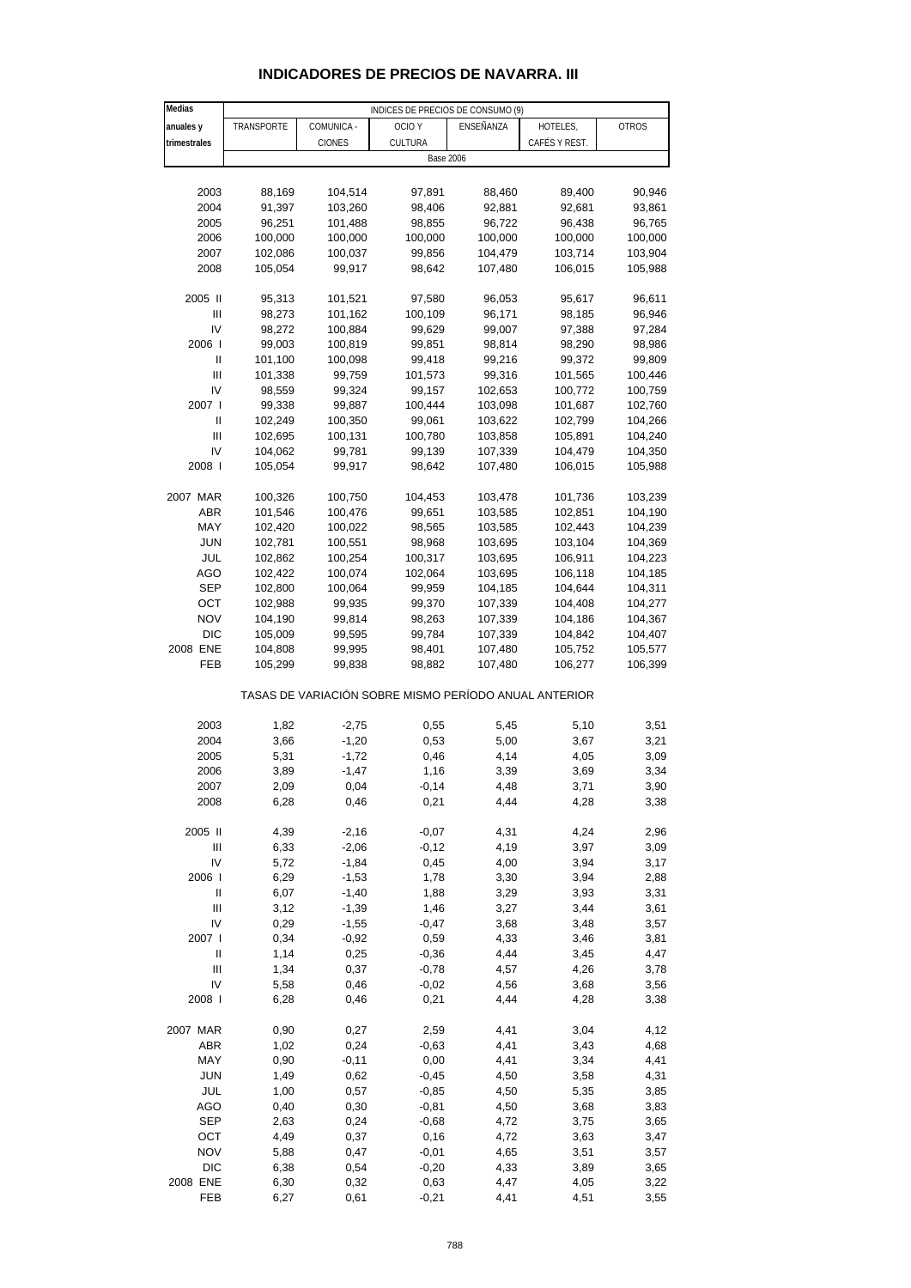| Medias         | INDICES DE PRECIOS DE CONSUMO (9) |              |                                                       |                  |               |              |
|----------------|-----------------------------------|--------------|-------------------------------------------------------|------------------|---------------|--------------|
| anuales y      | TRANSPORTE                        | COMUNICA -   | OCIO Y                                                | ENSEÑANZA        | HOTELES,      | <b>OTROS</b> |
| trimestrales   |                                   | CIONES       | CULTURA                                               |                  | CAFÉS Y REST. |              |
|                |                                   |              |                                                       | <b>Base 2006</b> |               |              |
|                |                                   |              |                                                       |                  |               |              |
| 2003           | 88,169                            | 104,514      | 97,891                                                | 88,460           | 89,400        | 90,946       |
| 2004           | 91,397                            | 103,260      | 98,406                                                | 92,881           | 92,681        | 93,861       |
| 2005           | 96,251                            | 101,488      | 98,855                                                | 96,722           | 96,438        | 96,765       |
| 2006           | 100,000                           | 100,000      | 100,000                                               | 100,000          | 100,000       | 100,000      |
| 2007           | 102,086                           | 100,037      | 99,856                                                | 104,479          | 103,714       | 103,904      |
| 2008           | 105,054                           | 99,917       | 98,642                                                | 107,480          | 106,015       | 105,988      |
|                |                                   |              |                                                       |                  |               |              |
| 2005 II        | 95,313                            | 101,521      | 97,580                                                | 96,053           | 95,617        | 96,611       |
| $\mathbf{III}$ | 98,273                            | 101,162      | 100,109                                               | 96,171           | 98,185        | 96,946       |
| IV             | 98,272                            | 100,884      | 99,629                                                | 99,007           | 97,388        | 97,284       |
| 2006           | 99,003                            | 100,819      | 99,851                                                | 98,814           | 98,290        | 98,986       |
| Ш              | 101,100                           | 100,098      | 99,418                                                | 99,216           | 99,372        | 99,809       |
| $\mathbf{III}$ | 101,338                           | 99,759       | 101,573                                               | 99,316           | 101,565       | 100,446      |
| IV             | 98,559                            | 99,324       | 99,157                                                | 102,653          | 100,772       | 100,759      |
| 2007 l         | 99,338                            | 99,887       | 100,444                                               | 103,098          | 101,687       | 102,760      |
| Ш              | 102,249                           | 100,350      | 99,061                                                | 103,622          | 102,799       | 104,266      |
| $\mathbf{III}$ | 102,695                           | 100,131      | 100,780                                               | 103,858          | 105,891       | 104,240      |
| IV             | 104,062                           | 99,781       | 99,139                                                | 107,339          | 104,479       | 104,350      |
| 2008 l         | 105,054                           | 99,917       | 98,642                                                | 107,480          | 106,015       | 105,988      |
|                |                                   |              |                                                       |                  |               |              |
| 2007 MAR       | 100,326                           | 100,750      | 104,453                                               | 103,478          | 101,736       | 103,239      |
| <b>ABR</b>     | 101,546                           | 100,476      | 99,651                                                | 103,585          | 102,851       | 104,190      |
| MAY            | 102,420                           | 100,022      | 98,565                                                | 103,585          | 102,443       | 104,239      |
| <b>JUN</b>     | 102,781                           | 100,551      | 98,968                                                | 103,695          | 103,104       | 104,369      |
| JUL            | 102,862                           | 100,254      | 100,317                                               | 103,695          | 106,911       | 104,223      |
| <b>AGO</b>     | 102,422                           | 100,074      | 102,064                                               | 103,695          | 106,118       | 104,185      |
| SEP            | 102,800                           | 100,064      | 99,959                                                | 104,185          | 104,644       | 104,311      |
| OCT            | 102,988                           | 99,935       | 99,370                                                | 107,339          | 104,408       | 104,277      |
| <b>NOV</b>     | 104,190                           | 99,814       | 98,263                                                | 107,339          | 104,186       | 104,367      |
| <b>DIC</b>     | 105,009                           | 99,595       | 99,784                                                | 107,339          | 104,842       | 104,407      |
| 2008 ENE       | 104,808                           | 99,995       | 98,401                                                | 107,480          | 105,752       | 105,577      |
| FEB            | 105,299                           | 99,838       | 98,882                                                | 107,480          | 106,277       | 106,399      |
|                |                                   |              |                                                       |                  |               |              |
|                |                                   |              | TASAS DE VARIACIÓN SOBRE MISMO PERÍODO ANUAL ANTERIOR |                  |               |              |
| 2003           | 1,82                              | $-2,75$      | 0,55                                                  | 5,45             | 5,10          | 3,51         |
| 2004           | 3,66                              | $-1,20$      | 0,53                                                  | 5,00             | 3,67          | 3,21         |
| 2005           | 5,31                              | $-1,72$      | 0,46                                                  | 4,14             | 4,05          | 3,09         |
| 2006           | 3,89                              | $-1,47$      | 1,16                                                  | 3,39             | 3,69          | 3,34         |
| 2007           | 2,09                              | 0,04         | $-0,14$                                               | 4,48             | 3,71          | 3,90         |
| 2008           | 6,28                              | 0,46         | 0,21                                                  | 4,44             | 4,28          | 3,38         |
|                |                                   |              |                                                       |                  |               |              |
| 2005 II        | 4,39                              | $-2,16$      | $-0,07$                                               | 4,31             | 4,24          | 2,96         |
| Ш              | 6,33                              | $-2,06$      | $-0,12$                                               | 4,19             | 3,97          | 3,09         |
| IV             | 5,72                              | $-1,84$      | 0,45                                                  | 4,00             | 3,94          | 3,17         |
| 2006           | 6,29                              | $-1,53$      | 1,78                                                  | 3,30             | 3,94          | 2,88         |
| Ш              | 6,07                              | $-1,40$      | 1,88                                                  | 3,29             | 3,93          | 3,31         |
| Ш              | 3,12                              | $-1,39$      | 1,46                                                  | 3,27             | 3,44          | 3,61         |
| IV             | 0,29                              | $-1,55$      | $-0,47$                                               | 3,68             | 3,48          | 3,57         |
| 2007 l         | 0,34                              | $-0,92$      | 0,59                                                  | 4,33             | 3,46          | 3,81         |
| Ш              | 1,14                              | 0,25         | $-0,36$                                               | 4,44             | 3,45          | 4,47         |
| Ш              | 1,34                              | 0,37         | $-0,78$                                               | 4,57             | 4,26          | 3,78         |
| IV             | 5,58                              | 0,46         | $-0,02$                                               | 4,56             | 3,68          | 3,56         |
| 2008           | 6,28                              | 0,46         | 0,21                                                  | 4,44             | 4,28          | 3,38         |
|                |                                   |              |                                                       |                  |               |              |
| 2007 MAR       | 0,90                              | 0,27         | 2,59                                                  | 4,41             | 3,04          | 4,12         |
| <b>ABR</b>     | 1,02                              | 0,24         | $-0,63$                                               | 4,41             | 3,43          | 4,68         |
| MAY            | 0,90                              | $-0,11$      | 0,00                                                  | 4,41             | 3,34          | 4,41         |
| <b>JUN</b>     | 1,49                              | 0,62         | $-0,45$                                               | 4,50             | 3,58          | 4,31         |
| JUL            | 1,00                              | 0,57         | $-0,85$                                               | 4,50             | 5,35          | 3,85         |
| <b>AGO</b>     | 0,40                              | 0,30         | $-0,81$                                               | 4,50             | 3,68          | 3,83         |
| SEP            | 2,63                              | 0,24         | $-0,68$                                               | 4,72             | 3,75          | 3,65         |
| OCT            | 4,49                              | 0,37         | 0,16                                                  | 4,72             | 3,63          | 3,47         |
| <b>NOV</b>     | 5,88                              | 0,47         | $-0,01$                                               | 4,65             | 3,51          |              |
| DIC            |                                   |              | $-0,20$                                               | 4,33             |               | 3,57         |
| 2008 ENE       | 6,38                              | 0,54<br>0,32 | 0,63                                                  | 4,47             | 3,89          | 3,65         |
| FEB            | 6,30                              |              |                                                       |                  | 4,05          | 3,22         |
|                | 6,27                              | 0,61         | $-0,21$                                               | 4,41             | 4,51          | 3,55         |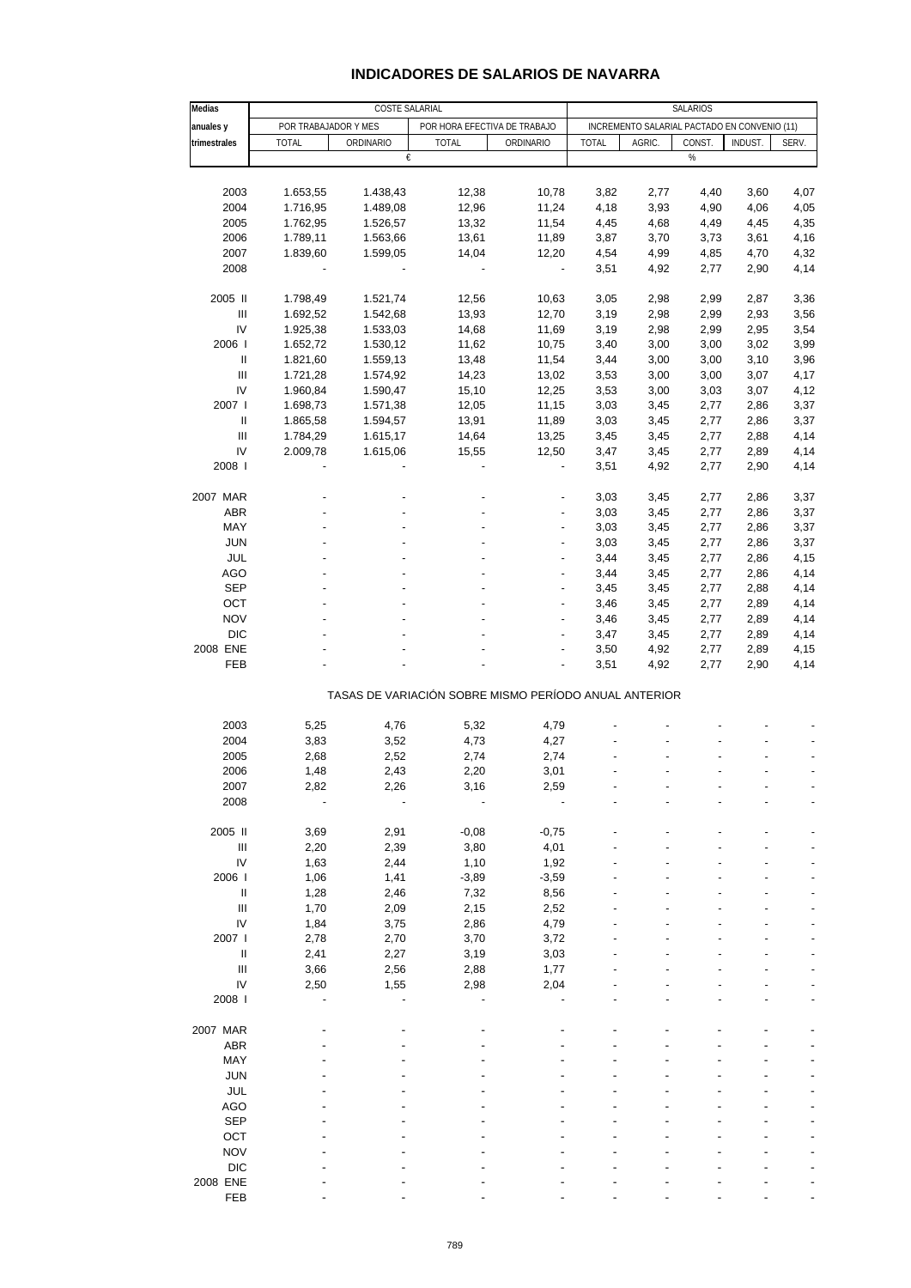| Medias                                                |                      | SALARIOS       |                              |                                              |              |        |        |         |       |  |
|-------------------------------------------------------|----------------------|----------------|------------------------------|----------------------------------------------|--------------|--------|--------|---------|-------|--|
| anuales y                                             | POR TRABAJADOR Y MES | COSTE SALARIAL | POR HORA EFECTIVA DE TRABAJO | INCREMENTO SALARIAL PACTADO EN CONVENIO (11) |              |        |        |         |       |  |
| trimestrales                                          | <b>TOTAL</b>         | ORDINARIO      | <b>TOTAL</b>                 | ORDINARIO                                    | <b>TOTAL</b> | AGRIC. | CONST. | INDUST. | SERV. |  |
|                                                       |                      | €              |                              |                                              |              |        | %      |         |       |  |
|                                                       |                      |                |                              |                                              |              |        |        |         |       |  |
| 2003                                                  | 1.653,55             | 1.438,43       | 12,38                        | 10,78                                        | 3,82         | 2,77   | 4,40   | 3,60    | 4,07  |  |
| 2004                                                  | 1.716,95             | 1.489,08       | 12,96                        | 11,24                                        | 4,18         | 3,93   | 4,90   | 4,06    | 4,05  |  |
| 2005                                                  | 1.762,95             | 1.526,57       | 13,32                        | 11,54                                        | 4,45         | 4,68   | 4,49   | 4,45    | 4,35  |  |
| 2006                                                  | 1.789,11             | 1.563,66       | 13,61                        | 11,89                                        | 3,87         | 3,70   | 3,73   | 3,61    | 4,16  |  |
| 2007                                                  | 1.839,60             | 1.599,05       | 14,04                        | 12,20                                        | 4,54         | 4,99   | 4,85   | 4,70    | 4,32  |  |
| 2008                                                  |                      |                | $\qquad \qquad \blacksquare$ | $\overline{\phantom{a}}$                     | 3,51         | 4,92   | 2,77   | 2,90    | 4,14  |  |
| 2005 II                                               | 1.798,49             | 1.521,74       | 12,56                        | 10,63                                        | 3,05         | 2,98   | 2,99   | 2,87    | 3,36  |  |
| $\ensuremath{\mathsf{III}}\xspace$                    | 1.692,52             | 1.542,68       | 13,93                        | 12,70                                        | 3,19         | 2,98   | 2,99   | 2,93    | 3,56  |  |
| IV                                                    | 1.925,38             | 1.533,03       | 14,68                        | 11,69                                        | 3,19         | 2,98   | 2,99   | 2,95    | 3,54  |  |
| 2006                                                  | 1.652,72             | 1.530,12       | 11,62                        | 10,75                                        | 3,40         | 3,00   | 3,00   | 3,02    | 3,99  |  |
| $\ensuremath{\mathsf{II}}$                            | 1.821,60             | 1.559,13       | 13,48                        | 11,54                                        | 3,44         | 3,00   | 3,00   | 3,10    | 3,96  |  |
| $\ensuremath{\mathsf{III}}\xspace$                    | 1.721,28             | 1.574,92       | 14,23                        | 13,02                                        | 3,53         | 3,00   | 3,00   | 3,07    | 4,17  |  |
| IV                                                    | 1.960,84             | 1.590,47       | 15,10                        | 12,25                                        | 3,53         | 3,00   | 3,03   | 3,07    | 4,12  |  |
| 2007 l                                                | 1.698,73             | 1.571,38       | 12,05                        | 11,15                                        | 3,03         | 3,45   | 2,77   | 2,86    | 3,37  |  |
| Ш                                                     | 1.865,58             | 1.594,57       | 13,91                        | 11,89                                        | 3,03         | 3,45   | 2,77   | 2,86    | 3,37  |  |
| Ш                                                     | 1.784,29             | 1.615,17       | 14,64                        | 13,25                                        | 3,45         | 3,45   | 2,77   | 2,88    | 4,14  |  |
| IV                                                    | 2.009,78             | 1.615,06       | 15,55                        | 12,50                                        | 3,47         | 3,45   | 2,77   | 2,89    | 4,14  |  |
| 2008                                                  |                      |                |                              | $\overline{a}$                               | 3,51         | 4,92   | 2,77   | 2,90    | 4,14  |  |
| 2007 MAR                                              |                      |                |                              |                                              | 3,03         | 3,45   | 2,77   | 2,86    | 3,37  |  |
| ABR                                                   |                      |                |                              |                                              | 3,03         | 3,45   | 2,77   | 2,86    | 3,37  |  |
| MAY                                                   |                      |                |                              | ÷,                                           | 3,03         | 3,45   | 2,77   | 2,86    | 3,37  |  |
| <b>JUN</b>                                            |                      |                |                              | $\overline{a}$                               | 3,03         | 3,45   | 2,77   | 2,86    | 3,37  |  |
| JUL                                                   |                      |                |                              | ÷                                            | 3,44         | 3,45   | 2,77   | 2,86    | 4,15  |  |
| <b>AGO</b>                                            |                      |                |                              | ÷,                                           | 3,44         | 3,45   | 2,77   | 2,86    | 4,14  |  |
| <b>SEP</b>                                            |                      |                |                              | $\overline{a}$                               | 3,45         | 3,45   | 2,77   | 2,88    | 4,14  |  |
| OCT                                                   |                      |                |                              |                                              | 3,46         | 3,45   | 2,77   | 2,89    | 4,14  |  |
| <b>NOV</b>                                            |                      |                |                              | $\overline{a}$                               | 3,46         | 3,45   | 2,77   | 2,89    | 4,14  |  |
| <b>DIC</b>                                            |                      |                |                              | $\overline{a}$                               | 3,47         | 3,45   | 2,77   | 2,89    | 4,14  |  |
| 2008 ENE                                              |                      |                |                              |                                              | 3,50         | 4,92   | 2,77   | 2,89    | 4,15  |  |
| FEB                                                   |                      |                |                              | $\overline{a}$                               | 3,51         | 4,92   | 2,77   | 2,90    | 4,14  |  |
| TASAS DE VARIACIÓN SOBRE MISMO PERÍODO ANUAL ANTERIOR |                      |                |                              |                                              |              |        |        |         |       |  |
|                                                       |                      |                |                              |                                              |              |        |        |         |       |  |
| 2003<br>2004                                          | 5,25                 | 4,76           | 5,32                         | 4,79                                         |              |        |        |         |       |  |
| 2005                                                  | 3,83                 | 3,52           | 4,73                         | 4,27                                         |              |        |        |         |       |  |
| 2006                                                  | 2,68                 | 2,52           | 2,74                         | 2,74                                         |              |        |        |         |       |  |
| 2007                                                  | 1,48<br>2,82         | 2,43<br>2,26   | 2,20                         | 3,01<br>2,59                                 |              |        |        |         |       |  |
| 2008                                                  |                      |                | 3,16                         |                                              |              |        |        |         |       |  |
|                                                       |                      |                |                              |                                              |              |        |        |         |       |  |
| 2005 II                                               | 3,69                 | 2,91           | $-0,08$                      | $-0,75$                                      |              |        |        |         |       |  |
| $\ensuremath{\mathsf{III}}\xspace$                    | 2,20                 | 2,39           | 3,80                         | 4,01                                         |              |        |        |         |       |  |
| IV                                                    | 1,63                 | 2,44           | 1,10                         | 1,92                                         |              |        |        |         |       |  |
| 2006                                                  | 1,06                 | 1,41           | $-3,89$                      | $-3,59$                                      |              |        |        |         |       |  |
| Ш                                                     | 1,28                 | 2,46           | 7,32                         | 8,56                                         |              |        |        |         |       |  |
| Ш                                                     | 1,70                 | 2,09           | 2,15                         | 2,52                                         |              |        |        |         |       |  |
| IV                                                    | 1,84                 | 3,75           | 2,86                         | 4,79                                         |              |        |        |         |       |  |
| 2007 l                                                | 2,78                 | 2,70           | 3,70                         | 3,72                                         |              |        |        |         |       |  |
| Ш                                                     | 2,41                 | 2,27           | 3,19                         | 3,03                                         |              |        |        |         |       |  |
| $\ensuremath{\mathsf{III}}\xspace$                    | 3,66                 | 2,56           | 2,88                         | 1,77                                         |              |        |        |         |       |  |
| IV                                                    | 2,50                 | 1,55           | 2,98                         | 2,04                                         |              |        |        |         |       |  |
| 2008                                                  |                      |                |                              |                                              |              |        |        |         |       |  |
| 2007 MAR                                              |                      |                |                              |                                              |              |        |        |         |       |  |
| ABR                                                   |                      |                |                              |                                              |              |        |        |         |       |  |
| MAY                                                   |                      |                |                              |                                              |              |        |        |         |       |  |
| <b>JUN</b>                                            |                      |                |                              |                                              |              |        |        |         |       |  |
| JUL                                                   |                      |                |                              |                                              |              |        |        |         |       |  |
| <b>AGO</b>                                            |                      |                |                              |                                              |              |        |        |         |       |  |
| <b>SEP</b>                                            |                      |                |                              |                                              |              |        |        |         |       |  |
| OCT                                                   |                      |                |                              |                                              |              |        |        |         |       |  |
| <b>NOV</b>                                            |                      |                |                              |                                              |              |        |        |         |       |  |
| <b>DIC</b>                                            |                      |                |                              |                                              |              |        |        |         |       |  |
| 2008 ENE                                              |                      |                |                              |                                              |              |        |        |         |       |  |
| FEB                                                   |                      |                |                              |                                              |              |        |        |         |       |  |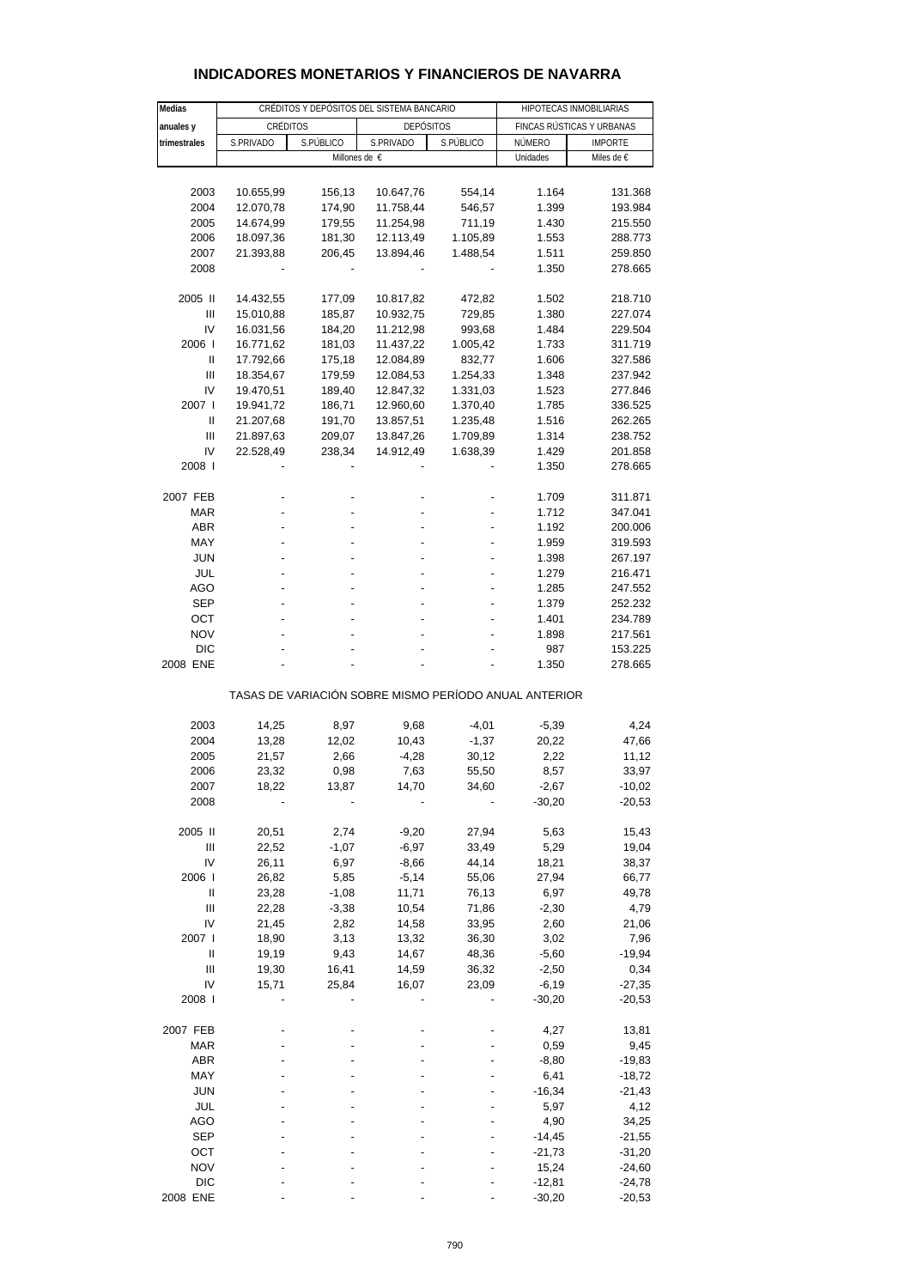| Medias       |           | CRÉDITOS Y DEPÓSITOS DEL SISTEMA BANCARIO |                                                       | HIPOTECAS INMOBILIARIAS |                           |                |  |
|--------------|-----------|-------------------------------------------|-------------------------------------------------------|-------------------------|---------------------------|----------------|--|
|              |           |                                           |                                                       |                         | FINCAS RÚSTICAS Y URBANAS |                |  |
| anuales y    | CRÉDITOS  |                                           | <b>DEPÓSITOS</b>                                      |                         |                           |                |  |
| trimestrales | S.PRIVADO | S.PÚBLICO                                 | S.PRIVADO                                             | S.PÚBLICO               | NÚMERO                    | <b>IMPORTE</b> |  |
|              |           |                                           | Millones de €                                         |                         | Unidades                  | Miles de €     |  |
|              |           |                                           |                                                       |                         |                           |                |  |
| 2003         | 10.655,99 | 156,13                                    | 10.647,76                                             | 554,14                  | 1.164                     | 131.368        |  |
| 2004         | 12.070,78 | 174,90                                    | 11.758,44                                             | 546,57                  | 1.399                     | 193.984        |  |
| 2005         | 14.674,99 | 179,55                                    | 11.254,98                                             | 711,19                  | 1.430                     | 215.550        |  |
| 2006         | 18.097,36 | 181,30                                    | 12.113,49                                             | 1.105,89                | 1.553                     | 288.773        |  |
| 2007         | 21.393,88 |                                           | 13.894,46                                             | 1.488,54                | 1.511                     | 259.850        |  |
|              |           | 206,45                                    |                                                       |                         |                           |                |  |
| 2008         |           |                                           |                                                       |                         | 1.350                     | 278.665        |  |
|              |           |                                           |                                                       |                         |                           |                |  |
| 2005 II      | 14.432,55 | 177,09                                    | 10.817,82                                             | 472,82                  | 1.502                     | 218.710        |  |
| Ш            | 15.010,88 | 185,87                                    | 10.932,75                                             | 729,85                  | 1.380                     | 227.074        |  |
| IV           | 16.031,56 | 184,20                                    | 11.212,98                                             | 993,68                  | 1.484                     | 229.504        |  |
| 2006         | 16.771,62 | 181,03                                    | 11.437,22                                             | 1.005,42                | 1.733                     | 311.719        |  |
| Ш            | 17.792,66 | 175,18                                    | 12.084,89                                             | 832,77                  | 1.606                     | 327.586        |  |
| Ш            | 18.354,67 | 179,59                                    | 12.084,53                                             | 1.254,33                | 1.348                     | 237.942        |  |
| IV           | 19.470,51 | 189,40                                    | 12.847,32                                             | 1.331,03                | 1.523                     | 277.846        |  |
| 2007         | 19.941,72 | 186,71                                    | 12.960,60                                             | 1.370,40                | 1.785                     | 336.525        |  |
|              |           |                                           |                                                       |                         |                           |                |  |
| Ш            | 21.207,68 | 191,70                                    | 13.857,51                                             | 1.235,48                | 1.516                     | 262.265        |  |
| Ш            | 21.897,63 | 209,07                                    | 13.847,26                                             | 1.709,89                | 1.314                     | 238.752        |  |
| IV           | 22.528,49 | 238,34                                    | 14.912,49                                             | 1.638,39                | 1.429                     | 201.858        |  |
| 2008         |           |                                           |                                                       |                         | 1.350                     | 278.665        |  |
|              |           |                                           |                                                       |                         |                           |                |  |
| 2007 FEB     |           |                                           |                                                       |                         | 1.709                     | 311.871        |  |
| MAR          |           |                                           |                                                       |                         | 1.712                     | 347.041        |  |
| <b>ABR</b>   |           |                                           |                                                       |                         | 1.192                     | 200.006        |  |
| MAY          |           |                                           |                                                       |                         | 1.959                     | 319.593        |  |
|              |           |                                           |                                                       |                         |                           |                |  |
| <b>JUN</b>   |           |                                           |                                                       |                         | 1.398                     | 267.197        |  |
| JUL          |           |                                           |                                                       |                         | 1.279                     | 216.471        |  |
| <b>AGO</b>   |           |                                           |                                                       |                         | 1.285                     | 247.552        |  |
| <b>SEP</b>   |           |                                           |                                                       |                         | 1.379                     | 252.232        |  |
| ост          |           |                                           |                                                       |                         | 1.401                     | 234.789        |  |
| <b>NOV</b>   |           |                                           |                                                       |                         | 1.898                     | 217.561        |  |
| <b>DIC</b>   |           |                                           |                                                       |                         | 987                       | 153.225        |  |
| 2008 ENE     |           |                                           |                                                       |                         | 1.350                     | 278.665        |  |
|              |           |                                           |                                                       |                         |                           |                |  |
|              |           |                                           | TASAS DE VARIACIÓN SOBRE MISMO PERÍODO ANUAL ANTERIOR |                         |                           |                |  |
|              |           |                                           |                                                       |                         |                           |                |  |
|              |           |                                           |                                                       |                         |                           |                |  |
| 2003         | 14,25     | 8,97                                      | 9,68                                                  | $-4,01$                 | $-5,39$                   | 4,24           |  |
| 2004         | 13,28     | 12,02                                     | 10,43                                                 | $-1,37$                 | 20,22                     | 47,66          |  |
| 2005         | 21,57     | 2,66                                      | $-4,28$                                               | 30,12                   | 2,22                      | 11,12          |  |
| 2006         | 23,32     | 0,98                                      | 7,63                                                  | 55,50                   | 8,57                      | 33,97          |  |
| 2007         | 18,22     | 13,87                                     | 14,70                                                 | 34,60                   | $-2,67$                   | -10,02         |  |
| 2008         |           |                                           |                                                       |                         | $-30,20$                  | $-20,53$       |  |
|              |           |                                           |                                                       |                         |                           |                |  |
| 2005 II      | 20,51     | 2,74                                      | $-9,20$                                               | 27,94                   | 5,63                      | 15,43          |  |
|              |           |                                           |                                                       |                         |                           |                |  |
| Ш            | 22,52     | $-1,07$                                   | $-6,97$                                               | 33,49                   | 5,29                      | 19,04          |  |
| IV           | 26,11     | 6,97                                      | $-8,66$                                               | 44,14                   | 18,21                     | 38,37          |  |
| 2006         | 26,82     | 5,85                                      | $-5,14$                                               | 55,06                   | 27,94                     | 66,77          |  |
| Ш            | 23,28     | $-1,08$                                   | 11,71                                                 | 76,13                   | 6,97                      | 49,78          |  |
| Ш            | 22,28     | $-3,38$                                   | 10,54                                                 | 71,86                   | $-2,30$                   | 4,79           |  |
| IV           | 21,45     | 2,82                                      | 14,58                                                 | 33,95                   | 2,60                      | 21,06          |  |
| 2007 l       | 18,90     | 3,13                                      | 13,32                                                 | 36,30                   | 3,02                      | 7,96           |  |
| $\sf II$     | 19,19     | 9,43                                      | 14,67                                                 | 48,36                   | $-5,60$                   | $-19,94$       |  |
| Ш            | 19,30     | 16,41                                     | 14,59                                                 | 36,32                   | $-2,50$                   | 0,34           |  |
|              |           |                                           |                                                       |                         |                           |                |  |
| IV           | 15,71     | 25,84                                     | 16,07                                                 | 23,09                   | $-6,19$                   | $-27,35$       |  |
| 2008         |           |                                           |                                                       |                         | $-30,20$                  | $-20,53$       |  |
|              |           |                                           |                                                       |                         |                           |                |  |
| 2007 FEB     |           |                                           |                                                       |                         | 4,27                      | 13,81          |  |
| <b>MAR</b>   |           |                                           |                                                       |                         | 0,59                      | 9,45           |  |
| <b>ABR</b>   |           |                                           |                                                       |                         | $-8,80$                   | $-19,83$       |  |
| MAY          |           |                                           |                                                       |                         | 6,41                      | $-18,72$       |  |
| <b>JUN</b>   |           |                                           |                                                       |                         | $-16,34$                  | $-21,43$       |  |
| JUL          |           |                                           |                                                       |                         | 5,97                      |                |  |
|              |           |                                           |                                                       |                         |                           | 4,12           |  |
| AGO          |           |                                           |                                                       |                         | 4,90                      | 34,25          |  |
| <b>SEP</b>   |           |                                           |                                                       |                         | $-14,45$                  | $-21,55$       |  |
| OCT          |           |                                           |                                                       |                         | $-21,73$                  | $-31,20$       |  |
| <b>NOV</b>   |           |                                           |                                                       |                         | 15,24                     | $-24,60$       |  |

#### **INDICADORES MONETARIOS Y FINANCIEROS DE NAVARRA**

 DIC - - - - -12,81 -24,78 2008 ENE ---- -30,20 -20,53